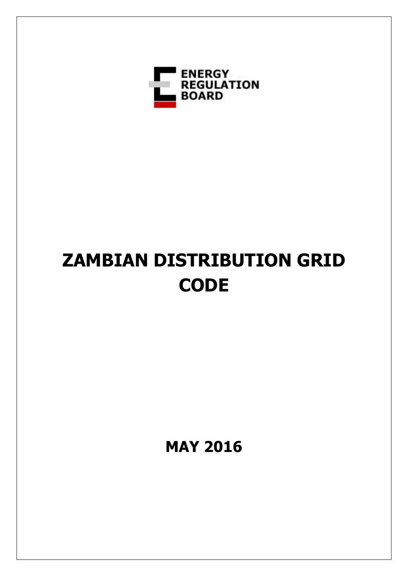

# **ZAMBIAN DISTRIBUTION GRID CODE**

**MAY 2016**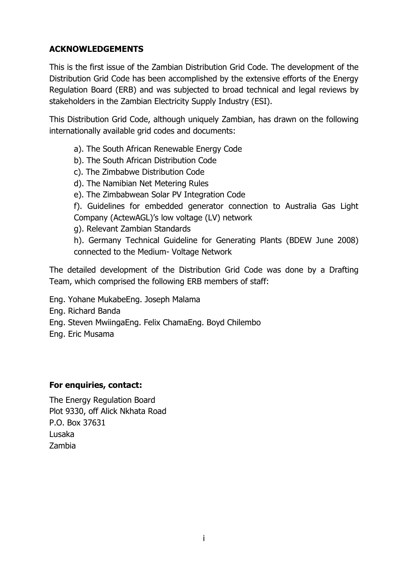## <span id="page-1-0"></span>**ACKNOWLEDGEMENTS**

This is the first issue of the Zambian Distribution Grid Code. The development of the Distribution Grid Code has been accomplished by the extensive efforts of the Energy Regulation Board (ERB) and was subjected to broad technical and legal reviews by stakeholders in the Zambian Electricity Supply Industry (ESI).

This Distribution Grid Code, although uniquely Zambian, has drawn on the following internationally available grid codes and documents:

- a). The South African Renewable Energy Code
- b). The South African Distribution Code
- c). The Zimbabwe Distribution Code
- d). The Namibian Net Metering Rules
- e). The Zimbabwean Solar PV Integration Code

f). Guidelines for embedded generator connection to Australia Gas Light Company (ActewAGL)'s low voltage (LV) network

g). Relevant Zambian Standards

h). Germany Technical Guideline for Generating Plants (BDEW June 2008) connected to the Medium- Voltage Network

The detailed development of the Distribution Grid Code was done by a Drafting Team, which comprised the following ERB members of staff:

- Eng. Yohane MukabeEng. Joseph Malama
- Eng. Richard Banda
- Eng. Steven MwiingaEng. Felix ChamaEng. Boyd Chilembo
- Eng. Eric Musama

## **For enquiries, contact:**

The Energy Regulation Board Plot 9330, off Alick Nkhata Road P.O. Box 37631 Lusaka Zambia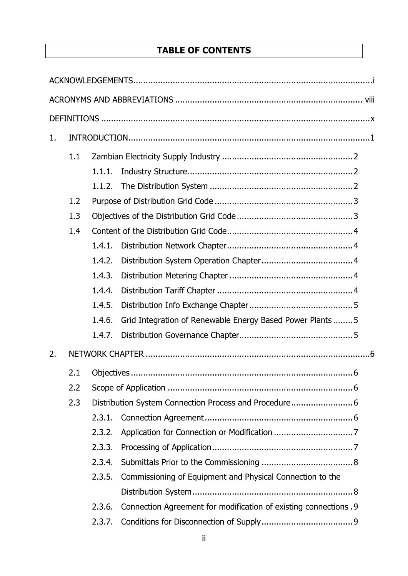# **TABLE OF CONTENTS**

| 1.  |     |        |                                                                   |  |
|-----|-----|--------|-------------------------------------------------------------------|--|
|     | 1.1 |        |                                                                   |  |
|     |     | 1.1.1. |                                                                   |  |
|     |     | 1.1.2. |                                                                   |  |
|     | 1.2 |        |                                                                   |  |
|     | 1.3 |        |                                                                   |  |
|     | 1.4 |        |                                                                   |  |
|     |     | 1.4.1. |                                                                   |  |
|     |     | 1.4.2. |                                                                   |  |
|     |     | 1.4.3. |                                                                   |  |
|     |     | 1.4.4. |                                                                   |  |
|     |     | 1.4.5. |                                                                   |  |
|     |     | 1.4.6. | Grid Integration of Renewable Energy Based Power Plants5          |  |
|     |     | 1.4.7. |                                                                   |  |
| 2.  |     |        |                                                                   |  |
|     | 2.1 |        |                                                                   |  |
|     | 2.2 |        |                                                                   |  |
| 2.3 |     |        |                                                                   |  |
|     |     | 2.3.1. |                                                                   |  |
|     |     | 2.3.2. |                                                                   |  |
|     |     | 2.3.3. |                                                                   |  |
|     |     | 2.3.4. |                                                                   |  |
|     |     | 2.3.5. | Commissioning of Equipment and Physical Connection to the         |  |
|     |     |        |                                                                   |  |
|     |     | 2.3.6. | Connection Agreement for modification of existing connections . 9 |  |
|     |     | 2.3.7. |                                                                   |  |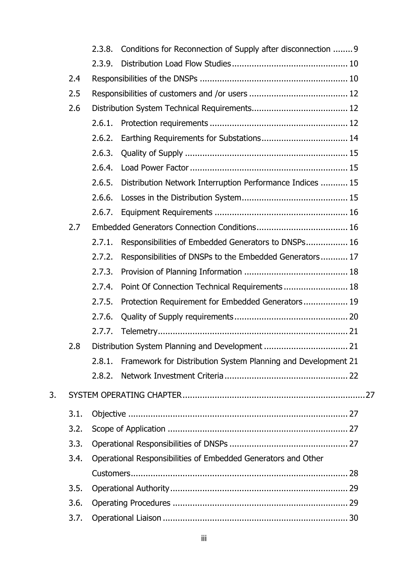|    |      | 2.3.8. | Conditions for Reconnection of Supply after disconnection  9         |  |
|----|------|--------|----------------------------------------------------------------------|--|
|    |      | 2.3.9. |                                                                      |  |
|    | 2.4  |        |                                                                      |  |
|    | 2.5  |        |                                                                      |  |
|    | 2.6  |        |                                                                      |  |
|    |      | 2.6.1. |                                                                      |  |
|    |      | 2.6.2. |                                                                      |  |
|    |      | 2.6.3. |                                                                      |  |
|    |      | 2.6.4. |                                                                      |  |
|    |      | 2.6.5. | Distribution Network Interruption Performance Indices  15            |  |
|    |      | 2.6.6. |                                                                      |  |
|    |      | 2.6.7. |                                                                      |  |
|    | 2.7  |        |                                                                      |  |
|    |      | 2.7.1. | Responsibilities of Embedded Generators to DNSPs 16                  |  |
|    |      | 2.7.2. | Responsibilities of DNSPs to the Embedded Generators 17              |  |
|    |      | 2.7.3. |                                                                      |  |
|    |      | 2.7.4. | Point Of Connection Technical Requirements 18                        |  |
|    |      | 2.7.5. | Protection Requirement for Embedded Generators 19                    |  |
|    |      | 2.7.6. |                                                                      |  |
|    |      | 2.7.7. |                                                                      |  |
|    | 2.8  |        |                                                                      |  |
|    |      |        | 2.8.1. Framework for Distribution System Planning and Development 21 |  |
|    |      | 2.8.2. |                                                                      |  |
| 3. |      |        |                                                                      |  |
|    | 3.1. |        |                                                                      |  |
|    | 3.2. |        |                                                                      |  |
|    | 3.3. |        |                                                                      |  |
|    | 3.4. |        | Operational Responsibilities of Embedded Generators and Other        |  |
|    |      |        |                                                                      |  |
|    | 3.5. |        |                                                                      |  |
|    | 3.6. |        |                                                                      |  |
|    | 3.7. |        |                                                                      |  |
|    |      |        |                                                                      |  |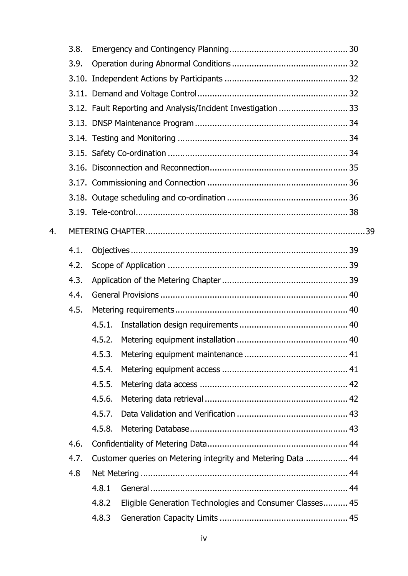|    | 3.8. |                                                                   |  |
|----|------|-------------------------------------------------------------------|--|
|    | 3.9. |                                                                   |  |
|    |      |                                                                   |  |
|    |      |                                                                   |  |
|    |      |                                                                   |  |
|    |      |                                                                   |  |
|    |      |                                                                   |  |
|    |      |                                                                   |  |
|    |      |                                                                   |  |
|    |      |                                                                   |  |
|    |      |                                                                   |  |
|    |      |                                                                   |  |
| 4. |      |                                                                   |  |
|    | 4.1. |                                                                   |  |
|    | 4.2. |                                                                   |  |
|    | 4.3. |                                                                   |  |
|    | 4.4. |                                                                   |  |
|    | 4.5. |                                                                   |  |
|    |      | 4.5.1.                                                            |  |
|    |      | 4.5.2.                                                            |  |
|    |      | 4.5.3.                                                            |  |
|    |      | 4.5.4.                                                            |  |
|    |      | 4.5.5.                                                            |  |
|    |      | 4.5.6.                                                            |  |
|    |      | 4.5.7.                                                            |  |
|    |      | 4.5.8.                                                            |  |
|    | 4.6. |                                                                   |  |
|    | 4.7. | Customer queries on Metering integrity and Metering Data  44      |  |
|    | 4.8  |                                                                   |  |
|    |      | 4.8.1                                                             |  |
|    |      | 4.8.2<br>Eligible Generation Technologies and Consumer Classes 45 |  |
|    |      | 4.8.3                                                             |  |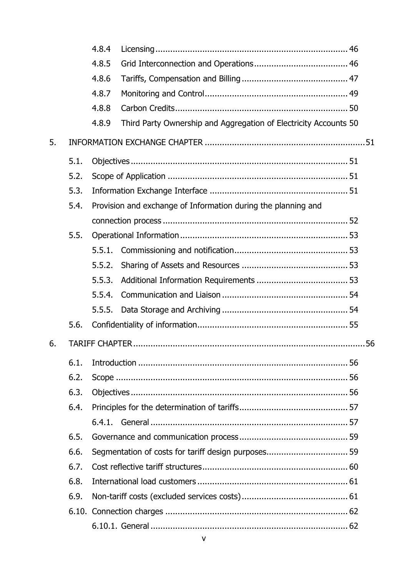|    |      | 4.8.4  |                                                                  |
|----|------|--------|------------------------------------------------------------------|
|    |      | 4.8.5  |                                                                  |
|    |      | 4.8.6  |                                                                  |
|    |      | 4.8.7  |                                                                  |
|    |      | 4.8.8  |                                                                  |
|    |      | 4.8.9  | Third Party Ownership and Aggregation of Electricity Accounts 50 |
| 5. |      |        |                                                                  |
|    | 5.1. |        |                                                                  |
|    | 5.2. |        |                                                                  |
|    | 5.3. |        |                                                                  |
|    | 5.4. |        | Provision and exchange of Information during the planning and    |
|    |      |        |                                                                  |
|    | 5.5. |        |                                                                  |
|    |      | 5.5.1. |                                                                  |
|    |      | 5.5.2. |                                                                  |
|    |      | 5.5.3. |                                                                  |
|    |      | 5.5.4. |                                                                  |
|    |      | 5.5.5. |                                                                  |
|    | 5.6. |        |                                                                  |
| 6. |      |        |                                                                  |
|    | 6.1. |        |                                                                  |
|    | 6.2. |        |                                                                  |
|    | 6.3. |        |                                                                  |
|    | 6.4. |        |                                                                  |
|    |      |        |                                                                  |
|    | 6.5. |        |                                                                  |
|    | 6.6. |        |                                                                  |
|    | 6.7. |        |                                                                  |
|    | 6.8. |        |                                                                  |
|    | 6.9. |        |                                                                  |
|    |      |        |                                                                  |
|    |      |        |                                                                  |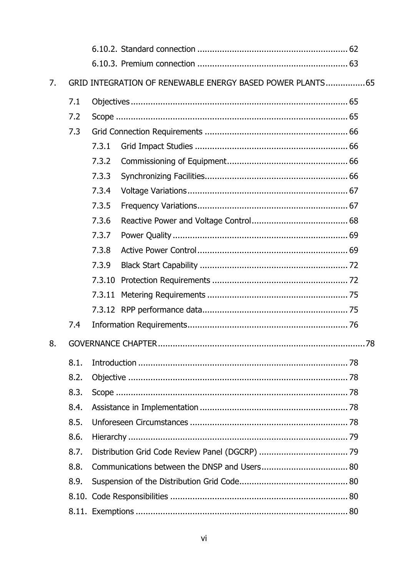| 7. | GRID INTEGRATION OF RENEWABLE ENERGY BASED POWER PLANTS 65 |        |  |  |  |
|----|------------------------------------------------------------|--------|--|--|--|
|    | 7.1                                                        |        |  |  |  |
|    | 7.2                                                        |        |  |  |  |
|    | 7.3                                                        |        |  |  |  |
|    |                                                            | 7.3.1  |  |  |  |
|    |                                                            | 7.3.2  |  |  |  |
|    |                                                            | 7.3.3  |  |  |  |
|    |                                                            | 7.3.4  |  |  |  |
|    |                                                            | 7.3.5  |  |  |  |
|    |                                                            | 7.3.6  |  |  |  |
|    |                                                            | 7.3.7  |  |  |  |
|    |                                                            | 7.3.8  |  |  |  |
|    |                                                            | 7.3.9  |  |  |  |
|    |                                                            | 7.3.10 |  |  |  |
|    |                                                            | 7.3.11 |  |  |  |
|    |                                                            |        |  |  |  |
|    | 7.4                                                        |        |  |  |  |
| 8. |                                                            |        |  |  |  |
|    | 8.1.                                                       |        |  |  |  |
|    | 8.2.                                                       |        |  |  |  |
|    | 8.3.                                                       |        |  |  |  |
|    | 8.4.                                                       |        |  |  |  |
|    | 8.5.                                                       |        |  |  |  |
|    | 8.6.                                                       |        |  |  |  |
|    | 8.7.                                                       |        |  |  |  |
|    | 8.8.                                                       |        |  |  |  |
|    | 8.9.                                                       |        |  |  |  |
|    |                                                            |        |  |  |  |
|    |                                                            |        |  |  |  |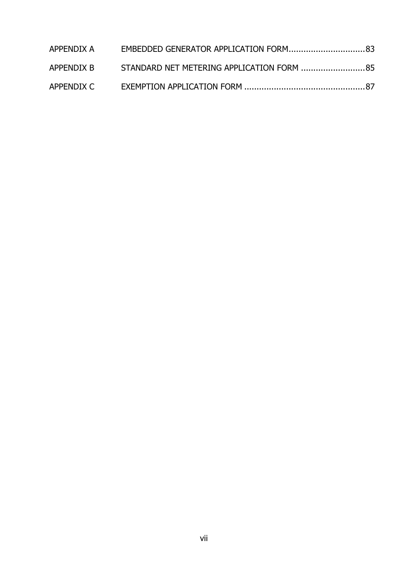| APPENDIX A |                                           |  |
|------------|-------------------------------------------|--|
| APPENDIX B | STANDARD NET METERING APPLICATION FORM 85 |  |
|            |                                           |  |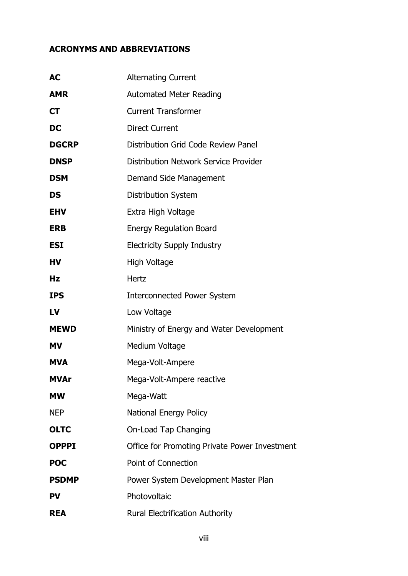## <span id="page-8-0"></span>**ACRONYMS AND ABBREVIATIONS**

| AC           | <b>Alternating Current</b>                    |
|--------------|-----------------------------------------------|
| AMR          | <b>Automated Meter Reading</b>                |
| CT           | <b>Current Transformer</b>                    |
| DC           | <b>Direct Current</b>                         |
| <b>DGCRP</b> | Distribution Grid Code Review Panel           |
| <b>DNSP</b>  | <b>Distribution Network Service Provider</b>  |
| <b>DSM</b>   | Demand Side Management                        |
| DS           | <b>Distribution System</b>                    |
| <b>EHV</b>   | Extra High Voltage                            |
| <b>ERB</b>   | <b>Energy Regulation Board</b>                |
| <b>ESI</b>   | <b>Electricity Supply Industry</b>            |
| HV           | High Voltage                                  |
| Hz           | Hertz                                         |
| IPS          | <b>Interconnected Power System</b>            |
| LV           | Low Voltage                                   |
| <b>MEWD</b>  | Ministry of Energy and Water Development      |
| MV           | Medium Voltage                                |
| <b>MVA</b>   | Mega-Volt-Ampere                              |
| <b>MVAr</b>  | Mega-Volt-Ampere reactive                     |
| МW           | Mega-Watt                                     |
| NEP          | <b>National Energy Policy</b>                 |
| <b>OLTC</b>  | On-Load Tap Changing                          |
| <b>OPPPI</b> | Office for Promoting Private Power Investment |
| <b>POC</b>   | Point of Connection                           |
| <b>PSDMP</b> | Power System Development Master Plan          |
| <b>PV</b>    | Photovoltaic                                  |
| REA          | <b>Rural Electrification Authority</b>        |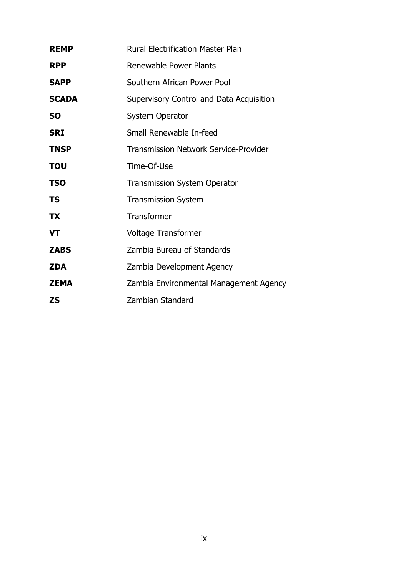| <b>REMP</b>  | <b>Rural Electrification Master Plan</b>     |
|--------------|----------------------------------------------|
| <b>RPP</b>   | Renewable Power Plants                       |
| <b>SAPP</b>  | Southern African Power Pool                  |
| <b>SCADA</b> | Supervisory Control and Data Acquisition     |
| <b>SO</b>    | <b>System Operator</b>                       |
| <b>SRI</b>   | Small Renewable In-feed                      |
| <b>TNSP</b>  | <b>Transmission Network Service-Provider</b> |
| ΤΟυ          | Time-Of-Use                                  |
| <b>TSO</b>   | <b>Transmission System Operator</b>          |
| TS           | <b>Transmission System</b>                   |
| <b>TX</b>    | Transformer                                  |
| VT           | <b>Voltage Transformer</b>                   |
| <b>ZABS</b>  | Zambia Bureau of Standards                   |
| <b>ZDA</b>   | Zambia Development Agency                    |
| <b>ZEMA</b>  | Zambia Environmental Management Agency       |
| <b>ZS</b>    | Zambian Standard                             |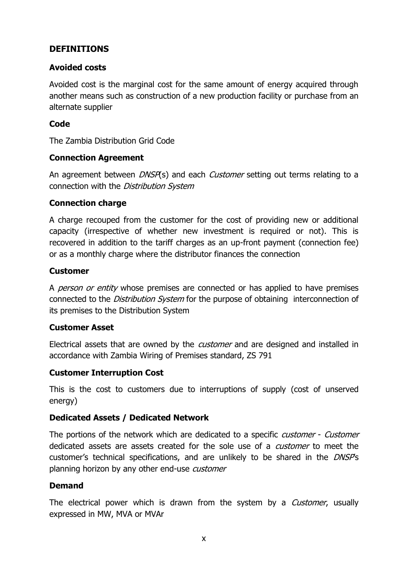## <span id="page-10-0"></span>**DEFINITIONS**

## **Avoided costs**

Avoided cost is the marginal cost for the same amount of energy acquired through another means such as construction of a new production facility or purchase from an alternate supplier

## **Code**

The Zambia Distribution Grid Code

## **Connection Agreement**

An agreement between *DNSP*(s) and each *Customer* setting out terms relating to a connection with the Distribution System

## **Connection charge**

A charge recouped from the customer for the cost of providing new or additional capacity (irrespective of whether new investment is required or not). This is recovered in addition to the tariff charges as an up-front payment (connection fee) or as a monthly charge where the distributor finances the connection

#### **Customer**

A *person or entity* whose premises are connected or has applied to have premises connected to the *Distribution System* for the purpose of obtaining interconnection of its premises to the Distribution System

#### **Customer Asset**

Electrical assets that are owned by the *customer* and are designed and installed in accordance with Zambia Wiring of Premises standard, ZS 791

#### **Customer Interruption Cost**

This is the cost to customers due to interruptions of supply (cost of unserved energy)

#### **Dedicated Assets / Dedicated Network**

The portions of the network which are dedicated to a specific *customer - Customer* dedicated assets are assets created for the sole use of a *customer* to meet the customer's technical specifications, and are unlikely to be shared in the DNSP's planning horizon by any other end-use customer

## **Demand**

The electrical power which is drawn from the system by a *Customer*, usually expressed in MW, MVA or MVAr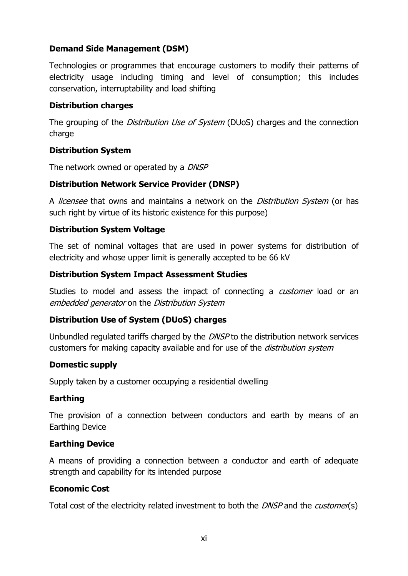## **Demand Side Management (DSM)**

Technologies or programmes that encourage customers to modify their patterns of electricity usage including timing and level of consumption; this includes conservation, interruptability and load shifting

#### **Distribution charges**

The grouping of the *Distribution Use of System* (DUoS) charges and the connection charge

## **Distribution System**

The network owned or operated by a DNSP

## **Distribution Network Service Provider (DNSP)**

A *licensee* that owns and maintains a network on the *Distribution System* (or has such right by virtue of its historic existence for this purpose)

## **Distribution System Voltage**

The set of nominal voltages that are used in power systems for distribution of electricity and whose upper limit is generally accepted to be 66 kV

#### **Distribution System Impact Assessment Studies**

Studies to model and assess the impact of connecting a *customer* load or an embedded generator on the Distribution System

## **Distribution Use of System (DUoS) charges**

Unbundled regulated tariffs charged by the DNSP to the distribution network services customers for making capacity available and for use of the *distribution system* 

#### **Domestic supply**

Supply taken by a customer occupying a residential dwelling

#### **Earthing**

The provision of a connection between conductors and earth by means of an Earthing Device

## **Earthing Device**

A means of providing a connection between a conductor and earth of adequate strength and capability for its intended purpose

#### **Economic Cost**

Total cost of the electricity related investment to both the *DNSP* and the *customer*(s)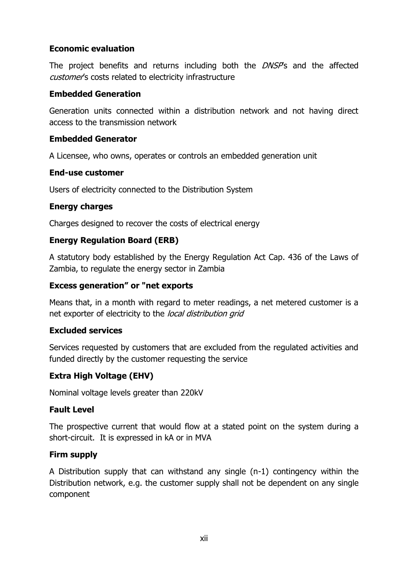## **Economic evaluation**

The project benefits and returns including both the DNSP's and the affected customer's costs related to electricity infrastructure

## **Embedded Generation**

Generation units connected within a distribution network and not having direct access to the transmission network

## **Embedded Generator**

A Licensee, who owns, operates or controls an embedded generation unit

## **End-use customer**

Users of electricity connected to the Distribution System

## **Energy charges**

Charges designed to recover the costs of electrical energy

## **Energy Regulation Board (ERB)**

A statutory body established by the Energy Regulation Act Cap. 436 of the Laws of Zambia, to regulate the energy sector in Zambia

## **Excess generation" or "net exports**

Means that, in a month with regard to meter readings, a net metered customer is a net exporter of electricity to the local distribution grid

## **Excluded services**

Services requested by customers that are excluded from the regulated activities and funded directly by the customer requesting the service

## **Extra High Voltage (EHV)**

Nominal voltage levels greater than 220kV

#### **Fault Level**

The prospective current that would flow at a stated point on the system during a short-circuit. It is expressed in kA or in MVA

#### **Firm supply**

A Distribution supply that can withstand any single (n-1) contingency within the Distribution network, e.g. the customer supply shall not be dependent on any single component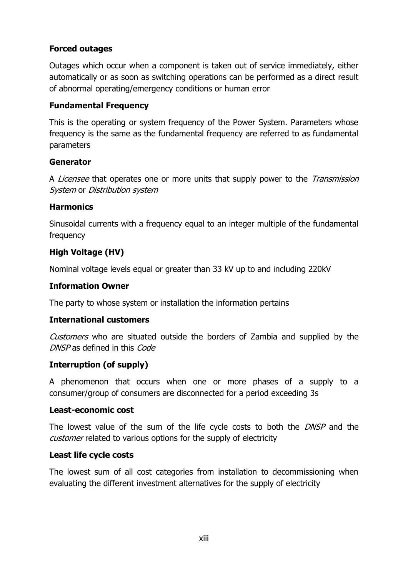## **Forced outages**

Outages which occur when a component is taken out of service immediately, either automatically or as soon as switching operations can be performed as a direct result of abnormal operating/emergency conditions or human error

## **Fundamental Frequency**

This is the operating or system frequency of the Power System. Parameters whose frequency is the same as the fundamental frequency are referred to as fundamental parameters

## **Generator**

A *Licensee* that operates one or more units that supply power to the *Transmission* System or Distribution system

## **Harmonics**

Sinusoidal currents with a frequency equal to an integer multiple of the fundamental frequency

# **High Voltage (HV)**

Nominal voltage levels equal or greater than 33 kV up to and including 220kV

#### **Information Owner**

The party to whose system or installation the information pertains

#### **International customers**

Customers who are situated outside the borders of Zambia and supplied by the DNSP as defined in this Code

## **Interruption (of supply)**

A phenomenon that occurs when one or more phases of a supply to a consumer/group of consumers are disconnected for a period exceeding 3s

#### **Least-economic cost**

The lowest value of the sum of the life cycle costs to both the *DNSP* and the customer related to various options for the supply of electricity

#### **Least life cycle costs**

The lowest sum of all cost categories from installation to decommissioning when evaluating the different investment alternatives for the supply of electricity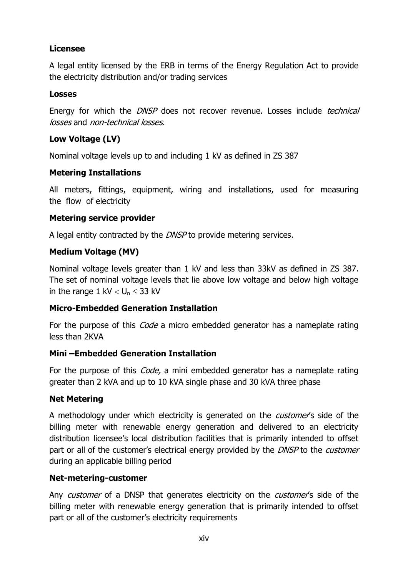## **Licensee**

A legal entity licensed by the ERB in terms of the Energy Regulation Act to provide the electricity distribution and/or trading services

## **Losses**

Energy for which the *DNSP* does not recover revenue. Losses include *technical* losses and non-technical losses.

## **Low Voltage (LV)**

Nominal voltage levels up to and including 1 kV as defined in ZS 387

## **Metering Installations**

All meters, fittings, equipment, wiring and installations, used for measuring the flow of electricity

## **Metering service provider**

A legal entity contracted by the *DNSP* to provide metering services.

## **Medium Voltage (MV)**

Nominal voltage levels greater than 1 kV and less than 33kV as defined in ZS 387. The set of nominal voltage levels that lie above low voltage and below high voltage in the range 1 kV  $< U_n \leq 33$  kV

## **Micro-Embedded Generation Installation**

For the purpose of this *Code* a micro embedded generator has a nameplate rating less than 2KVA

## **Mini –Embedded Generation Installation**

For the purpose of this *Code*, a mini embedded generator has a nameplate rating greater than 2 kVA and up to 10 kVA single phase and 30 kVA three phase

## **Net Metering**

A methodology under which electricity is generated on the *customer'*s side of the billing meter with renewable energy generation and delivered to an electricity distribution licensee's local distribution facilities that is primarily intended to offset part or all of the customer's electrical energy provided by the *DNSP* to the *customer* during an applicable billing period

#### **Net-metering-customer**

Any customer of a DNSP that generates electricity on the customer's side of the billing meter with renewable energy generation that is primarily intended to offset part or all of the customer's electricity requirements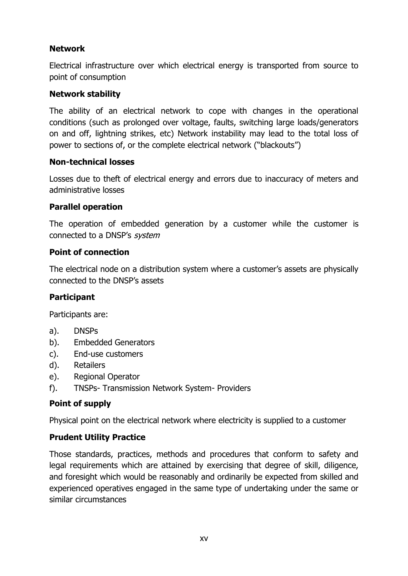## **Network**

Electrical infrastructure over which electrical energy is transported from source to point of consumption

## **Network stability**

The ability of an electrical network to cope with changes in the operational conditions (such as prolonged over voltage, faults, switching large loads/generators on and off, lightning strikes, etc) Network instability may lead to the total loss of power to sections of, or the complete electrical network ("blackouts")

#### **Non-technical losses**

Losses due to theft of electrical energy and errors due to inaccuracy of meters and administrative losses

## **Parallel operation**

The operation of embedded generation by a customer while the customer is connected to a DNSP's system

## **Point of connection**

The electrical node on a distribution system where a customer's assets are physically connected to the DNSP's assets

#### **Participant**

Participants are:

- a). DNSPs
- b). Embedded Generators
- c). End-use customers
- d). Retailers
- e). Regional Operator
- f). TNSPs- Transmission Network System- Providers

#### **Point of supply**

Physical point on the electrical network where electricity is supplied to a customer

#### **Prudent Utility Practice**

Those standards, practices, methods and procedures that conform to safety and legal requirements which are attained by exercising that degree of skill, diligence, and foresight which would be reasonably and ordinarily be expected from skilled and experienced operatives engaged in the same type of undertaking under the same or similar circumstances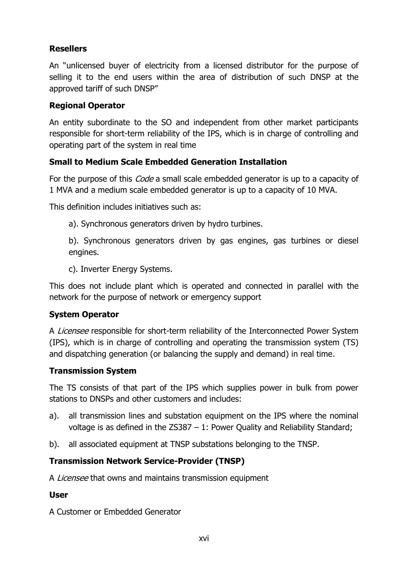## **Resellers**

An "unlicensed buyer of electricity from a licensed distributor for the purpose of selling it to the end users within the area of distribution of such DNSP at the approved tariff of such DNSP"

#### **Regional Operator**

An entity subordinate to the SO and independent from other market participants responsible for short-term reliability of the IPS, which is in charge of controlling and operating part of the system in real time

## **Small to Medium Scale Embedded Generation Installation**

For the purpose of this *Code* a small scale embedded generator is up to a capacity of 1 MVA and a medium scale embedded generator is up to a capacity of 10 MVA.

This definition includes initiatives such as:

a). Synchronous generators driven by hydro turbines.

b). Synchronous generators driven by gas engines, gas turbines or diesel engines.

c). Inverter Energy Systems.

This does not include plant which is operated and connected in parallel with the network for the purpose of network or emergency support

## **System Operator**

A Licensee responsible for short-term reliability of the Interconnected Power System (IPS), which is in charge of controlling and operating the transmission system (TS) and dispatching generation (or balancing the supply and demand) in real time.

#### **Transmission System**

The TS consists of that part of the IPS which supplies power in bulk from power stations to DNSPs and other customers and includes:

- a). all transmission lines and substation equipment on the IPS where the nominal voltage is as defined in the ZS387 – 1: Power Quality and Reliability Standard;
- b). all associated equipment at TNSP substations belonging to the TNSP.

## **Transmission Network Service-Provider (TNSP)**

A *Licensee* that owns and maintains transmission equipment

#### **User**

A Customer or Embedded Generator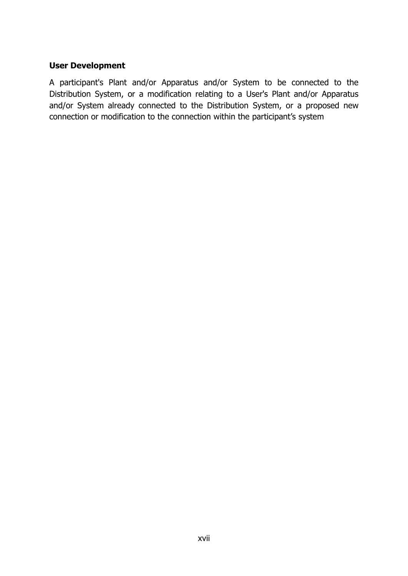#### **User Development**

A participant's Plant and/or Apparatus and/or System to be connected to the Distribution System, or a modification relating to a User's Plant and/or Apparatus and/or System already connected to the Distribution System, or a proposed new connection or modification to the connection within the participant's system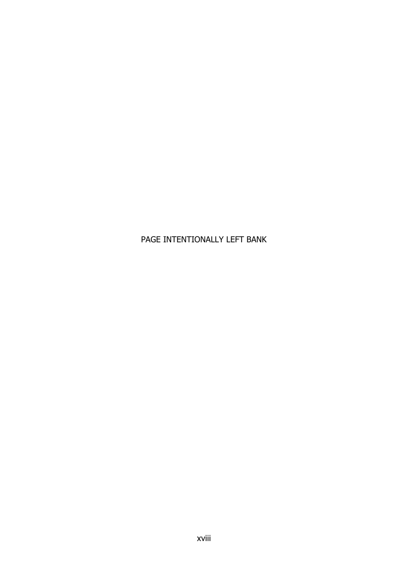# PAGE INTENTIONALLY LEFT BANK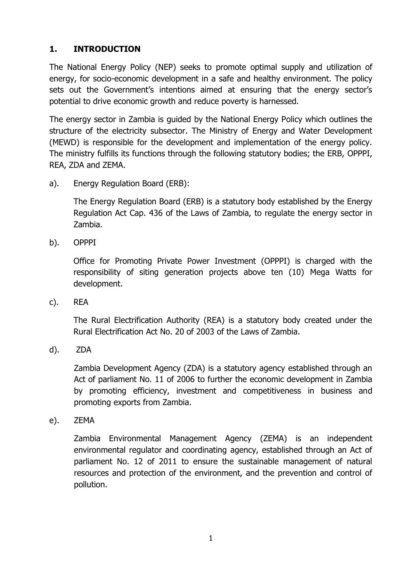## <span id="page-19-0"></span>**1. INTRODUCTION**

The National Energy Policy (NEP) seeks to promote optimal supply and utilization of energy, for socio-economic development in a safe and healthy environment. The policy sets out the Government's intentions aimed at ensuring that the energy sector's potential to drive economic growth and reduce poverty is harnessed.

The energy sector in Zambia is guided by the National Energy Policy which outlines the structure of the electricity subsector. The Ministry of Energy and Water Development (MEWD) is responsible for the development and implementation of the energy policy. The ministry fulfills its functions through the following statutory bodies; the ERB, OPPPI, REA, ZDA and ZEMA.

a). Energy Regulation Board (ERB):

The Energy Regulation Board (ERB) is a statutory body established by the Energy Regulation Act Cap. 436 of the Laws of Zambia, to regulate the energy sector in Zambia.

b). OPPPI

Office for Promoting Private Power Investment (OPPPI) is charged with the responsibility of siting generation projects above ten (10) Mega Watts for development.

c). REA

The Rural Electrification Authority (REA) is a statutory body created under the Rural Electrification Act No. 20 of 2003 of the Laws of Zambia.

d). ZDA

Zambia Development Agency (ZDA) is a statutory agency established through an Act of parliament No. 11 of 2006 to further the economic development in Zambia by promoting efficiency, investment and competitiveness in business and promoting exports from Zambia.

e). ZEMA

Zambia Environmental Management Agency (ZEMA) is an independent environmental regulator and coordinating agency, established through an Act of parliament No. 12 of 2011 to ensure the sustainable management of natural resources and protection of the environment, and the prevention and control of pollution.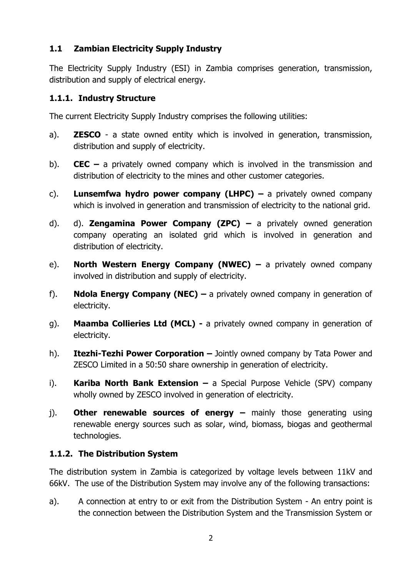## <span id="page-20-0"></span>**1.1 Zambian Electricity Supply Industry**

The Electricity Supply Industry (ESI) in Zambia comprises generation, transmission, distribution and supply of electrical energy.

## <span id="page-20-1"></span>**1.1.1. Industry Structure**

The current Electricity Supply Industry comprises the following utilities:

- a). **ZESCO** a state owned entity which is involved in generation, transmission, distribution and supply of electricity.
- b). **CEC –** a privately owned company which is involved in the transmission and distribution of electricity to the mines and other customer categories.
- c). **Lunsemfwa hydro power company (LHPC) –** a privately owned company which is involved in generation and transmission of electricity to the national grid.
- d). d). **Zengamina Power Company (ZPC) –** a privately owned generation company operating an isolated grid which is involved in generation and distribution of electricity.
- e). **North Western Energy Company (NWEC) –** a privately owned company involved in distribution and supply of electricity.
- f). **Ndola Energy Company (NEC) –** a privately owned company in generation of electricity.
- g). **Maamba Collieries Ltd (MCL) -** a privately owned company in generation of electricity.
- h). **Itezhi-Tezhi Power Corporation –** Jointly owned company by Tata Power and ZESCO Limited in a 50:50 share ownership in generation of electricity.
- i). **Kariba North Bank Extension –** a Special Purpose Vehicle (SPV) company wholly owned by ZESCO involved in generation of electricity.
- i). **Other renewable sources of energy –** mainly those generating using renewable energy sources such as solar, wind, biomass, biogas and geothermal technologies.

# <span id="page-20-2"></span>**1.1.2. The Distribution System**

The distribution system in Zambia is categorized by voltage levels between 11kV and 66kV. The use of the Distribution System may involve any of the following transactions:

a). A connection at entry to or exit from the Distribution System - An entry point is the connection between the Distribution System and the Transmission System or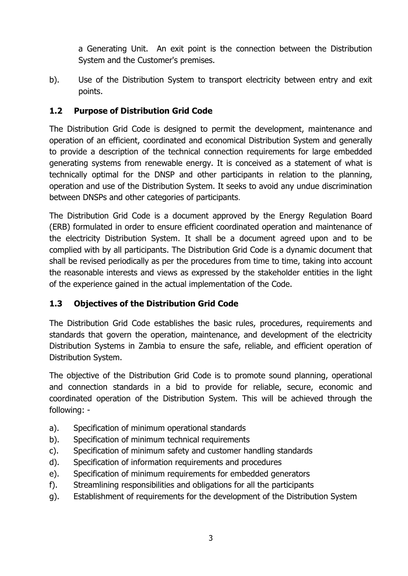a Generating Unit. An exit point is the connection between the Distribution System and the Customer's premises.

b). Use of the Distribution System to transport electricity between entry and exit points.

# <span id="page-21-0"></span>**1.2 Purpose of Distribution Grid Code**

The Distribution Grid Code is designed to permit the development, maintenance and operation of an efficient, coordinated and economical Distribution System and generally to provide a description of the technical connection requirements for large embedded generating systems from renewable energy. It is conceived as a statement of what is technically optimal for the DNSP and other participants in relation to the planning, operation and use of the Distribution System. It seeks to avoid any undue discrimination between DNSPs and other categories of participants.

The Distribution Grid Code is a document approved by the Energy Regulation Board (ERB) formulated in order to ensure efficient coordinated operation and maintenance of the electricity Distribution System. It shall be a document agreed upon and to be complied with by all participants. The Distribution Grid Code is a dynamic document that shall be revised periodically as per the procedures from time to time, taking into account the reasonable interests and views as expressed by the stakeholder entities in the light of the experience gained in the actual implementation of the Code.

# <span id="page-21-1"></span>**1.3 Objectives of the Distribution Grid Code**

The Distribution Grid Code establishes the basic rules, procedures, requirements and standards that govern the operation, maintenance, and development of the electricity Distribution Systems in Zambia to ensure the safe, reliable, and efficient operation of Distribution System.

The objective of the Distribution Grid Code is to promote sound planning, operational and connection standards in a bid to provide for reliable, secure, economic and coordinated operation of the Distribution System. This will be achieved through the following: -

- a). Specification of minimum operational standards
- b). Specification of minimum technical requirements
- c). Specification of minimum safety and customer handling standards
- d). Specification of information requirements and procedures
- e). Specification of minimum requirements for embedded generators
- f). Streamlining responsibilities and obligations for all the participants
- g). Establishment of requirements for the development of the Distribution System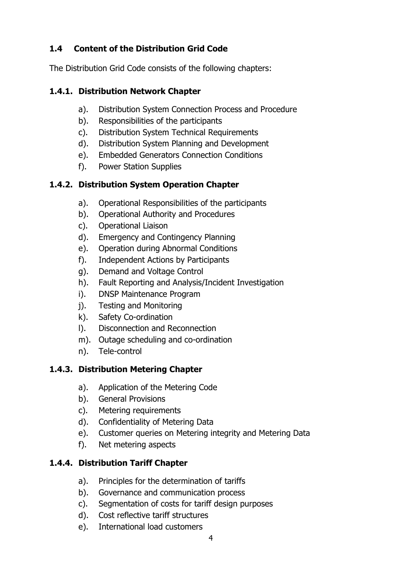# <span id="page-22-0"></span>**1.4 Content of the Distribution Grid Code**

The Distribution Grid Code consists of the following chapters:

# <span id="page-22-1"></span>**1.4.1. Distribution Network Chapter**

- a). Distribution System Connection Process and Procedure
- b). Responsibilities of the participants
- c). Distribution System Technical Requirements
- d). Distribution System Planning and Development
- e). Embedded Generators Connection Conditions
- f). Power Station Supplies

# <span id="page-22-2"></span>**1.4.2. Distribution System Operation Chapter**

- a). Operational Responsibilities of the participants
- b). Operational Authority and Procedures
- c). Operational Liaison
- d). Emergency and Contingency Planning
- e). Operation during Abnormal Conditions
- f). Independent Actions by Participants
- g). Demand and Voltage Control
- h). Fault Reporting and Analysis/Incident Investigation
- i). DNSP Maintenance Program
- j). Testing and Monitoring
- k). Safety Co-ordination
- l). Disconnection and Reconnection
- m). Outage scheduling and co-ordination
- n). Tele-control

# <span id="page-22-3"></span>**1.4.3. Distribution Metering Chapter**

- a). Application of the Metering Code
- b). General Provisions
- c). Metering requirements
- d). Confidentiality of Metering Data
- e). Customer queries on Metering integrity and Metering Data
- f). Net metering aspects

# <span id="page-22-4"></span>**1.4.4. Distribution Tariff Chapter**

- a). Principles for the determination of tariffs
- b). Governance and communication process
- c). Segmentation of costs for tariff design purposes
- d). Cost reflective tariff structures
- e). International load customers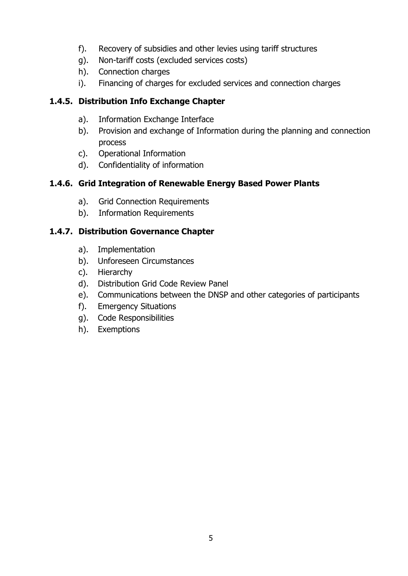- f). Recovery of subsidies and other levies using tariff structures
- g). Non-tariff costs (excluded services costs)
- h). Connection charges
- i). Financing of charges for excluded services and connection charges

# <span id="page-23-0"></span>**1.4.5. Distribution Info Exchange Chapter**

- a). Information Exchange Interface
- b). Provision and exchange of Information during the planning and connection process
- c). Operational Information
- d). Confidentiality of information

# <span id="page-23-1"></span>**1.4.6. Grid Integration of Renewable Energy Based Power Plants**

- a). Grid Connection Requirements
- b). Information Requirements

# <span id="page-23-2"></span>**1.4.7. Distribution Governance Chapter**

- a). Implementation
- b). Unforeseen Circumstances
- c). Hierarchy
- d). Distribution Grid Code Review Panel
- e). Communications between the DNSP and other categories of participants
- f). Emergency Situations
- g). Code Responsibilities
- h). Exemptions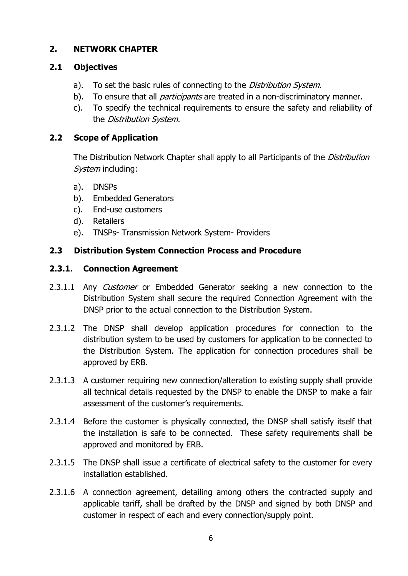## <span id="page-24-0"></span>**2. NETWORK CHAPTER**

## <span id="page-24-1"></span>**2.1 Objectives**

- a). To set the basic rules of connecting to the *Distribution System*.
- b). To ensure that all *participants* are treated in a non-discriminatory manner.
- c). To specify the technical requirements to ensure the safety and reliability of the Distribution System.

# <span id="page-24-2"></span>**2.2 Scope of Application**

The Distribution Network Chapter shall apply to all Participants of the *Distribution* System including:

- a). DNSPs
- b). Embedded Generators
- c). End-use customers
- d). Retailers
- e). TNSPs- Transmission Network System- Providers

## <span id="page-24-3"></span>**2.3 Distribution System Connection Process and Procedure**

## <span id="page-24-4"></span>**2.3.1. Connection Agreement**

- 2.3.1.1 Any *Customer* or Embedded Generator seeking a new connection to the Distribution System shall secure the required Connection Agreement with the DNSP prior to the actual connection to the Distribution System.
- 2.3.1.2 The DNSP shall develop application procedures for connection to the distribution system to be used by customers for application to be connected to the Distribution System. The application for connection procedures shall be approved by ERB.
- 2.3.1.3 A customer requiring new connection/alteration to existing supply shall provide all technical details requested by the DNSP to enable the DNSP to make a fair assessment of the customer's requirements.
- 2.3.1.4 Before the customer is physically connected, the DNSP shall satisfy itself that the installation is safe to be connected. These safety requirements shall be approved and monitored by ERB.
- 2.3.1.5 The DNSP shall issue a certificate of electrical safety to the customer for every installation established.
- 2.3.1.6 A connection agreement, detailing among others the contracted supply and applicable tariff, shall be drafted by the DNSP and signed by both DNSP and customer in respect of each and every connection/supply point.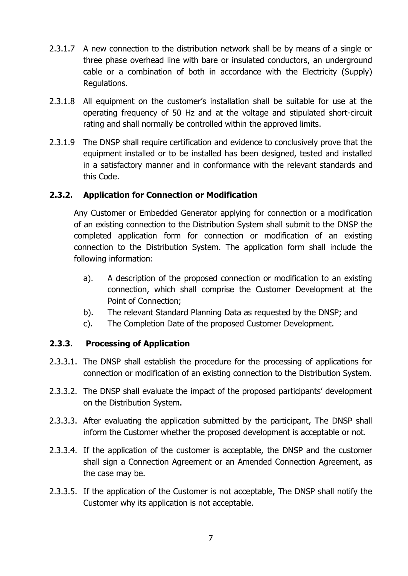- 2.3.1.7 A new connection to the distribution network shall be by means of a single or three phase overhead line with bare or insulated conductors, an underground cable or a combination of both in accordance with the Electricity (Supply) Regulations.
- 2.3.1.8 All equipment on the customer's installation shall be suitable for use at the operating frequency of 50 Hz and at the voltage and stipulated short-circuit rating and shall normally be controlled within the approved limits.
- 2.3.1.9 The DNSP shall require certification and evidence to conclusively prove that the equipment installed or to be installed has been designed, tested and installed in a satisfactory manner and in conformance with the relevant standards and this Code.

## <span id="page-25-0"></span>**2.3.2. Application for Connection or Modification**

Any Customer or Embedded Generator applying for connection or a modification of an existing connection to the Distribution System shall submit to the DNSP the completed application form for connection or modification of an existing connection to the Distribution System. The application form shall include the following information:

- a). A description of the proposed connection or modification to an existing connection, which shall comprise the Customer Development at the Point of Connection;
- b). The relevant Standard Planning Data as requested by the DNSP; and
- <span id="page-25-1"></span>c). The Completion Date of the proposed Customer Development.

#### **2.3.3. Processing of Application**

- 2.3.3.1. The DNSP shall establish the procedure for the processing of applications for connection or modification of an existing connection to the Distribution System.
- 2.3.3.2. The DNSP shall evaluate the impact of the proposed participants' development on the Distribution System.
- 2.3.3.3. After evaluating the application submitted by the participant, The DNSP shall inform the Customer whether the proposed development is acceptable or not.
- 2.3.3.4. If the application of the customer is acceptable, the DNSP and the customer shall sign a Connection Agreement or an Amended Connection Agreement, as the case may be.
- 2.3.3.5. If the application of the Customer is not acceptable, The DNSP shall notify the Customer why its application is not acceptable.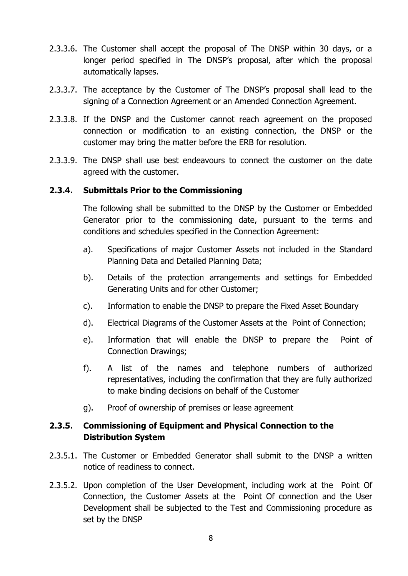- 2.3.3.6. The Customer shall accept the proposal of The DNSP within 30 days, or a longer period specified in The DNSP's proposal, after which the proposal automatically lapses.
- 2.3.3.7. The acceptance by the Customer of The DNSP's proposal shall lead to the signing of a Connection Agreement or an Amended Connection Agreement.
- 2.3.3.8. If the DNSP and the Customer cannot reach agreement on the proposed connection or modification to an existing connection, the DNSP or the customer may bring the matter before the ERB for resolution.
- 2.3.3.9. The DNSP shall use best endeavours to connect the customer on the date agreed with the customer.

#### <span id="page-26-0"></span>**2.3.4. Submittals Prior to the Commissioning**

The following shall be submitted to the DNSP by the Customer or Embedded Generator prior to the commissioning date, pursuant to the terms and conditions and schedules specified in the Connection Agreement:

- a). Specifications of major Customer Assets not included in the Standard Planning Data and Detailed Planning Data;
- b). Details of the protection arrangements and settings for Embedded Generating Units and for other Customer;
- c). Information to enable the DNSP to prepare the Fixed Asset Boundary
- d). Electrical Diagrams of the Customer Assets at the Point of Connection;
- e). Information that will enable the DNSP to prepare the Point of Connection Drawings;
- f). A list of the names and telephone numbers of authorized representatives, including the confirmation that they are fully authorized to make binding decisions on behalf of the Customer
- g). Proof of ownership of premises or lease agreement

## <span id="page-26-1"></span>**2.3.5. Commissioning of Equipment and Physical Connection to the Distribution System**

- 2.3.5.1. The Customer or Embedded Generator shall submit to the DNSP a written notice of readiness to connect.
- 2.3.5.2. Upon completion of the User Development, including work at the Point Of Connection, the Customer Assets at the Point Of connection and the User Development shall be subjected to the Test and Commissioning procedure as set by the DNSP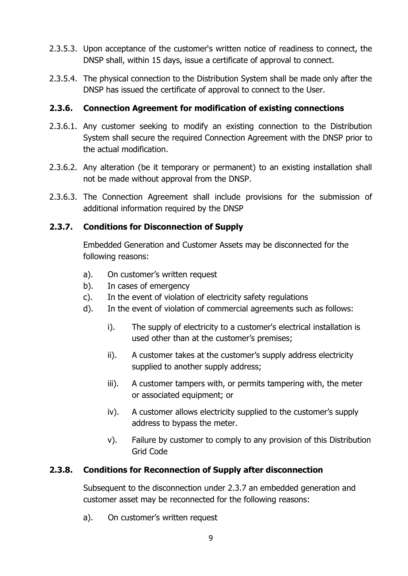- 2.3.5.3. Upon acceptance of the customer's written notice of readiness to connect, the DNSP shall, within 15 days, issue a certificate of approval to connect.
- 2.3.5.4. The physical connection to the Distribution System shall be made only after the DNSP has issued the certificate of approval to connect to the User.

## <span id="page-27-0"></span>**2.3.6. Connection Agreement for modification of existing connections**

- 2.3.6.1. Any customer seeking to modify an existing connection to the Distribution System shall secure the required Connection Agreement with the DNSP prior to the actual modification.
- 2.3.6.2. Any alteration (be it temporary or permanent) to an existing installation shall not be made without approval from the DNSP.
- 2.3.6.3. The Connection Agreement shall include provisions for the submission of additional information required by the DNSP

## <span id="page-27-1"></span>**2.3.7. Conditions for Disconnection of Supply**

Embedded Generation and Customer Assets may be disconnected for the following reasons:

- a). On customer's written request
- b). In cases of emergency
- c). In the event of violation of electricity safety regulations
- d). In the event of violation of commercial agreements such as follows:
	- i). The supply of electricity to a customer's electrical installation is used other than at the customer's premises;
	- ii). A customer takes at the customer's supply address electricity supplied to another supply address;
	- iii). A customer tampers with, or permits tampering with, the meter or associated equipment; or
	- iv). A customer allows electricity supplied to the customer's supply address to bypass the meter.
	- v). Failure by customer to comply to any provision of this Distribution Grid Code

#### <span id="page-27-2"></span>**2.3.8. Conditions for Reconnection of Supply after disconnection**

Subsequent to the disconnection under 2.3.7 an embedded generation and customer asset may be reconnected for the following reasons:

a). On customer's written request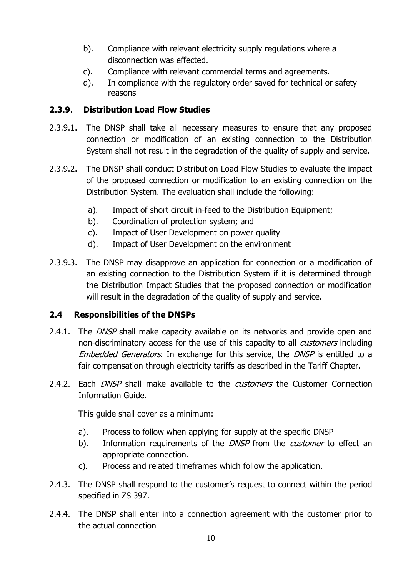- b). Compliance with relevant electricity supply regulations where a disconnection was effected.
- c). Compliance with relevant commercial terms and agreements.
- d). In compliance with the regulatory order saved for technical or safety reasons

## <span id="page-28-0"></span>**2.3.9. Distribution Load Flow Studies**

- 2.3.9.1. The DNSP shall take all necessary measures to ensure that any proposed connection or modification of an existing connection to the Distribution System shall not result in the degradation of the quality of supply and service.
- 2.3.9.2. The DNSP shall conduct Distribution Load Flow Studies to evaluate the impact of the proposed connection or modification to an existing connection on the Distribution System. The evaluation shall include the following:
	- a). Impact of short circuit in-feed to the Distribution Equipment;
	- b). Coordination of protection system; and
	- c). Impact of User Development on power quality
	- d). Impact of User Development on the environment
- 2.3.9.3. The DNSP may disapprove an application for connection or a modification of an existing connection to the Distribution System if it is determined through the Distribution Impact Studies that the proposed connection or modification will result in the degradation of the quality of supply and service.

#### <span id="page-28-1"></span>**2.4 Responsibilities of the DNSPs**

- 2.4.1. The DNSP shall make capacity available on its networks and provide open and non-discriminatory access for the use of this capacity to all *customers* including Embedded Generators. In exchange for this service, the DNSP is entitled to a fair compensation through electricity tariffs as described in the Tariff Chapter.
- 2.4.2. Each *DNSP* shall make available to the *customers* the Customer Connection Information Guide.

This guide shall cover as a minimum:

- a). Process to follow when applying for supply at the specific DNSP
- b). Information requirements of the *DNSP* from the *customer* to effect an appropriate connection.
- c). Process and related timeframes which follow the application.
- 2.4.3. The DNSP shall respond to the customer's request to connect within the period specified in ZS 397.
- 2.4.4. The DNSP shall enter into a connection agreement with the customer prior to the actual connection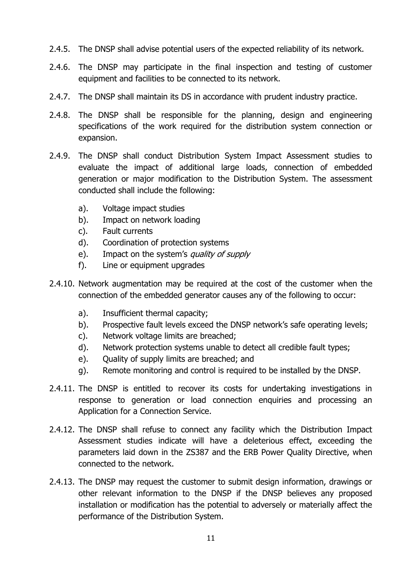- 2.4.5. The DNSP shall advise potential users of the expected reliability of its network.
- 2.4.6. The DNSP may participate in the final inspection and testing of customer equipment and facilities to be connected to its network.
- 2.4.7. The DNSP shall maintain its DS in accordance with prudent industry practice.
- 2.4.8. The DNSP shall be responsible for the planning, design and engineering specifications of the work required for the distribution system connection or expansion.
- 2.4.9. The DNSP shall conduct Distribution System Impact Assessment studies to evaluate the impact of additional large loads, connection of embedded generation or major modification to the Distribution System. The assessment conducted shall include the following:
	- a). Voltage impact studies
	- b). Impact on network loading
	- c). Fault currents
	- d). Coordination of protection systems
	- e). Impact on the system's *quality of supply*
	- f). Line or equipment upgrades
- 2.4.10. Network augmentation may be required at the cost of the customer when the connection of the embedded generator causes any of the following to occur:
	- a). Insufficient thermal capacity;
	- b). Prospective fault levels exceed the DNSP network's safe operating levels;
	- c). Network voltage limits are breached;
	- d). Network protection systems unable to detect all credible fault types;
	- e). Ouality of supply limits are breached; and
	- g). Remote monitoring and control is required to be installed by the DNSP.
- 2.4.11. The DNSP is entitled to recover its costs for undertaking investigations in response to generation or load connection enquiries and processing an Application for a Connection Service.
- 2.4.12. The DNSP shall refuse to connect any facility which the Distribution Impact Assessment studies indicate will have a deleterious effect, exceeding the parameters laid down in the ZS387 and the ERB Power Quality Directive, when connected to the network.
- 2.4.13. The DNSP may request the customer to submit design information, drawings or other relevant information to the DNSP if the DNSP believes any proposed installation or modification has the potential to adversely or materially affect the performance of the Distribution System.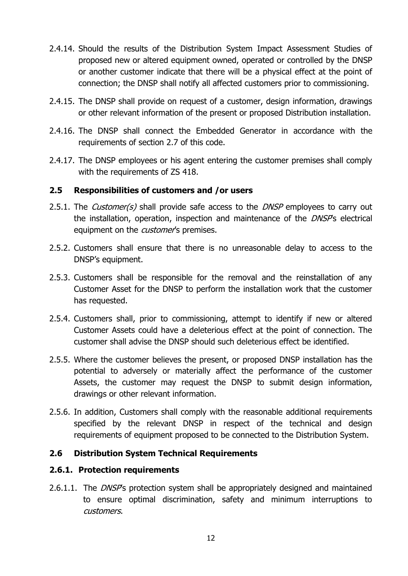- 2.4.14. Should the results of the Distribution System Impact Assessment Studies of proposed new or altered equipment owned, operated or controlled by the DNSP or another customer indicate that there will be a physical effect at the point of connection; the DNSP shall notify all affected customers prior to commissioning.
- 2.4.15. The DNSP shall provide on request of a customer, design information, drawings or other relevant information of the present or proposed Distribution installation.
- 2.4.16. The DNSP shall connect the Embedded Generator in accordance with the requirements of section 2.7 of this code.
- 2.4.17. The DNSP employees or his agent entering the customer premises shall comply with the requirements of ZS 418.

#### <span id="page-30-0"></span>**2.5 Responsibilities of customers and /or users**

- 2.5.1. The *Customer(s)* shall provide safe access to the *DNSP* employees to carry out the installation, operation, inspection and maintenance of the *DNSP*'s electrical equipment on the *customer'*s premises.
- 2.5.2. Customers shall ensure that there is no unreasonable delay to access to the DNSP's equipment.
- 2.5.3. Customers shall be responsible for the removal and the reinstallation of any Customer Asset for the DNSP to perform the installation work that the customer has requested.
- 2.5.4. Customers shall, prior to commissioning, attempt to identify if new or altered Customer Assets could have a deleterious effect at the point of connection. The customer shall advise the DNSP should such deleterious effect be identified.
- 2.5.5. Where the customer believes the present, or proposed DNSP installation has the potential to adversely or materially affect the performance of the customer Assets, the customer may request the DNSP to submit design information, drawings or other relevant information.
- 2.5.6. In addition, Customers shall comply with the reasonable additional requirements specified by the relevant DNSP in respect of the technical and design requirements of equipment proposed to be connected to the Distribution System.

#### <span id="page-30-1"></span>**2.6 Distribution System Technical Requirements**

#### <span id="page-30-2"></span>**2.6.1. Protection requirements**

2.6.1.1. The *DNSP*'s protection system shall be appropriately designed and maintained to ensure optimal discrimination, safety and minimum interruptions to customers.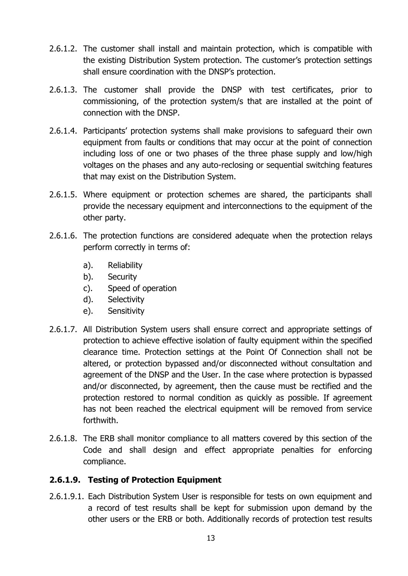- 2.6.1.2. The customer shall install and maintain protection, which is compatible with the existing Distribution System protection. The customer's protection settings shall ensure coordination with the DNSP's protection.
- 2.6.1.3. The customer shall provide the DNSP with test certificates, prior to commissioning, of the protection system/s that are installed at the point of connection with the DNSP.
- 2.6.1.4. Participants' protection systems shall make provisions to safeguard their own equipment from faults or conditions that may occur at the point of connection including loss of one or two phases of the three phase supply and low/high voltages on the phases and any auto-reclosing or sequential switching features that may exist on the Distribution System.
- 2.6.1.5. Where equipment or protection schemes are shared, the participants shall provide the necessary equipment and interconnections to the equipment of the other party.
- 2.6.1.6. The protection functions are considered adequate when the protection relays perform correctly in terms of:
	- a). Reliability
	- b). Security
	- c). Speed of operation
	- d). Selectivity
	- e). Sensitivity
- 2.6.1.7. All Distribution System users shall ensure correct and appropriate settings of protection to achieve effective isolation of faulty equipment within the specified clearance time. Protection settings at the Point Of Connection shall not be altered, or protection bypassed and/or disconnected without consultation and agreement of the DNSP and the User. In the case where protection is bypassed and/or disconnected, by agreement, then the cause must be rectified and the protection restored to normal condition as quickly as possible. If agreement has not been reached the electrical equipment will be removed from service forthwith.
- 2.6.1.8. The ERB shall monitor compliance to all matters covered by this section of the Code and shall design and effect appropriate penalties for enforcing compliance.

## **2.6.1.9. Testing of Protection Equipment**

2.6.1.9.1. Each Distribution System User is responsible for tests on own equipment and a record of test results shall be kept for submission upon demand by the other users or the ERB or both. Additionally records of protection test results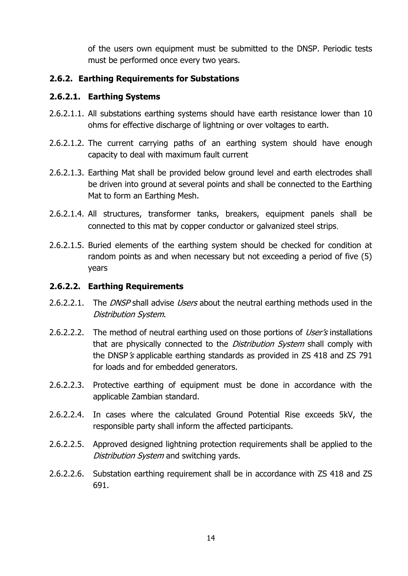of the users own equipment must be submitted to the DNSP. Periodic tests must be performed once every two years.

## <span id="page-32-0"></span>**2.6.2. Earthing Requirements for Substations**

## **2.6.2.1. Earthing Systems**

- 2.6.2.1.1. All substations earthing systems should have earth resistance lower than 10 ohms for effective discharge of lightning or over voltages to earth.
- 2.6.2.1.2. The current carrying paths of an earthing system should have enough capacity to deal with maximum fault current
- 2.6.2.1.3. Earthing Mat shall be provided below ground level and earth electrodes shall be driven into ground at several points and shall be connected to the Earthing Mat to form an Earthing Mesh.
- 2.6.2.1.4. All structures, transformer tanks, breakers, equipment panels shall be connected to this mat by copper conductor or galvanized steel strips.
- 2.6.2.1.5. Buried elements of the earthing system should be checked for condition at random points as and when necessary but not exceeding a period of five (5) years

## **2.6.2.2. Earthing Requirements**

- 2.6.2.2.1. The *DNSP* shall advise *Users* about the neutral earthing methods used in the Distribution System.
- 2.6.2.2.2. The method of neutral earthing used on those portions of User's installations that are physically connected to the *Distribution System* shall comply with the DNSP's applicable earthing standards as provided in ZS 418 and ZS 791 for loads and for embedded generators.
- 2.6.2.2.3. Protective earthing of equipment must be done in accordance with the applicable Zambian standard.
- 2.6.2.2.4. In cases where the calculated Ground Potential Rise exceeds 5kV, the responsible party shall inform the affected participants.
- 2.6.2.2.5. Approved designed lightning protection requirements shall be applied to the Distribution System and switching yards.
- 2.6.2.2.6. Substation earthing requirement shall be in accordance with ZS 418 and ZS 691.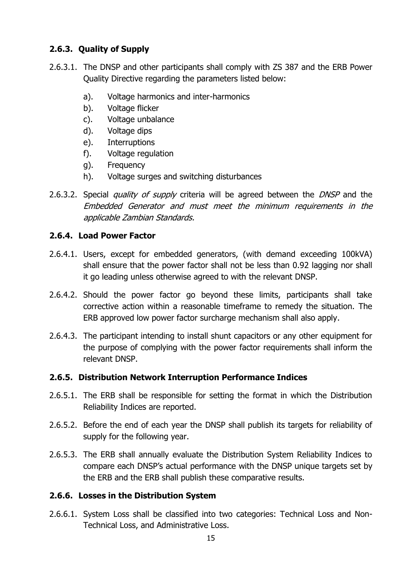# <span id="page-33-0"></span>**2.6.3. Quality of Supply**

- 2.6.3.1. The DNSP and other participants shall comply with ZS 387 and the ERB Power Quality Directive regarding the parameters listed below:
	- a). Voltage harmonics and inter-harmonics
	- b). Voltage flicker
	- c). Voltage unbalance
	- d). Voltage dips
	- e). Interruptions
	- f). Voltage regulation
	- g). Frequency
	- h). Voltage surges and switching disturbances
- 2.6.3.2. Special *quality of supply* criteria will be agreed between the *DNSP* and the Embedded Generator and must meet the minimum requirements in the applicable Zambian Standards.

## <span id="page-33-1"></span>**2.6.4. Load Power Factor**

- 2.6.4.1. Users, except for embedded generators, (with demand exceeding 100kVA) shall ensure that the power factor shall not be less than 0.92 lagging nor shall it go leading unless otherwise agreed to with the relevant DNSP.
- 2.6.4.2. Should the power factor go beyond these limits, participants shall take corrective action within a reasonable timeframe to remedy the situation. The ERB approved low power factor surcharge mechanism shall also apply.
- 2.6.4.3. The participant intending to install shunt capacitors or any other equipment for the purpose of complying with the power factor requirements shall inform the relevant DNSP.

#### <span id="page-33-2"></span>**2.6.5. Distribution Network Interruption Performance Indices**

- 2.6.5.1. The ERB shall be responsible for setting the format in which the Distribution Reliability Indices are reported.
- 2.6.5.2. Before the end of each year the DNSP shall publish its targets for reliability of supply for the following year.
- 2.6.5.3. The ERB shall annually evaluate the Distribution System Reliability Indices to compare each DNSP's actual performance with the DNSP unique targets set by the ERB and the ERB shall publish these comparative results.

#### <span id="page-33-3"></span>**2.6.6. Losses in the Distribution System**

2.6.6.1. System Loss shall be classified into two categories: Technical Loss and Non-Technical Loss, and Administrative Loss.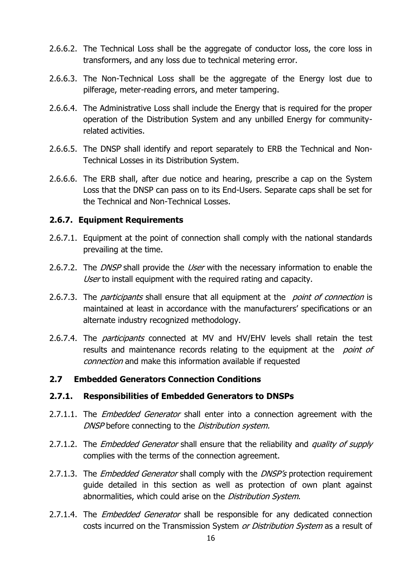- 2.6.6.2. The Technical Loss shall be the aggregate of conductor loss, the core loss in transformers, and any loss due to technical metering error.
- 2.6.6.3. The Non-Technical Loss shall be the aggregate of the Energy lost due to pilferage, meter-reading errors, and meter tampering.
- 2.6.6.4. The Administrative Loss shall include the Energy that is required for the proper operation of the Distribution System and any unbilled Energy for communityrelated activities.
- 2.6.6.5. The DNSP shall identify and report separately to ERB the Technical and Non-Technical Losses in its Distribution System.
- 2.6.6.6. The ERB shall, after due notice and hearing, prescribe a cap on the System Loss that the DNSP can pass on to its End-Users. Separate caps shall be set for the Technical and Non-Technical Losses.

#### <span id="page-34-0"></span>**2.6.7. Equipment Requirements**

- 2.6.7.1. Equipment at the point of connection shall comply with the national standards prevailing at the time.
- 2.6.7.2. The *DNSP* shall provide the *User* with the necessary information to enable the User to install equipment with the required rating and capacity.
- 2.6.7.3. The *participants* shall ensure that all equipment at the *point of connection* is maintained at least in accordance with the manufacturers' specifications or an alternate industry recognized methodology.
- 2.6.7.4. The *participants* connected at MV and HV/EHV levels shall retain the test results and maintenance records relating to the equipment at the *point of* connection and make this information available if requested

#### <span id="page-34-1"></span>**2.7 Embedded Generators Connection Conditions**

#### <span id="page-34-2"></span>**2.7.1. Responsibilities of Embedded Generators to DNSPs**

- 2.7.1.1. The *Embedded Generator* shall enter into a connection agreement with the DNSP before connecting to the Distribution system.
- 2.7.1.2. The *Embedded Generator* shall ensure that the reliability and *quality of supply* complies with the terms of the connection agreement.
- 2.7.1.3. The *Embedded Generator* shall comply with the *DNSP's* protection requirement guide detailed in this section as well as protection of own plant against abnormalities, which could arise on the *Distribution System*.
- 2.7.1.4. The *Embedded Generator* shall be responsible for any dedicated connection costs incurred on the Transmission System or Distribution System as a result of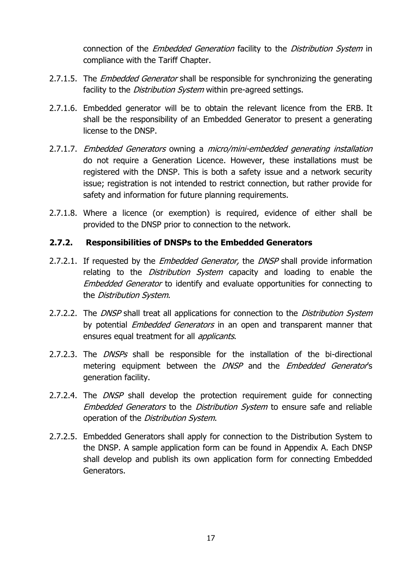connection of the Embedded Generation facility to the Distribution System in compliance with the Tariff Chapter.

- 2.7.1.5. The *Embedded Generator* shall be responsible for synchronizing the generating facility to the *Distribution System* within pre-agreed settings.
- 2.7.1.6. Embedded generator will be to obtain the relevant licence from the ERB. It shall be the responsibility of an Embedded Generator to present a generating license to the DNSP.
- 2.7.1.7. Embedded Generators owning a micro/mini-embedded generating installation do not require a Generation Licence. However, these installations must be registered with the DNSP. This is both a safety issue and a network security issue; registration is not intended to restrict connection, but rather provide for safety and information for future planning requirements.
- 2.7.1.8. Where a licence (or exemption) is required, evidence of either shall be provided to the DNSP prior to connection to the network.

#### <span id="page-35-0"></span>**2.7.2. Responsibilities of DNSPs to the Embedded Generators**

- 2.7.2.1. If requested by the *Embedded Generator*, the *DNSP* shall provide information relating to the *Distribution System* capacity and loading to enable the Embedded Generator to identify and evaluate opportunities for connecting to the Distribution System.
- 2.7.2.2. The *DNSP* shall treat all applications for connection to the *Distribution System* by potential *Embedded Generators* in an open and transparent manner that ensures equal treatment for all *applicants*.
- 2.7.2.3. The *DNSPs* shall be responsible for the installation of the bi-directional metering equipment between the DNSP and the Embedded Generator's generation facility.
- 2.7.2.4. The *DNSP* shall develop the protection requirement quide for connecting Embedded Generators to the Distribution System to ensure safe and reliable operation of the Distribution System.
- 2.7.2.5. Embedded Generators shall apply for connection to the Distribution System to the DNSP. A sample application form can be found in Appendix A. Each DNSP shall develop and publish its own application form for connecting Embedded Generators.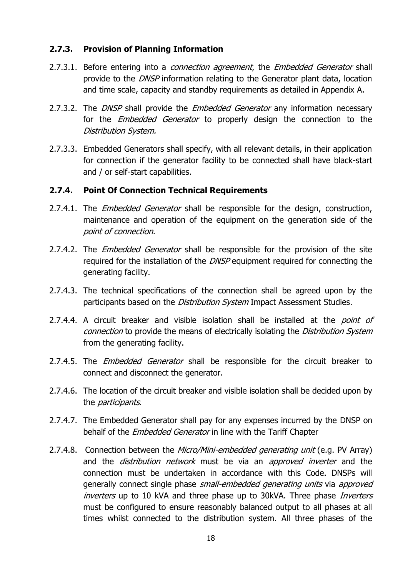## **2.7.3. Provision of Planning Information**

- 2.7.3.1. Before entering into a *connection agreement*, the *Embedded Generator* shall provide to the DNSP information relating to the Generator plant data, location and time scale, capacity and standby requirements as detailed in Appendix A.
- 2.7.3.2. The *DNSP* shall provide the *Embedded Generator* any information necessary for the *Embedded Generator* to properly design the connection to the Distribution System.
- 2.7.3.3. Embedded Generators shall specify, with all relevant details, in their application for connection if the generator facility to be connected shall have black-start and / or self-start capabilities.

## **2.7.4. Point Of Connection Technical Requirements**

- 2.7.4.1. The *Embedded Generator* shall be responsible for the design, construction, maintenance and operation of the equipment on the generation side of the point of connection.
- 2.7.4.2. The *Embedded Generator* shall be responsible for the provision of the site required for the installation of the *DNSP* equipment required for connecting the generating facility.
- 2.7.4.3. The technical specifications of the connection shall be agreed upon by the participants based on the *Distribution System* Impact Assessment Studies.
- 2.7.4.4. A circuit breaker and visible isolation shall be installed at the *point of* connection to provide the means of electrically isolating the Distribution System from the generating facility.
- 2.7.4.5. The *Embedded Generator* shall be responsible for the circuit breaker to connect and disconnect the generator.
- 2.7.4.6. The location of the circuit breaker and visible isolation shall be decided upon by the participants.
- 2.7.4.7. The Embedded Generator shall pay for any expenses incurred by the DNSP on behalf of the *Embedded Generator* in line with the Tariff Chapter
- 2.7.4.8. Connection between the Micro/Mini-embedded generating unit (e.g. PV Array) and the *distribution network* must be via an *approved inverter* and the connection must be undertaken in accordance with this Code. DNSPs will generally connect single phase small-embedded generating units via approved inverters up to 10 kVA and three phase up to 30kVA. Three phase *Inverters* must be configured to ensure reasonably balanced output to all phases at all times whilst connected to the distribution system. All three phases of the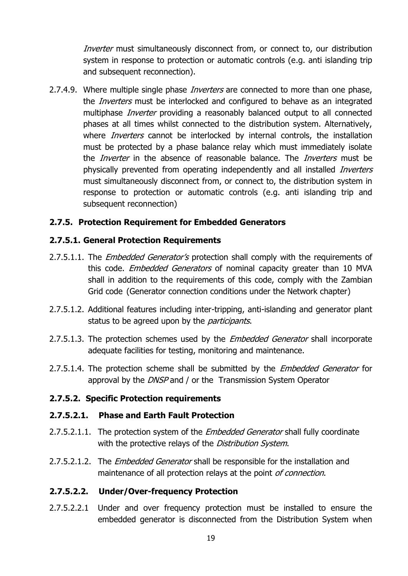Inverter must simultaneously disconnect from, or connect to, our distribution system in response to protection or automatic controls (e.g. anti islanding trip and subsequent reconnection).

2.7.4.9. Where multiple single phase *Inverters* are connected to more than one phase, the *Inverters* must be interlocked and configured to behave as an integrated multiphase *Inverter* providing a reasonably balanced output to all connected phases at all times whilst connected to the distribution system. Alternatively, where *Inverters* cannot be interlocked by internal controls, the installation must be protected by a phase balance relay which must immediately isolate the *Inverter* in the absence of reasonable balance. The *Inverters* must be physically prevented from operating independently and all installed *Inverters* must simultaneously disconnect from, or connect to, the distribution system in response to protection or automatic controls (e.g. anti islanding trip and subsequent reconnection)

## **2.7.5. Protection Requirement for Embedded Generators**

## **2.7.5.1. General Protection Requirements**

- 2.7.5.1.1. The *Embedded Generator's* protection shall comply with the requirements of this code. *Embedded Generators* of nominal capacity greater than 10 MVA shall in addition to the requirements of this code, comply with the Zambian Grid code (Generator connection conditions under the Network chapter)
- 2.7.5.1.2. Additional features including inter-tripping, anti-islanding and generator plant status to be agreed upon by the *participants*.
- 2.7.5.1.3. The protection schemes used by the *Embedded Generator* shall incorporate adequate facilities for testing, monitoring and maintenance.
- 2.7.5.1.4. The protection scheme shall be submitted by the *Embedded Generator* for approval by the *DNSP* and / or the Transmission System Operator

## **2.7.5.2. Specific Protection requirements**

#### **2.7.5.2.1. Phase and Earth Fault Protection**

- 2.7.5.2.1.1. The protection system of the *Embedded Generator* shall fully coordinate with the protective relays of the *Distribution System*.
- 2.7.5.2.1.2. The *Embedded Generator* shall be responsible for the installation and maintenance of all protection relays at the point of connection.

## **2.7.5.2.2. Under/Over-frequency Protection**

2.7.5.2.2.1 Under and over frequency protection must be installed to ensure the embedded generator is disconnected from the Distribution System when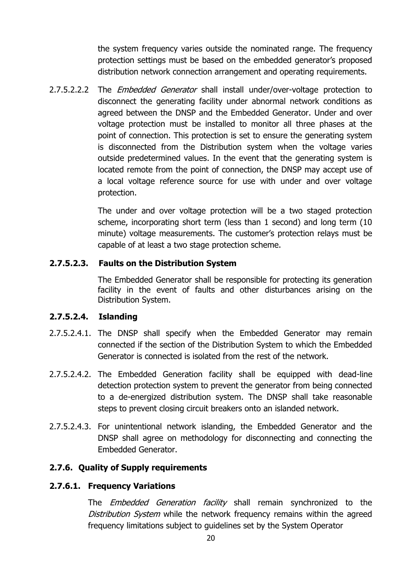the system frequency varies outside the nominated range. The frequency protection settings must be based on the embedded generator's proposed distribution network connection arrangement and operating requirements.

2.7.5.2.2.2 The *Embedded Generator* shall install under/over-voltage protection to disconnect the generating facility under abnormal network conditions as agreed between the DNSP and the Embedded Generator. Under and over voltage protection must be installed to monitor all three phases at the point of connection. This protection is set to ensure the generating system is disconnected from the Distribution system when the voltage varies outside predetermined values. In the event that the generating system is located remote from the point of connection, the DNSP may accept use of a local voltage reference source for use with under and over voltage protection.

> The under and over voltage protection will be a two staged protection scheme, incorporating short term (less than 1 second) and long term (10 minute) voltage measurements. The customer's protection relays must be capable of at least a two stage protection scheme.

## **2.7.5.2.3. Faults on the Distribution System**

The Embedded Generator shall be responsible for protecting its generation facility in the event of faults and other disturbances arising on the Distribution System.

## **2.7.5.2.4. Islanding**

- 2.7.5.2.4.1. The DNSP shall specify when the Embedded Generator may remain connected if the section of the Distribution System to which the Embedded Generator is connected is isolated from the rest of the network.
- 2.7.5.2.4.2. The Embedded Generation facility shall be equipped with dead-line detection protection system to prevent the generator from being connected to a de-energized distribution system. The DNSP shall take reasonable steps to prevent closing circuit breakers onto an islanded network.
- 2.7.5.2.4.3. For unintentional network islanding, the Embedded Generator and the DNSP shall agree on methodology for disconnecting and connecting the Embedded Generator.

## **2.7.6. Quality of Supply requirements**

## **2.7.6.1. Frequency Variations**

The *Embedded Generation facility* shall remain synchronized to the Distribution System while the network frequency remains within the agreed frequency limitations subject to guidelines set by the System Operator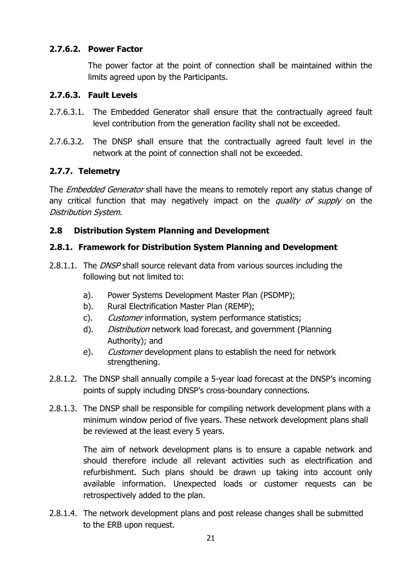## **2.7.6.2. Power Factor**

The power factor at the point of connection shall be maintained within the limits agreed upon by the Participants.

## **2.7.6.3. Fault Levels**

- 2.7.6.3.1. The Embedded Generator shall ensure that the contractually agreed fault level contribution from the generation facility shall not be exceeded.
- 2.7.6.3.2. The DNSP shall ensure that the contractually agreed fault level in the network at the point of connection shall not be exceeded.

## **2.7.7. Telemetry**

The *Embedded Generator* shall have the means to remotely report any status change of any critical function that may negatively impact on the *quality of supply* on the Distribution System.

## **2.8 Distribution System Planning and Development**

## **2.8.1. Framework for Distribution System Planning and Development**

- 2.8.1.1. The *DNSP* shall source relevant data from various sources including the following but not limited to:
	- a). Power Systems Development Master Plan (PSDMP);
	- b). Rural Electrification Master Plan (REMP);
	- c). Customer information, system performance statistics;
	- d). *Distribution* network load forecast, and government (Planning Authority); and
	- e). Customer development plans to establish the need for network strengthening.
- 2.8.1.2. The DNSP shall annually compile a 5-year load forecast at the DNSP's incoming points of supply including DNSP's cross-boundary connections.
- 2.8.1.3. The DNSP shall be responsible for compiling network development plans with a minimum window period of five years. These network development plans shall be reviewed at the least every 5 years.

The aim of network development plans is to ensure a capable network and should therefore include all relevant activities such as electrification and refurbishment. Such plans should be drawn up taking into account only available information. Unexpected loads or customer requests can be retrospectively added to the plan.

2.8.1.4. The network development plans and post release changes shall be submitted to the ERB upon request.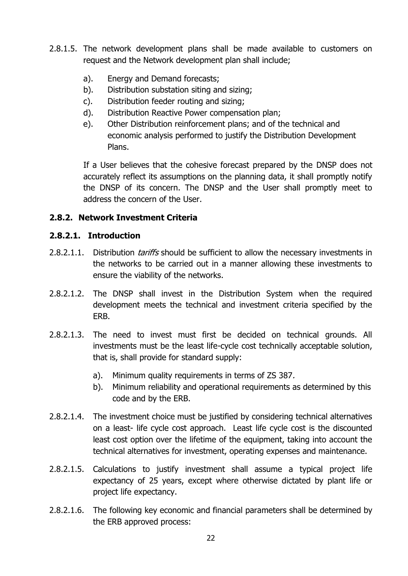- 2.8.1.5. The network development plans shall be made available to customers on request and the Network development plan shall include;
	- a). Energy and Demand forecasts;
	- b). Distribution substation siting and sizing;
	- c). Distribution feeder routing and sizing;
	- d). Distribution Reactive Power compensation plan;
	- e). Other Distribution reinforcement plans; and of the technical and economic analysis performed to justify the Distribution Development Plans.

If a User believes that the cohesive forecast prepared by the DNSP does not accurately reflect its assumptions on the planning data, it shall promptly notify the DNSP of its concern. The DNSP and the User shall promptly meet to address the concern of the User.

## **2.8.2. Network Investment Criteria**

### **2.8.2.1. Introduction**

- 2.8.2.1.1. Distribution *tariffs* should be sufficient to allow the necessary investments in the networks to be carried out in a manner allowing these investments to ensure the viability of the networks.
- 2.8.2.1.2. The DNSP shall invest in the Distribution System when the required development meets the technical and investment criteria specified by the ERB.
- 2.8.2.1.3. The need to invest must first be decided on technical grounds. All investments must be the least life-cycle cost technically acceptable solution, that is, shall provide for standard supply:
	- a). Minimum quality requirements in terms of ZS 387.
	- b). Minimum reliability and operational requirements as determined by this code and by the ERB.
- 2.8.2.1.4. The investment choice must be justified by considering technical alternatives on a least- life cycle cost approach. Least life cycle cost is the discounted least cost option over the lifetime of the equipment, taking into account the technical alternatives for investment, operating expenses and maintenance.
- 2.8.2.1.5. Calculations to justify investment shall assume a typical project life expectancy of 25 years, except where otherwise dictated by plant life or project life expectancy.
- 2.8.2.1.6. The following key economic and financial parameters shall be determined by the ERB approved process: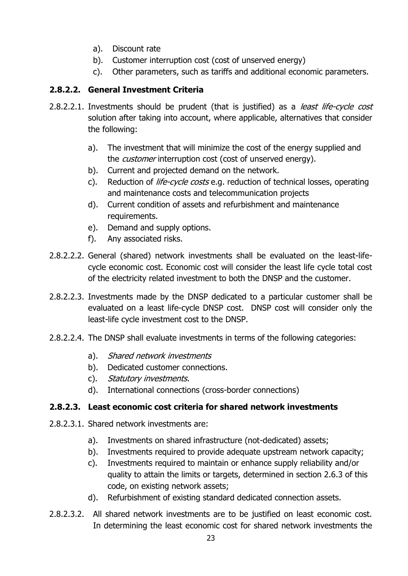- a). Discount rate
- b). Customer interruption cost (cost of unserved energy)
- c). Other parameters, such as tariffs and additional economic parameters.

# **2.8.2.2. General Investment Criteria**

- 2.8.2.2.1. Investments should be prudent (that is justified) as a *least life-cycle cost* solution after taking into account, where applicable, alternatives that consider the following:
	- a). The investment that will minimize the cost of the energy supplied and the *customer* interruption cost (cost of unserved energy).
	- b). Current and projected demand on the network.
	- c). Reduction of *life-cycle costs* e.g. reduction of technical losses, operating and maintenance costs and telecommunication projects
	- d). Current condition of assets and refurbishment and maintenance requirements.
	- e). Demand and supply options.
	- f). Any associated risks.
- 2.8.2.2.2. General (shared) network investments shall be evaluated on the least-lifecycle economic cost. Economic cost will consider the least life cycle total cost of the electricity related investment to both the DNSP and the customer.
- 2.8.2.2.3. Investments made by the DNSP dedicated to a particular customer shall be evaluated on a least life-cycle DNSP cost. DNSP cost will consider only the least-life cycle investment cost to the DNSP.
- 2.8.2.2.4. The DNSP shall evaluate investments in terms of the following categories:
	- a). Shared network investments
	- b). Dedicated customer connections.
	- c). Statutory investments.
	- d). International connections (cross-border connections)

## **2.8.2.3. Least economic cost criteria for shared network investments**

- 2.8.2.3.1. Shared network investments are:
	- a). Investments on shared infrastructure (not-dedicated) assets;
	- b). Investments required to provide adequate upstream network capacity;
	- c). Investments required to maintain or enhance supply reliability and/or quality to attain the limits or targets, determined in section 2.6.3 of this code, on existing network assets;
	- d). Refurbishment of existing standard dedicated connection assets.
- 2.8.2.3.2. All shared network investments are to be justified on least economic cost. In determining the least economic cost for shared network investments the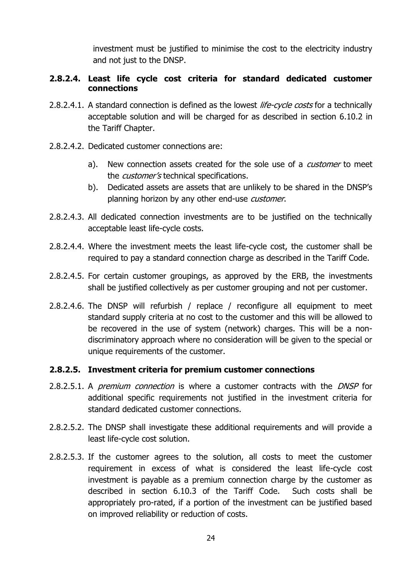investment must be justified to minimise the cost to the electricity industry and not just to the DNSP.

## **2.8.2.4. Least life cycle cost criteria for standard dedicated customer connections**

- 2.8.2.4.1. A standard connection is defined as the lowest *life-cycle costs* for a technically acceptable solution and will be charged for as described in section 6.10.2 in the Tariff Chapter.
- 2.8.2.4.2. Dedicated customer connections are:
	- a). New connection assets created for the sole use of a *customer* to meet the *customer's* technical specifications.
	- b). Dedicated assets are assets that are unlikely to be shared in the DNSP's planning horizon by any other end-use *customer*.
- 2.8.2.4.3. All dedicated connection investments are to be justified on the technically acceptable least life-cycle costs.
- 2.8.2.4.4. Where the investment meets the least life-cycle cost, the customer shall be required to pay a standard connection charge as described in the Tariff Code.
- 2.8.2.4.5. For certain customer groupings, as approved by the ERB, the investments shall be justified collectively as per customer grouping and not per customer.
- 2.8.2.4.6. The DNSP will refurbish / replace / reconfigure all equipment to meet standard supply criteria at no cost to the customer and this will be allowed to be recovered in the use of system (network) charges. This will be a nondiscriminatory approach where no consideration will be given to the special or unique requirements of the customer.

## **2.8.2.5. Investment criteria for premium customer connections**

- 2.8.2.5.1. A *premium connection* is where a customer contracts with the *DNSP* for additional specific requirements not justified in the investment criteria for standard dedicated customer connections.
- 2.8.2.5.2. The DNSP shall investigate these additional requirements and will provide a least life-cycle cost solution.
- 2.8.2.5.3. If the customer agrees to the solution, all costs to meet the customer requirement in excess of what is considered the least life-cycle cost investment is payable as a premium connection charge by the customer as described in section 6.10.3 of the Tariff Code. Such costs shall be appropriately pro-rated, if a portion of the investment can be justified based on improved reliability or reduction of costs.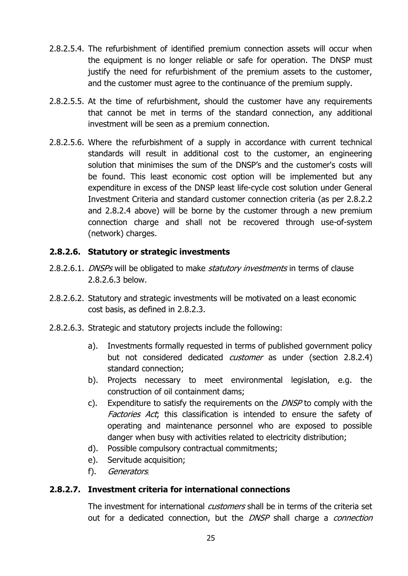- 2.8.2.5.4. The refurbishment of identified premium connection assets will occur when the equipment is no longer reliable or safe for operation. The DNSP must justify the need for refurbishment of the premium assets to the customer, and the customer must agree to the continuance of the premium supply.
- 2.8.2.5.5. At the time of refurbishment, should the customer have any requirements that cannot be met in terms of the standard connection, any additional investment will be seen as a premium connection.
- 2.8.2.5.6. Where the refurbishment of a supply in accordance with current technical standards will result in additional cost to the customer, an engineering solution that minimises the sum of the DNSP's and the customer's costs will be found. This least economic cost option will be implemented but any expenditure in excess of the DNSP least life-cycle cost solution under General Investment Criteria and standard customer connection criteria (as per 2.8.2.2 and 2.8.2.4 above) will be borne by the customer through a new premium connection charge and shall not be recovered through use-of-system (network) charges.

## **2.8.2.6. Statutory or strategic investments**

- 2.8.2.6.1. *DNSPs* will be obligated to make *statutory investments* in terms of clause 2.8.2.6.3 below.
- 2.8.2.6.2. Statutory and strategic investments will be motivated on a least economic cost basis, as defined in 2.8.2.3.
- 2.8.2.6.3. Strategic and statutory projects include the following:
	- a). Investments formally requested in terms of published government policy but not considered dedicated *customer* as under (section 2.8.2.4) standard connection;
	- b). Projects necessary to meet environmental legislation, e.g. the construction of oil containment dams;
	- c). Expenditure to satisfy the requirements on the DNSP to comply with the Factories Act; this classification is intended to ensure the safety of operating and maintenance personnel who are exposed to possible danger when busy with activities related to electricity distribution;
	- d). Possible compulsory contractual commitments;
	- e). Servitude acquisition;
	- f). Generators;

## **2.8.2.7. Investment criteria for international connections**

The investment for international *customers* shall be in terms of the criteria set out for a dedicated connection, but the DNSP shall charge a connection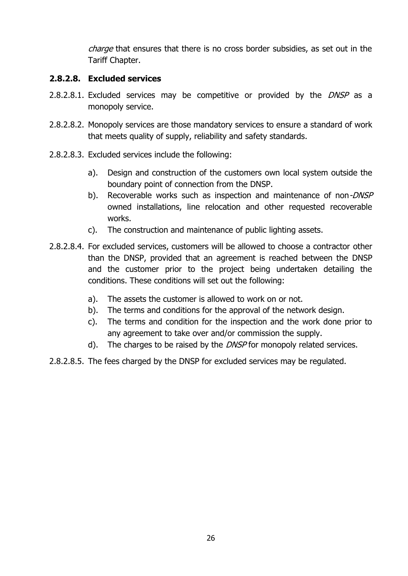charge that ensures that there is no cross border subsidies, as set out in the Tariff Chapter.

## **2.8.2.8. Excluded services**

- 2.8.2.8.1. Excluded services may be competitive or provided by the *DNSP* as a monopoly service.
- 2.8.2.8.2. Monopoly services are those mandatory services to ensure a standard of work that meets quality of supply, reliability and safety standards.
- 2.8.2.8.3. Excluded services include the following:
	- a). Design and construction of the customers own local system outside the boundary point of connection from the DNSP.
	- b). Recoverable works such as inspection and maintenance of non-DNSP owned installations, line relocation and other requested recoverable works.
	- c). The construction and maintenance of public lighting assets.
- 2.8.2.8.4. For excluded services, customers will be allowed to choose a contractor other than the DNSP, provided that an agreement is reached between the DNSP and the customer prior to the project being undertaken detailing the conditions. These conditions will set out the following:
	- a). The assets the customer is allowed to work on or not.
	- b). The terms and conditions for the approval of the network design.
	- c). The terms and condition for the inspection and the work done prior to any agreement to take over and/or commission the supply.
	- d). The charges to be raised by the  $DNSP$  for monopoly related services.
- 2.8.2.8.5. The fees charged by the DNSP for excluded services may be regulated.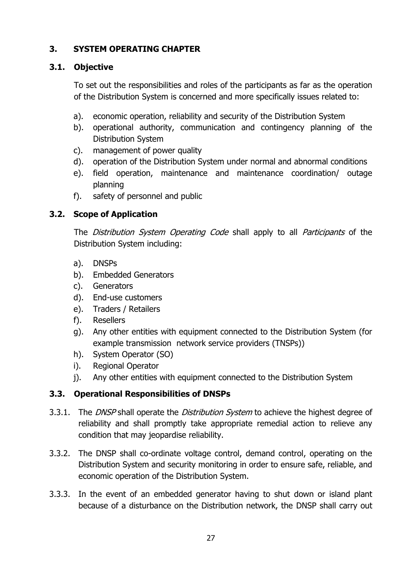# **3. SYSTEM OPERATING CHAPTER**

## **3.1. Objective**

To set out the responsibilities and roles of the participants as far as the operation of the Distribution System is concerned and more specifically issues related to:

- a). economic operation, reliability and security of the Distribution System
- b). operational authority, communication and contingency planning of the Distribution System
- c). management of power quality
- d). operation of the Distribution System under normal and abnormal conditions
- e). field operation, maintenance and maintenance coordination/ outage planning
- f). safety of personnel and public

# **3.2. Scope of Application**

The Distribution System Operating Code shall apply to all Participants of the Distribution System including:

- a). DNSPs
- b). Embedded Generators
- c). Generators
- d). End-use customers
- e). Traders / Retailers
- f). Resellers
- g). Any other entities with equipment connected to the Distribution System (for example transmission network service providers (TNSPs))
- h). System Operator (SO)
- i). Regional Operator
- j). Any other entities with equipment connected to the Distribution System

# **3.3. Operational Responsibilities of DNSPs**

- 3.3.1. The DNSP shall operate the Distribution System to achieve the highest degree of reliability and shall promptly take appropriate remedial action to relieve any condition that may jeopardise reliability.
- 3.3.2. The DNSP shall co-ordinate voltage control, demand control, operating on the Distribution System and security monitoring in order to ensure safe, reliable, and economic operation of the Distribution System.
- 3.3.3. In the event of an embedded generator having to shut down or island plant because of a disturbance on the Distribution network, the DNSP shall carry out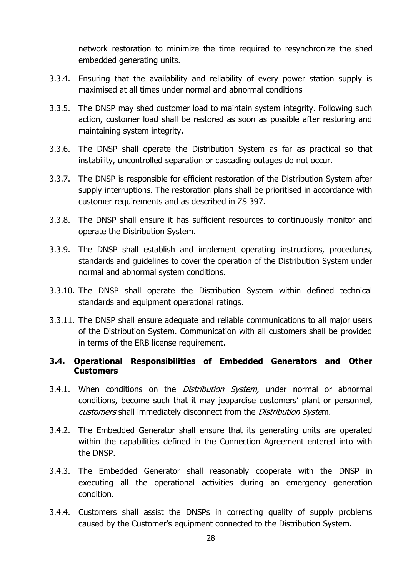network restoration to minimize the time required to resynchronize the shed embedded generating units.

- 3.3.4. Ensuring that the availability and reliability of every power station supply is maximised at all times under normal and abnormal conditions
- 3.3.5. The DNSP may shed customer load to maintain system integrity. Following such action, customer load shall be restored as soon as possible after restoring and maintaining system integrity.
- 3.3.6. The DNSP shall operate the Distribution System as far as practical so that instability, uncontrolled separation or cascading outages do not occur.
- 3.3.7. The DNSP is responsible for efficient restoration of the Distribution System after supply interruptions. The restoration plans shall be prioritised in accordance with customer requirements and as described in ZS 397.
- 3.3.8. The DNSP shall ensure it has sufficient resources to continuously monitor and operate the Distribution System.
- 3.3.9. The DNSP shall establish and implement operating instructions, procedures, standards and guidelines to cover the operation of the Distribution System under normal and abnormal system conditions.
- 3.3.10. The DNSP shall operate the Distribution System within defined technical standards and equipment operational ratings.
- 3.3.11. The DNSP shall ensure adequate and reliable communications to all major users of the Distribution System. Communication with all customers shall be provided in terms of the ERB license requirement.

## **3.4. Operational Responsibilities of Embedded Generators and Other Customers**

- 3.4.1. When conditions on the *Distribution System*, under normal or abnormal conditions, become such that it may jeopardise customers' plant or personnel, customers shall immediately disconnect from the Distribution System.
- 3.4.2. The Embedded Generator shall ensure that its generating units are operated within the capabilities defined in the Connection Agreement entered into with the DNSP.
- 3.4.3. The Embedded Generator shall reasonably cooperate with the DNSP in executing all the operational activities during an emergency generation condition.
- 3.4.4. Customers shall assist the DNSPs in correcting quality of supply problems caused by the Customer's equipment connected to the Distribution System.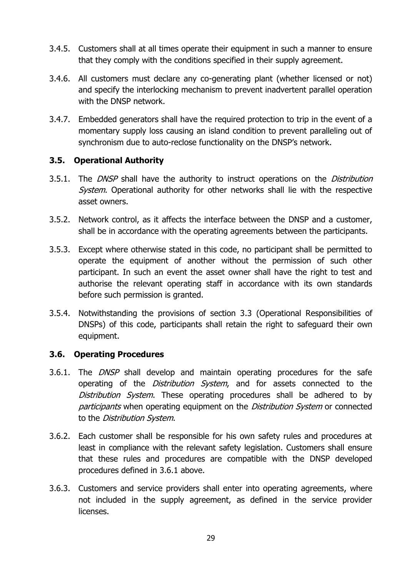- 3.4.5. Customers shall at all times operate their equipment in such a manner to ensure that they comply with the conditions specified in their supply agreement.
- 3.4.6. All customers must declare any co-generating plant (whether licensed or not) and specify the interlocking mechanism to prevent inadvertent parallel operation with the DNSP network.
- 3.4.7. Embedded generators shall have the required protection to trip in the event of a momentary supply loss causing an island condition to prevent paralleling out of synchronism due to auto-reclose functionality on the DNSP's network.

### **3.5. Operational Authority**

- 3.5.1. The DNSP shall have the authority to instruct operations on the Distribution System. Operational authority for other networks shall lie with the respective asset owners.
- 3.5.2. Network control, as it affects the interface between the DNSP and a customer, shall be in accordance with the operating agreements between the participants.
- 3.5.3. Except where otherwise stated in this code, no participant shall be permitted to operate the equipment of another without the permission of such other participant. In such an event the asset owner shall have the right to test and authorise the relevant operating staff in accordance with its own standards before such permission is granted.
- 3.5.4. Notwithstanding the provisions of section 3.3 (Operational Responsibilities of DNSPs) of this code, participants shall retain the right to safeguard their own equipment.

## **3.6. Operating Procedures**

- 3.6.1. The *DNSP* shall develop and maintain operating procedures for the safe operating of the *Distribution System*, and for assets connected to the Distribution System. These operating procedures shall be adhered to by participants when operating equipment on the Distribution System or connected to the Distribution System.
- 3.6.2. Each customer shall be responsible for his own safety rules and procedures at least in compliance with the relevant safety legislation. Customers shall ensure that these rules and procedures are compatible with the DNSP developed procedures defined in 3.6.1 above.
- 3.6.3. Customers and service providers shall enter into operating agreements, where not included in the supply agreement, as defined in the service provider licenses.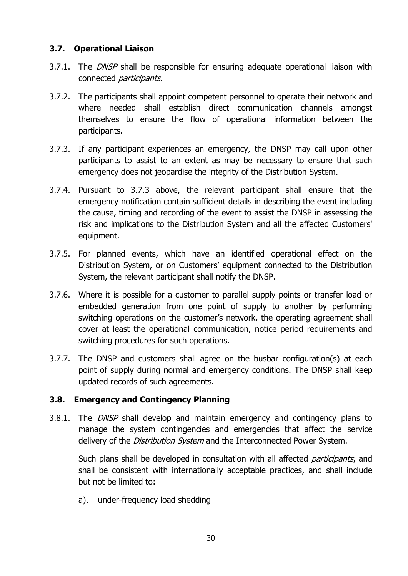## **3.7. Operational Liaison**

- 3.7.1. The *DNSP* shall be responsible for ensuring adequate operational liaison with connected participants.
- 3.7.2. The participants shall appoint competent personnel to operate their network and where needed shall establish direct communication channels amongst themselves to ensure the flow of operational information between the participants.
- 3.7.3. If any participant experiences an emergency, the DNSP may call upon other participants to assist to an extent as may be necessary to ensure that such emergency does not jeopardise the integrity of the Distribution System.
- 3.7.4. Pursuant to 3.7.3 above, the relevant participant shall ensure that the emergency notification contain sufficient details in describing the event including the cause, timing and recording of the event to assist the DNSP in assessing the risk and implications to the Distribution System and all the affected Customers' equipment.
- 3.7.5. For planned events, which have an identified operational effect on the Distribution System, or on Customers' equipment connected to the Distribution System, the relevant participant shall notify the DNSP.
- 3.7.6. Where it is possible for a customer to parallel supply points or transfer load or embedded generation from one point of supply to another by performing switching operations on the customer's network, the operating agreement shall cover at least the operational communication, notice period requirements and switching procedures for such operations.
- 3.7.7. The DNSP and customers shall agree on the busbar configuration(s) at each point of supply during normal and emergency conditions. The DNSP shall keep updated records of such agreements.

## **3.8. Emergency and Contingency Planning**

3.8.1. The *DNSP* shall develop and maintain emergency and contingency plans to manage the system contingencies and emergencies that affect the service delivery of the *Distribution System* and the Interconnected Power System.

Such plans shall be developed in consultation with all affected *participants*, and shall be consistent with internationally acceptable practices, and shall include but not be limited to:

a). under-frequency load shedding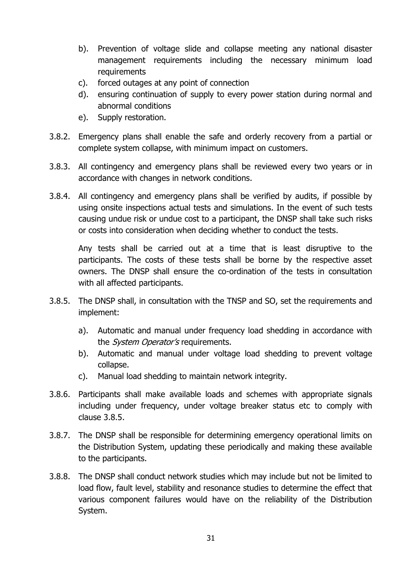- b). Prevention of voltage slide and collapse meeting any national disaster management requirements including the necessary minimum load requirements
- c). forced outages at any point of connection
- d). ensuring continuation of supply to every power station during normal and abnormal conditions
- e). Supply restoration.
- 3.8.2. Emergency plans shall enable the safe and orderly recovery from a partial or complete system collapse, with minimum impact on customers.
- 3.8.3. All contingency and emergency plans shall be reviewed every two years or in accordance with changes in network conditions.
- 3.8.4. All contingency and emergency plans shall be verified by audits, if possible by using onsite inspections actual tests and simulations. In the event of such tests causing undue risk or undue cost to a participant, the DNSP shall take such risks or costs into consideration when deciding whether to conduct the tests.

Any tests shall be carried out at a time that is least disruptive to the participants. The costs of these tests shall be borne by the respective asset owners. The DNSP shall ensure the co-ordination of the tests in consultation with all affected participants.

- 3.8.5. The DNSP shall, in consultation with the TNSP and SO, set the requirements and implement:
	- a). Automatic and manual under frequency load shedding in accordance with the *System Operator's* requirements.
	- b). Automatic and manual under voltage load shedding to prevent voltage collapse.
	- c). Manual load shedding to maintain network integrity.
- 3.8.6. Participants shall make available loads and schemes with appropriate signals including under frequency, under voltage breaker status etc to comply with clause 3.8.5.
- 3.8.7. The DNSP shall be responsible for determining emergency operational limits on the Distribution System, updating these periodically and making these available to the participants.
- 3.8.8. The DNSP shall conduct network studies which may include but not be limited to load flow, fault level, stability and resonance studies to determine the effect that various component failures would have on the reliability of the Distribution System.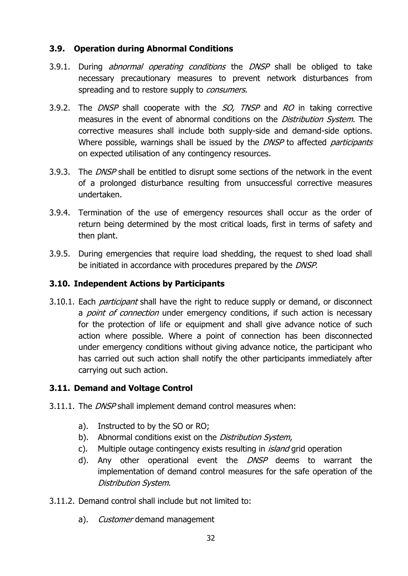## **3.9. Operation during Abnormal Conditions**

- 3.9.1. During *abnormal operating conditions* the *DNSP* shall be obliged to take necessary precautionary measures to prevent network disturbances from spreading and to restore supply to *consumers*.
- 3.9.2. The DNSP shall cooperate with the SO, TNSP and RO in taking corrective measures in the event of abnormal conditions on the *Distribution System*. The corrective measures shall include both supply-side and demand-side options. Where possible, warnings shall be issued by the DNSP to affected participants on expected utilisation of any contingency resources.
- 3.9.3. The DNSP shall be entitled to disrupt some sections of the network in the event of a prolonged disturbance resulting from unsuccessful corrective measures undertaken.
- 3.9.4. Termination of the use of emergency resources shall occur as the order of return being determined by the most critical loads, first in terms of safety and then plant.
- 3.9.5. During emergencies that require load shedding, the request to shed load shall be initiated in accordance with procedures prepared by the DNSP.

## **3.10. Independent Actions by Participants**

3.10.1. Each *participant* shall have the right to reduce supply or demand, or disconnect a *point of connection* under emergency conditions, if such action is necessary for the protection of life or equipment and shall give advance notice of such action where possible. Where a point of connection has been disconnected under emergency conditions without giving advance notice, the participant who has carried out such action shall notify the other participants immediately after carrying out such action.

## **3.11. Demand and Voltage Control**

- 3.11.1. The *DNSP* shall implement demand control measures when:
	- a). Instructed to by the SO or RO;
	- b). Abnormal conditions exist on the *Distribution System*,
	- c). Multiple outage contingency exists resulting in *island* grid operation
	- d). Any other operational event the *DNSP* deems to warrant the implementation of demand control measures for the safe operation of the Distribution System.
- 3.11.2. Demand control shall include but not limited to:
	- a). Customer demand management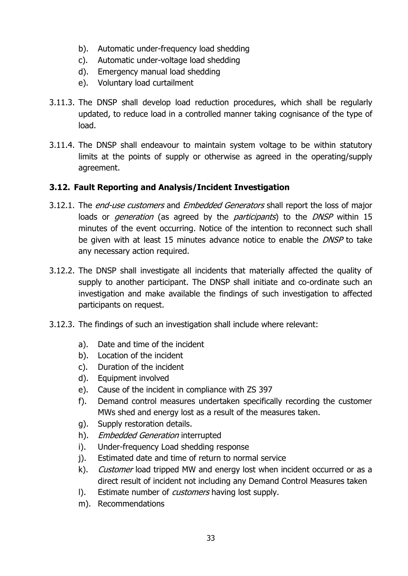- b). Automatic under-frequency load shedding
- c). Automatic under-voltage load shedding
- d). Emergency manual load shedding
- e). Voluntary load curtailment
- 3.11.3. The DNSP shall develop load reduction procedures, which shall be regularly updated, to reduce load in a controlled manner taking cognisance of the type of load.
- 3.11.4. The DNSP shall endeavour to maintain system voltage to be within statutory limits at the points of supply or otherwise as agreed in the operating/supply agreement.

## **3.12. Fault Reporting and Analysis/Incident Investigation**

- 3.12.1. The *end-use customers* and *Embedded Generators* shall report the loss of major loads or *generation* (as agreed by the *participants*) to the *DNSP* within 15 minutes of the event occurring. Notice of the intention to reconnect such shall be given with at least 15 minutes advance notice to enable the *DNSP* to take any necessary action required.
- 3.12.2. The DNSP shall investigate all incidents that materially affected the quality of supply to another participant. The DNSP shall initiate and co-ordinate such an investigation and make available the findings of such investigation to affected participants on request.
- 3.12.3. The findings of such an investigation shall include where relevant:
	- a). Date and time of the incident
	- b). Location of the incident
	- c). Duration of the incident
	- d). Equipment involved
	- e). Cause of the incident in compliance with ZS 397
	- f). Demand control measures undertaken specifically recording the customer MWs shed and energy lost as a result of the measures taken.
	- g). Supply restoration details.
	- h). Embedded Generation interrupted
	- i). Under-frequency Load shedding response
	- j). Estimated date and time of return to normal service
	- k). *Customer* load tripped MW and energy lost when incident occurred or as a direct result of incident not including any Demand Control Measures taken
	- I). Estimate number of *customers* having lost supply.
	- m). Recommendations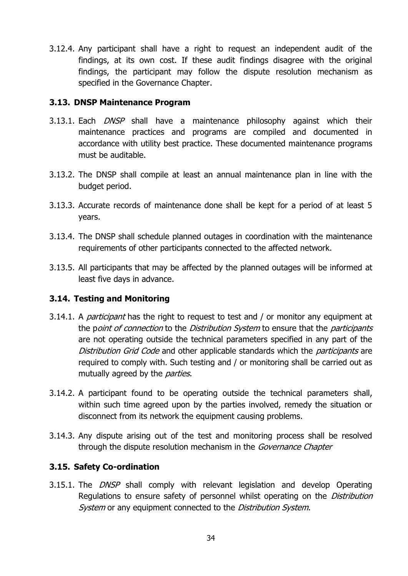3.12.4. Any participant shall have a right to request an independent audit of the findings, at its own cost. If these audit findings disagree with the original findings, the participant may follow the dispute resolution mechanism as specified in the Governance Chapter.

## **3.13. DNSP Maintenance Program**

- 3.13.1. Each *DNSP* shall have a maintenance philosophy against which their maintenance practices and programs are compiled and documented in accordance with utility best practice. These documented maintenance programs must be auditable.
- 3.13.2. The DNSP shall compile at least an annual maintenance plan in line with the budget period.
- 3.13.3. Accurate records of maintenance done shall be kept for a period of at least 5 years.
- 3.13.4. The DNSP shall schedule planned outages in coordination with the maintenance requirements of other participants connected to the affected network.
- 3.13.5. All participants that may be affected by the planned outages will be informed at least five days in advance.

## **3.14. Testing and Monitoring**

- 3.14.1. A *participant* has the right to request to test and / or monitor any equipment at the point of connection to the Distribution System to ensure that the participants are not operating outside the technical parameters specified in any part of the Distribution Grid Code and other applicable standards which the *participants* are required to comply with. Such testing and / or monitoring shall be carried out as mutually agreed by the *parties*.
- 3.14.2. A participant found to be operating outside the technical parameters shall, within such time agreed upon by the parties involved, remedy the situation or disconnect from its network the equipment causing problems.
- 3.14.3. Any dispute arising out of the test and monitoring process shall be resolved through the dispute resolution mechanism in the *Governance Chapter*

## **3.15. Safety Co-ordination**

3.15.1. The *DNSP* shall comply with relevant legislation and develop Operating Regulations to ensure safety of personnel whilst operating on the *Distribution* System or any equipment connected to the *Distribution System*.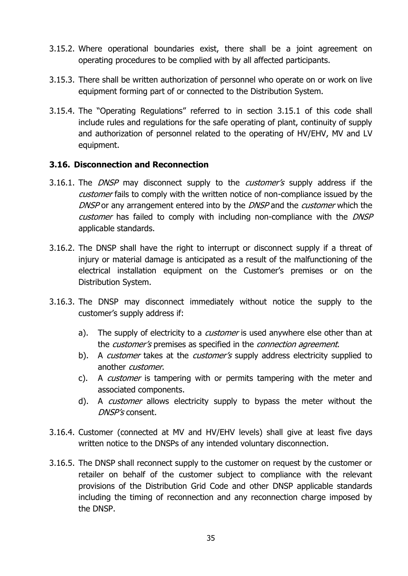- 3.15.2. Where operational boundaries exist, there shall be a joint agreement on operating procedures to be complied with by all affected participants.
- 3.15.3. There shall be written authorization of personnel who operate on or work on live equipment forming part of or connected to the Distribution System.
- 3.15.4. The "Operating Regulations" referred to in section 3.15.1 of this code shall include rules and regulations for the safe operating of plant, continuity of supply and authorization of personnel related to the operating of HV/EHV, MV and LV equipment.

## **3.16. Disconnection and Reconnection**

- 3.16.1. The *DNSP* may disconnect supply to the *customer's* supply address if the customer fails to comply with the written notice of non-compliance issued by the DNSP or any arrangement entered into by the DNSP and the *customer* which the customer has failed to comply with including non-compliance with the DNSP applicable standards.
- 3.16.2. The DNSP shall have the right to interrupt or disconnect supply if a threat of injury or material damage is anticipated as a result of the malfunctioning of the electrical installation equipment on the Customer's premises or on the Distribution System.
- 3.16.3. The DNSP may disconnect immediately without notice the supply to the customer's supply address if:
	- a). The supply of electricity to a *customer* is used anywhere else other than at the *customer's* premises as specified in the *connection agreement*.
	- b). A *customer* takes at the *customer's* supply address electricity supplied to another customer.
	- c). A *customer* is tampering with or permits tampering with the meter and associated components.
	- d). A *customer* allows electricity supply to bypass the meter without the DNSP's consent.
- 3.16.4. Customer (connected at MV and HV/EHV levels) shall give at least five days written notice to the DNSPs of any intended voluntary disconnection.
- 3.16.5. The DNSP shall reconnect supply to the customer on request by the customer or retailer on behalf of the customer subject to compliance with the relevant provisions of the Distribution Grid Code and other DNSP applicable standards including the timing of reconnection and any reconnection charge imposed by the DNSP.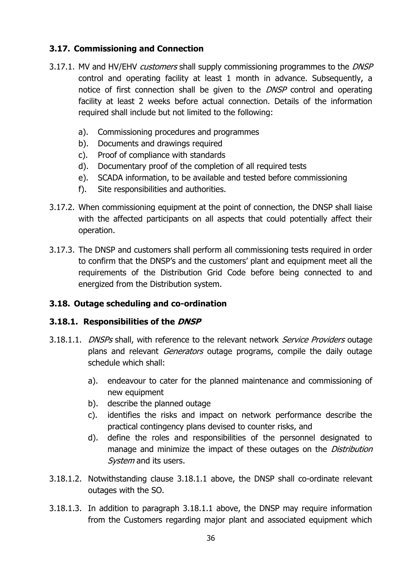# **3.17. Commissioning and Connection**

- 3.17.1. MV and HV/EHV *customers* shall supply commissioning programmes to the *DNSP* control and operating facility at least 1 month in advance. Subsequently, a notice of first connection shall be given to the *DNSP* control and operating facility at least 2 weeks before actual connection. Details of the information required shall include but not limited to the following:
	- a). Commissioning procedures and programmes
	- b). Documents and drawings required
	- c). Proof of compliance with standards
	- d). Documentary proof of the completion of all required tests
	- e). SCADA information, to be available and tested before commissioning
	- f). Site responsibilities and authorities.
- 3.17.2. When commissioning equipment at the point of connection, the DNSP shall liaise with the affected participants on all aspects that could potentially affect their operation.
- 3.17.3. The DNSP and customers shall perform all commissioning tests required in order to confirm that the DNSP's and the customers' plant and equipment meet all the requirements of the Distribution Grid Code before being connected to and energized from the Distribution system.

## **3.18. Outage scheduling and co-ordination**

## **3.18.1. Responsibilities of the DNSP**

- 3.18.1.1. *DNSPs* shall, with reference to the relevant network *Service Providers* outage plans and relevant *Generators* outage programs, compile the daily outage schedule which shall:
	- a). endeavour to cater for the planned maintenance and commissioning of new equipment
	- b). describe the planned outage
	- c). identifies the risks and impact on network performance describe the practical contingency plans devised to counter risks, and
	- d). define the roles and responsibilities of the personnel designated to manage and minimize the impact of these outages on the *Distribution* System and its users.
- 3.18.1.2. Notwithstanding clause 3.18.1.1 above, the DNSP shall co-ordinate relevant outages with the SO.
- 3.18.1.3. In addition to paragraph 3.18.1.1 above, the DNSP may require information from the Customers regarding major plant and associated equipment which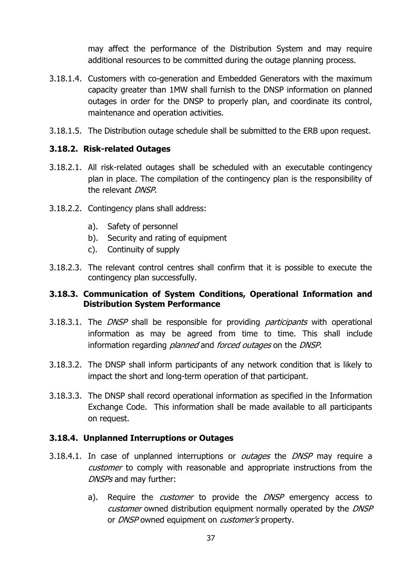may affect the performance of the Distribution System and may require additional resources to be committed during the outage planning process.

- 3.18.1.4. Customers with co-generation and Embedded Generators with the maximum capacity greater than 1MW shall furnish to the DNSP information on planned outages in order for the DNSP to properly plan, and coordinate its control, maintenance and operation activities.
- 3.18.1.5. The Distribution outage schedule shall be submitted to the ERB upon request.

## **3.18.2. Risk-related Outages**

- 3.18.2.1. All risk-related outages shall be scheduled with an executable contingency plan in place. The compilation of the contingency plan is the responsibility of the relevant DNSP.
- 3.18.2.2. Contingency plans shall address:
	- a). Safety of personnel
	- b). Security and rating of equipment
	- c). Continuity of supply
- 3.18.2.3. The relevant control centres shall confirm that it is possible to execute the contingency plan successfully.

## **3.18.3. Communication of System Conditions, Operational Information and Distribution System Performance**

- 3.18.3.1. The *DNSP* shall be responsible for providing *participants* with operational information as may be agreed from time to time. This shall include information regarding *planned* and *forced outages* on the *DNSP*.
- 3.18.3.2. The DNSP shall inform participants of any network condition that is likely to impact the short and long-term operation of that participant.
- 3.18.3.3. The DNSP shall record operational information as specified in the Information Exchange Code. This information shall be made available to all participants on request.

#### **3.18.4. Unplanned Interruptions or Outages**

- 3.18.4.1. In case of unplanned interruptions or *outages* the *DNSP* may require a customer to comply with reasonable and appropriate instructions from the DNSPs and may further:
	- a). Require the *customer* to provide the *DNSP* emergency access to customer owned distribution equipment normally operated by the DNSP or *DNSP* owned equipment on *customer's* property.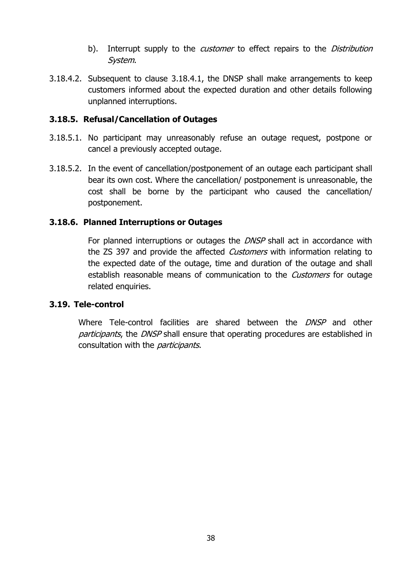- b). Interrupt supply to the *customer* to effect repairs to the *Distribution* System.
- 3.18.4.2. Subsequent to clause 3.18.4.1, the DNSP shall make arrangements to keep customers informed about the expected duration and other details following unplanned interruptions.

## **3.18.5. Refusal/Cancellation of Outages**

- 3.18.5.1. No participant may unreasonably refuse an outage request, postpone or cancel a previously accepted outage.
- 3.18.5.2. In the event of cancellation/postponement of an outage each participant shall bear its own cost. Where the cancellation/ postponement is unreasonable, the cost shall be borne by the participant who caused the cancellation/ postponement.

## **3.18.6. Planned Interruptions or Outages**

For planned interruptions or outages the *DNSP* shall act in accordance with the ZS 397 and provide the affected *Customers* with information relating to the expected date of the outage, time and duration of the outage and shall establish reasonable means of communication to the *Customers* for outage related enquiries.

## **3.19. Tele-control**

Where Tele-control facilities are shared between the *DNSP* and other participants, the DNSP shall ensure that operating procedures are established in consultation with the *participants*.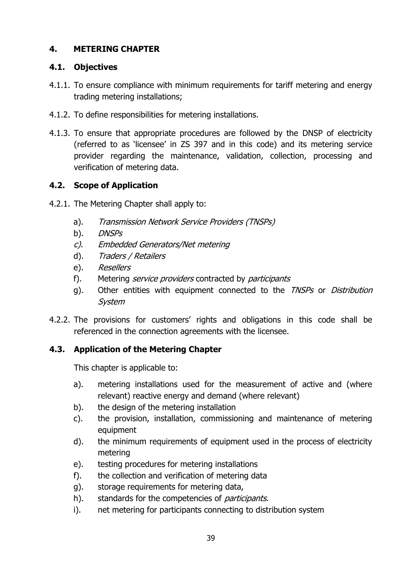# **4. METERING CHAPTER**

## **4.1. Objectives**

- 4.1.1. To ensure compliance with minimum requirements for tariff metering and energy trading metering installations;
- 4.1.2. To define responsibilities for metering installations.
- 4.1.3. To ensure that appropriate procedures are followed by the DNSP of electricity (referred to as 'licensee' in ZS 397 and in this code) and its metering service provider regarding the maintenance, validation, collection, processing and verification of metering data.

# **4.2. Scope of Application**

- 4.2.1. The Metering Chapter shall apply to:
	- a). Transmission Network Service Providers (TNSPs)
	- b). *DNSPs*
	- c). Embedded Generators/Net metering
	- d). Traders / Retailers
	- e). Resellers
	- f). Metering *service providers* contracted by *participants*
	- g). Other entities with equipment connected to the *TNSPs* or *Distribution* System
- 4.2.2. The provisions for customers' rights and obligations in this code shall be referenced in the connection agreements with the licensee.

# **4.3. Application of the Metering Chapter**

This chapter is applicable to:

- a). metering installations used for the measurement of active and (where relevant) reactive energy and demand (where relevant)
- b). the design of the metering installation
- c). the provision, installation, commissioning and maintenance of metering equipment
- d). the minimum requirements of equipment used in the process of electricity metering
- e). testing procedures for metering installations
- f). the collection and verification of metering data
- g). storage requirements for metering data,
- h). standards for the competencies of *participants*.
- i). net metering for participants connecting to distribution system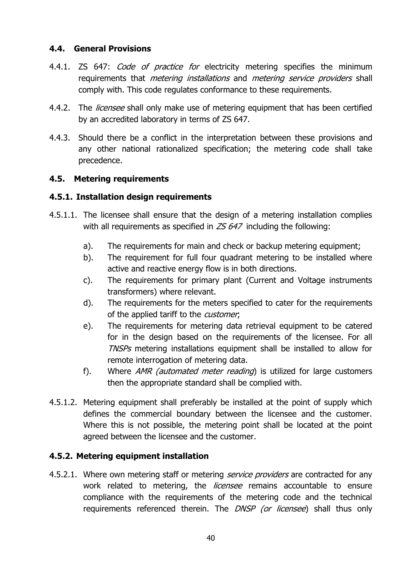## **4.4. General Provisions**

- 4.4.1. ZS 647: *Code of practice for* electricity metering specifies the minimum requirements that *metering installations* and *metering service providers* shall comply with. This code regulates conformance to these requirements.
- 4.4.2. The *licensee* shall only make use of metering equipment that has been certified by an accredited laboratory in terms of ZS 647.
- 4.4.3. Should there be a conflict in the interpretation between these provisions and any other national rationalized specification; the metering code shall take precedence.

## **4.5. Metering requirements**

## **4.5.1. Installation design requirements**

- 4.5.1.1. The licensee shall ensure that the design of a metering installation complies with all requirements as specified in  $ZS$  647 including the following:
	- a). The requirements for main and check or backup metering equipment;
	- b). The requirement for full four quadrant metering to be installed where active and reactive energy flow is in both directions.
	- c). The requirements for primary plant (Current and Voltage instruments transformers) where relevant.
	- d). The requirements for the meters specified to cater for the requirements of the applied tariff to the *customer*,
	- e). The requirements for metering data retrieval equipment to be catered for in the design based on the requirements of the licensee. For all TNSPs metering installations equipment shall be installed to allow for remote interrogation of metering data.
	- f). Where AMR (automated meter reading) is utilized for large customers then the appropriate standard shall be complied with.
- 4.5.1.2. Metering equipment shall preferably be installed at the point of supply which defines the commercial boundary between the licensee and the customer. Where this is not possible, the metering point shall be located at the point agreed between the licensee and the customer.

## **4.5.2. Metering equipment installation**

4.5.2.1. Where own metering staff or metering *service providers* are contracted for any work related to metering, the *licensee* remains accountable to ensure compliance with the requirements of the metering code and the technical requirements referenced therein. The *DNSP (or licensee*) shall thus only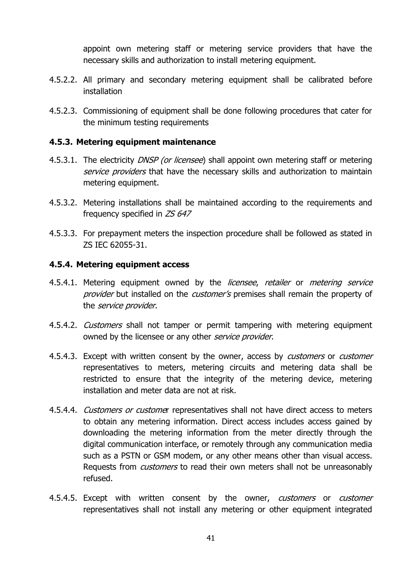appoint own metering staff or metering service providers that have the necessary skills and authorization to install metering equipment.

- 4.5.2.2. All primary and secondary metering equipment shall be calibrated before installation
- 4.5.2.3. Commissioning of equipment shall be done following procedures that cater for the minimum testing requirements

### **4.5.3. Metering equipment maintenance**

- 4.5.3.1. The electricity *DNSP (or licensee*) shall appoint own metering staff or metering service providers that have the necessary skills and authorization to maintain metering equipment.
- 4.5.3.2. Metering installations shall be maintained according to the requirements and frequency specified in ZS 647
- 4.5.3.3. For prepayment meters the inspection procedure shall be followed as stated in ZS IEC 62055-31.

#### **4.5.4. Metering equipment access**

- 4.5.4.1. Metering equipment owned by the *licensee, retailer* or *metering service* provider but installed on the customer's premises shall remain the property of the *service provider*.
- 4.5.4.2. *Customers* shall not tamper or permit tampering with metering equipment owned by the licensee or any other service provider.
- 4.5.4.3. Except with written consent by the owner, access by *customers* or *customer* representatives to meters, metering circuits and metering data shall be restricted to ensure that the integrity of the metering device, metering installation and meter data are not at risk.
- 4.5.4.4. *Customers or custome*r representatives shall not have direct access to meters to obtain any metering information. Direct access includes access gained by downloading the metering information from the meter directly through the digital communication interface, or remotely through any communication media such as a PSTN or GSM modem, or any other means other than visual access. Requests from *customers* to read their own meters shall not be unreasonably refused.
- 4.5.4.5. Except with written consent by the owner, customers or customer representatives shall not install any metering or other equipment integrated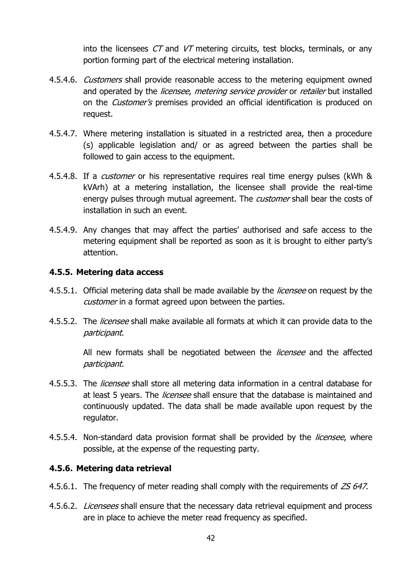into the licensees  $CT$  and  $VT$  metering circuits, test blocks, terminals, or any portion forming part of the electrical metering installation.

- 4.5.4.6. *Customers* shall provide reasonable access to the metering equipment owned and operated by the *licensee, metering service provider* or *retailer* but installed on the *Customer's* premises provided an official identification is produced on request.
- 4.5.4.7. Where metering installation is situated in a restricted area, then a procedure (s) applicable legislation and/ or as agreed between the parties shall be followed to gain access to the equipment.
- 4.5.4.8. If a *customer* or his representative requires real time energy pulses (kWh & kVArh) at a metering installation, the licensee shall provide the real-time energy pulses through mutual agreement. The *customer* shall bear the costs of installation in such an event.
- 4.5.4.9. Any changes that may affect the parties' authorised and safe access to the metering equipment shall be reported as soon as it is brought to either party's attention.

### **4.5.5. Metering data access**

- 4.5.5.1. Official metering data shall be made available by the *licensee* on request by the customer in a format agreed upon between the parties.
- 4.5.5.2. The *licensee* shall make available all formats at which it can provide data to the participant.

All new formats shall be negotiated between the *licensee* and the affected participant.

- 4.5.5.3. The *licensee* shall store all metering data information in a central database for at least 5 years. The *licensee* shall ensure that the database is maintained and continuously updated. The data shall be made available upon request by the regulator.
- 4.5.5.4. Non-standard data provision format shall be provided by the *licensee*, where possible, at the expense of the requesting party.

## **4.5.6. Metering data retrieval**

- 4.5.6.1. The frequency of meter reading shall comply with the requirements of ZS 647.
- 4.5.6.2. *Licensees* shall ensure that the necessary data retrieval equipment and process are in place to achieve the meter read frequency as specified.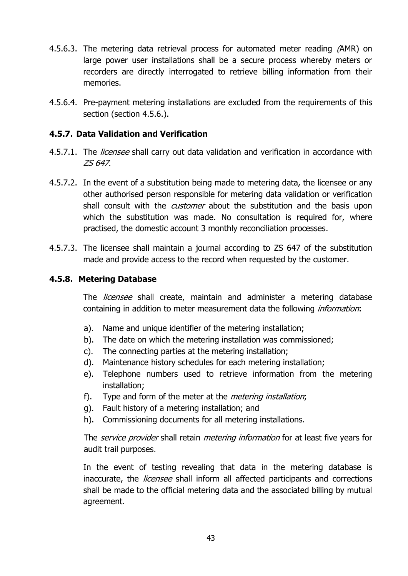- 4.5.6.3. The metering data retrieval process for automated meter reading (AMR) on large power user installations shall be a secure process whereby meters or recorders are directly interrogated to retrieve billing information from their memories.
- 4.5.6.4. Pre-payment metering installations are excluded from the requirements of this section (section 4.5.6.).

## **4.5.7. Data Validation and Verification**

- 4.5.7.1. The *licensee* shall carry out data validation and verification in accordance with ZS 647.
- 4.5.7.2. In the event of a substitution being made to metering data, the licensee or any other authorised person responsible for metering data validation or verification shall consult with the *customer* about the substitution and the basis upon which the substitution was made. No consultation is required for, where practised, the domestic account 3 monthly reconciliation processes.
- 4.5.7.3. The licensee shall maintain a journal according to ZS 647 of the substitution made and provide access to the record when requested by the customer.

## **4.5.8. Metering Database**

The *licensee* shall create, maintain and administer a metering database containing in addition to meter measurement data the following *information*:

- a). Name and unique identifier of the metering installation;
- b). The date on which the metering installation was commissioned;
- c). The connecting parties at the metering installation;
- d). Maintenance history schedules for each metering installation;
- e). Telephone numbers used to retrieve information from the metering installation;
- f). Type and form of the meter at the metering installation;
- g). Fault history of a metering installation; and
- h). Commissioning documents for all metering installations.

The *service provider* shall retain *metering information* for at least five years for audit trail purposes.

In the event of testing revealing that data in the metering database is inaccurate, the *licensee* shall inform all affected participants and corrections shall be made to the official metering data and the associated billing by mutual agreement.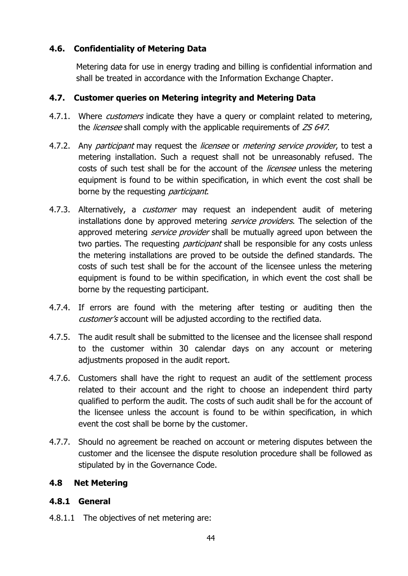## **4.6. Confidentiality of Metering Data**

Metering data for use in energy trading and billing is confidential information and shall be treated in accordance with the Information Exchange Chapter.

## **4.7. Customer queries on Metering integrity and Metering Data**

- 4.7.1. Where *customers* indicate they have a query or complaint related to metering, the *licensee* shall comply with the applicable requirements of ZS 647.
- 4.7.2. Any *participant* may request the *licensee* or *metering service provider*, to test a metering installation. Such a request shall not be unreasonably refused. The costs of such test shall be for the account of the *licensee* unless the metering equipment is found to be within specification, in which event the cost shall be borne by the requesting *participant*.
- 4.7.3. Alternatively, a *customer* may request an independent audit of metering installations done by approved metering *service providers*. The selection of the approved metering *service provider* shall be mutually agreed upon between the two parties. The requesting *participant* shall be responsible for any costs unless the metering installations are proved to be outside the defined standards. The costs of such test shall be for the account of the licensee unless the metering equipment is found to be within specification, in which event the cost shall be borne by the requesting participant.
- 4.7.4. If errors are found with the metering after testing or auditing then the customer's account will be adjusted according to the rectified data.
- 4.7.5. The audit result shall be submitted to the licensee and the licensee shall respond to the customer within 30 calendar days on any account or metering adjustments proposed in the audit report.
- 4.7.6. Customers shall have the right to request an audit of the settlement process related to their account and the right to choose an independent third party qualified to perform the audit. The costs of such audit shall be for the account of the licensee unless the account is found to be within specification, in which event the cost shall be borne by the customer.
- 4.7.7. Should no agreement be reached on account or metering disputes between the customer and the licensee the dispute resolution procedure shall be followed as stipulated by in the Governance Code.

## **4.8 Net Metering**

## **4.8.1 General**

4.8.1.1 The objectives of net metering are: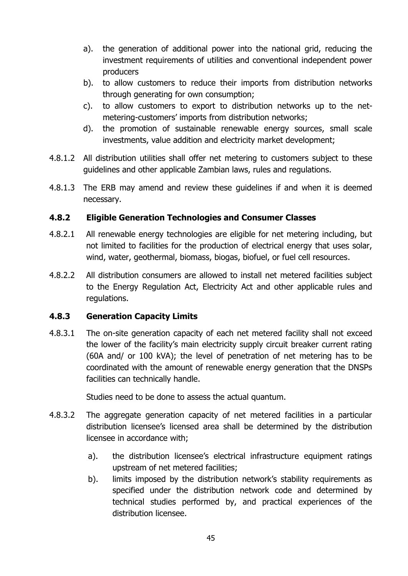- a). the generation of additional power into the national grid, reducing the investment requirements of utilities and conventional independent power producers
- b). to allow customers to reduce their imports from distribution networks through generating for own consumption;
- c). to allow customers to export to distribution networks up to the netmetering-customers' imports from distribution networks;
- d). the promotion of sustainable renewable energy sources, small scale investments, value addition and electricity market development;
- 4.8.1.2 All distribution utilities shall offer net metering to customers subject to these guidelines and other applicable Zambian laws, rules and regulations.
- 4.8.1.3 The ERB may amend and review these guidelines if and when it is deemed necessary.

## **4.8.2 Eligible Generation Technologies and Consumer Classes**

- 4.8.2.1 All renewable energy technologies are eligible for net metering including, but not limited to facilities for the production of electrical energy that uses solar, wind, water, geothermal, biomass, biogas, biofuel, or fuel cell resources.
- 4.8.2.2 All distribution consumers are allowed to install net metered facilities subject to the Energy Regulation Act, Electricity Act and other applicable rules and regulations.

## **4.8.3 Generation Capacity Limits**

4.8.3.1 The on-site generation capacity of each net metered facility shall not exceed the lower of the facility's main electricity supply circuit breaker current rating (60A and/ or 100 kVA); the level of penetration of net metering has to be coordinated with the amount of renewable energy generation that the DNSPs facilities can technically handle.

Studies need to be done to assess the actual quantum.

- 4.8.3.2 The aggregate generation capacity of net metered facilities in a particular distribution licensee's licensed area shall be determined by the distribution licensee in accordance with;
	- a). the distribution licensee's electrical infrastructure equipment ratings upstream of net metered facilities;
	- b). limits imposed by the distribution network's stability requirements as specified under the distribution network code and determined by technical studies performed by, and practical experiences of the distribution licensee.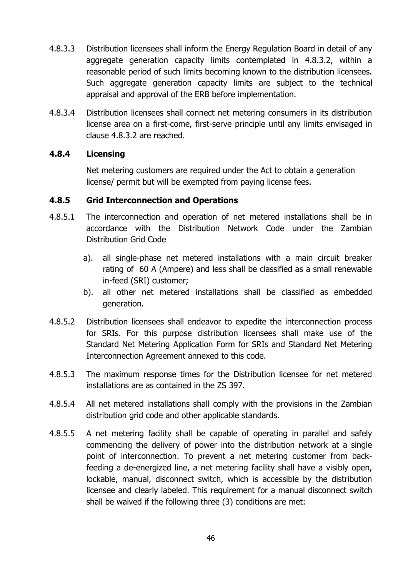- 4.8.3.3 Distribution licensees shall inform the Energy Regulation Board in detail of any aggregate generation capacity limits contemplated in 4.8.3.2, within a reasonable period of such limits becoming known to the distribution licensees. Such aggregate generation capacity limits are subject to the technical appraisal and approval of the ERB before implementation.
- 4.8.3.4 Distribution licensees shall connect net metering consumers in its distribution license area on a first-come, first-serve principle until any limits envisaged in clause 4.8.3.2 are reached.

## **4.8.4 Licensing**

Net metering customers are required under the Act to obtain a generation license/ permit but will be exempted from paying license fees.

## **4.8.5 Grid Interconnection and Operations**

- 4.8.5.1 The interconnection and operation of net metered installations shall be in accordance with the Distribution Network Code under the Zambian Distribution Grid Code
	- a). all single-phase net metered installations with a main circuit breaker rating of 60 A (Ampere) and less shall be classified as a small renewable in-feed (SRI) customer;
	- b). all other net metered installations shall be classified as embedded generation.
- 4.8.5.2 Distribution licensees shall endeavor to expedite the interconnection process for SRIs. For this purpose distribution licensees shall make use of the Standard Net Metering Application Form for SRIs and Standard Net Metering Interconnection Agreement annexed to this code.
- 4.8.5.3 The maximum response times for the Distribution licensee for net metered installations are as contained in the ZS 397.
- 4.8.5.4 All net metered installations shall comply with the provisions in the Zambian distribution grid code and other applicable standards.
- 4.8.5.5 A net metering facility shall be capable of operating in parallel and safely commencing the delivery of power into the distribution network at a single point of interconnection. To prevent a net metering customer from backfeeding a de-energized line, a net metering facility shall have a visibly open, lockable, manual, disconnect switch, which is accessible by the distribution licensee and clearly labeled. This requirement for a manual disconnect switch shall be waived if the following three (3) conditions are met: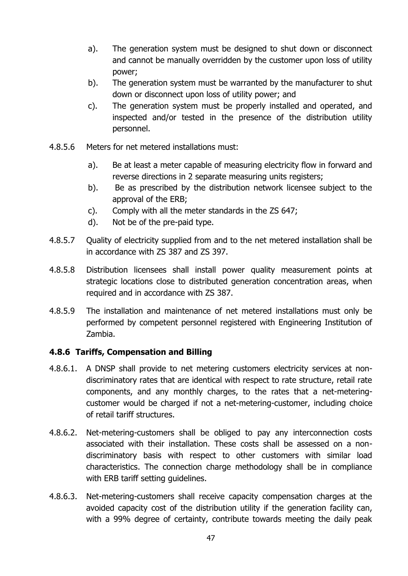- a). The generation system must be designed to shut down or disconnect and cannot be manually overridden by the customer upon loss of utility power;
- b). The generation system must be warranted by the manufacturer to shut down or disconnect upon loss of utility power; and
- c). The generation system must be properly installed and operated, and inspected and/or tested in the presence of the distribution utility personnel.
- 4.8.5.6 Meters for net metered installations must:
	- a). Be at least a meter capable of measuring electricity flow in forward and reverse directions in 2 separate measuring units registers;
	- b). Be as prescribed by the distribution network licensee subject to the approval of the ERB;
	- c). Comply with all the meter standards in the ZS 647;
	- d). Not be of the pre-paid type.
- 4.8.5.7 Quality of electricity supplied from and to the net metered installation shall be in accordance with ZS 387 and ZS 397.
- 4.8.5.8 Distribution licensees shall install power quality measurement points at strategic locations close to distributed generation concentration areas, when required and in accordance with ZS 387.
- 4.8.5.9 The installation and maintenance of net metered installations must only be performed by competent personnel registered with Engineering Institution of Zambia.

#### **4.8.6 Tariffs, Compensation and Billing**

- 4.8.6.1. A DNSP shall provide to net metering customers electricity services at nondiscriminatory rates that are identical with respect to rate structure, retail rate components, and any monthly charges, to the rates that a net-meteringcustomer would be charged if not a net-metering-customer, including choice of retail tariff structures.
- 4.8.6.2. Net-metering-customers shall be obliged to pay any interconnection costs associated with their installation. These costs shall be assessed on a nondiscriminatory basis with respect to other customers with similar load characteristics. The connection charge methodology shall be in compliance with ERB tariff setting quidelines.
- 4.8.6.3. Net-metering-customers shall receive capacity compensation charges at the avoided capacity cost of the distribution utility if the generation facility can, with a 99% degree of certainty, contribute towards meeting the daily peak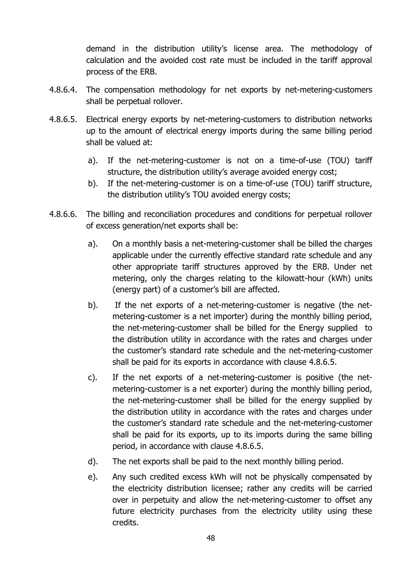demand in the distribution utility's license area. The methodology of calculation and the avoided cost rate must be included in the tariff approval process of the ERB.

- 4.8.6.4. The compensation methodology for net exports by net-metering-customers shall be perpetual rollover.
- 4.8.6.5. Electrical energy exports by net-metering-customers to distribution networks up to the amount of electrical energy imports during the same billing period shall be valued at:
	- a). If the net-metering-customer is not on a time-of-use (TOU) tariff structure, the distribution utility's average avoided energy cost;
	- b). If the net-metering-customer is on a time-of-use (TOU) tariff structure, the distribution utility's TOU avoided energy costs;
- 4.8.6.6. The billing and reconciliation procedures and conditions for perpetual rollover of excess generation/net exports shall be:
	- a). On a monthly basis a net-metering-customer shall be billed the charges applicable under the currently effective standard rate schedule and any other appropriate tariff structures approved by the ERB. Under net metering, only the charges relating to the kilowatt-hour (kWh) units (energy part) of a customer's bill are affected.
	- b). If the net exports of a net-metering-customer is negative (the netmetering-customer is a net importer) during the monthly billing period, the net-metering-customer shall be billed for the Energy supplied to the distribution utility in accordance with the rates and charges under the customer's standard rate schedule and the net-metering-customer shall be paid for its exports in accordance with clause 4.8.6.5.
	- c). If the net exports of a net-metering-customer is positive (the netmetering-customer is a net exporter) during the monthly billing period, the net-metering-customer shall be billed for the energy supplied by the distribution utility in accordance with the rates and charges under the customer's standard rate schedule and the net-metering-customer shall be paid for its exports, up to its imports during the same billing period, in accordance with clause 4.8.6.5.
	- d). The net exports shall be paid to the next monthly billing period.
	- e). Any such credited excess kWh will not be physically compensated by the electricity distribution licensee; rather any credits will be carried over in perpetuity and allow the net-metering-customer to offset any future electricity purchases from the electricity utility using these credits.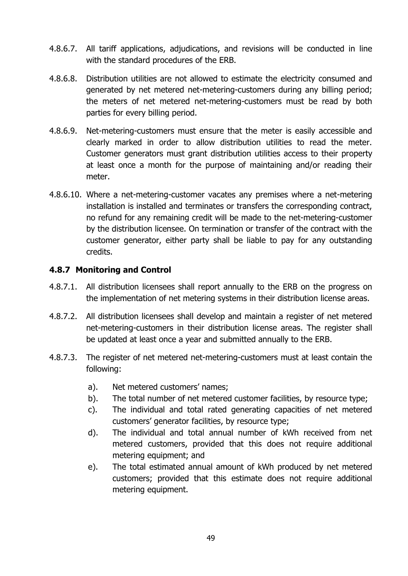- 4.8.6.7. All tariff applications, adjudications, and revisions will be conducted in line with the standard procedures of the ERB.
- 4.8.6.8. Distribution utilities are not allowed to estimate the electricity consumed and generated by net metered net-metering-customers during any billing period; the meters of net metered net-metering-customers must be read by both parties for every billing period.
- 4.8.6.9. Net-metering-customers must ensure that the meter is easily accessible and clearly marked in order to allow distribution utilities to read the meter. Customer generators must grant distribution utilities access to their property at least once a month for the purpose of maintaining and/or reading their meter.
- 4.8.6.10. Where a net-metering-customer vacates any premises where a net-metering installation is installed and terminates or transfers the corresponding contract, no refund for any remaining credit will be made to the net-metering-customer by the distribution licensee. On termination or transfer of the contract with the customer generator, either party shall be liable to pay for any outstanding credits.

## **4.8.7 Monitoring and Control**

- 4.8.7.1. All distribution licensees shall report annually to the ERB on the progress on the implementation of net metering systems in their distribution license areas.
- 4.8.7.2. All distribution licensees shall develop and maintain a register of net metered net-metering-customers in their distribution license areas. The register shall be updated at least once a year and submitted annually to the ERB.
- 4.8.7.3. The register of net metered net-metering-customers must at least contain the following:
	- a). Net metered customers' names;
	- b). The total number of net metered customer facilities, by resource type;
	- c). The individual and total rated generating capacities of net metered customers' generator facilities, by resource type;
	- d). The individual and total annual number of kWh received from net metered customers, provided that this does not require additional metering equipment; and
	- e). The total estimated annual amount of kWh produced by net metered customers; provided that this estimate does not require additional metering equipment.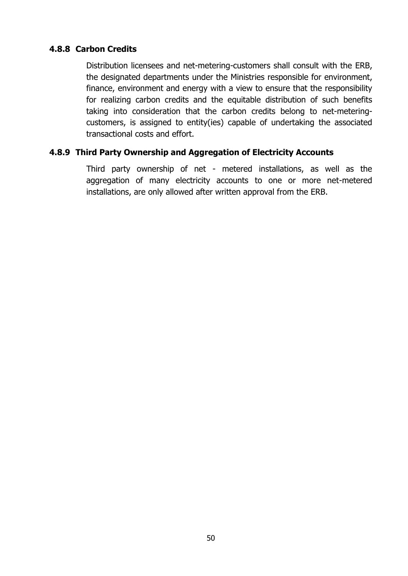## **4.8.8 Carbon Credits**

Distribution licensees and net-metering-customers shall consult with the ERB, the designated departments under the Ministries responsible for environment, finance, environment and energy with a view to ensure that the responsibility for realizing carbon credits and the equitable distribution of such benefits taking into consideration that the carbon credits belong to net-meteringcustomers, is assigned to entity(ies) capable of undertaking the associated transactional costs and effort.

## **4.8.9 Third Party Ownership and Aggregation of Electricity Accounts**

Third party ownership of net - metered installations, as well as the aggregation of many electricity accounts to one or more net-metered installations, are only allowed after written approval from the ERB.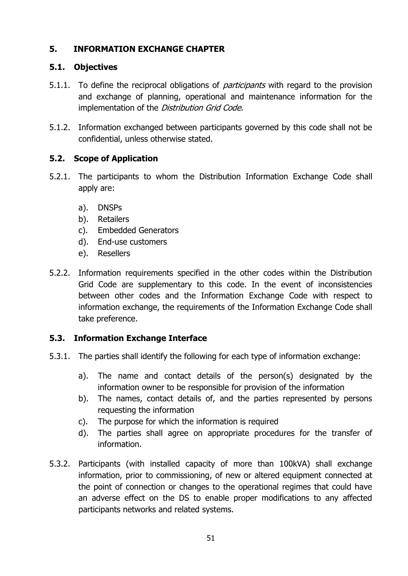## **5. INFORMATION EXCHANGE CHAPTER**

## **5.1. Objectives**

- 5.1.1. To define the reciprocal obligations of *participants* with regard to the provision and exchange of planning, operational and maintenance information for the implementation of the Distribution Grid Code.
- 5.1.2. Information exchanged between participants governed by this code shall not be confidential, unless otherwise stated.

## **5.2. Scope of Application**

- 5.2.1. The participants to whom the Distribution Information Exchange Code shall apply are:
	- a). DNSPs
	- b). Retailers
	- c). Embedded Generators
	- d). End-use customers
	- e). Resellers
- 5.2.2. Information requirements specified in the other codes within the Distribution Grid Code are supplementary to this code. In the event of inconsistencies between other codes and the Information Exchange Code with respect to information exchange, the requirements of the Information Exchange Code shall take preference.

## **5.3. Information Exchange Interface**

- 5.3.1. The parties shall identify the following for each type of information exchange:
	- a). The name and contact details of the person(s) designated by the information owner to be responsible for provision of the information
	- b). The names, contact details of, and the parties represented by persons requesting the information
	- c). The purpose for which the information is required
	- d). The parties shall agree on appropriate procedures for the transfer of information.
- 5.3.2. Participants (with installed capacity of more than 100kVA) shall exchange information, prior to commissioning, of new or altered equipment connected at the point of connection or changes to the operational regimes that could have an adverse effect on the DS to enable proper modifications to any affected participants networks and related systems.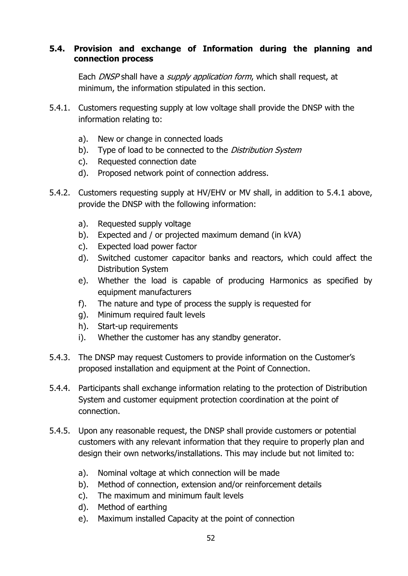## **5.4. Provision and exchange of Information during the planning and connection process**

Each DNSP shall have a *supply application form*, which shall request, at minimum, the information stipulated in this section.

- 5.4.1. Customers requesting supply at low voltage shall provide the DNSP with the information relating to:
	- a). New or change in connected loads
	- b). Type of load to be connected to the *Distribution System*
	- c). Requested connection date
	- d). Proposed network point of connection address.
- 5.4.2. Customers requesting supply at HV/EHV or MV shall, in addition to 5.4.1 above, provide the DNSP with the following information:
	- a). Requested supply voltage
	- b). Expected and / or projected maximum demand (in kVA)
	- c). Expected load power factor
	- d). Switched customer capacitor banks and reactors, which could affect the Distribution System
	- e). Whether the load is capable of producing Harmonics as specified by equipment manufacturers
	- f). The nature and type of process the supply is requested for
	- g). Minimum required fault levels
	- h). Start-up requirements
	- i). Whether the customer has any standby generator.
- 5.4.3. The DNSP may request Customers to provide information on the Customer's proposed installation and equipment at the Point of Connection.
- 5.4.4. Participants shall exchange information relating to the protection of Distribution System and customer equipment protection coordination at the point of connection.
- 5.4.5. Upon any reasonable request, the DNSP shall provide customers or potential customers with any relevant information that they require to properly plan and design their own networks/installations. This may include but not limited to:
	- a). Nominal voltage at which connection will be made
	- b). Method of connection, extension and/or reinforcement details
	- c). The maximum and minimum fault levels
	- d). Method of earthing
	- e). Maximum installed Capacity at the point of connection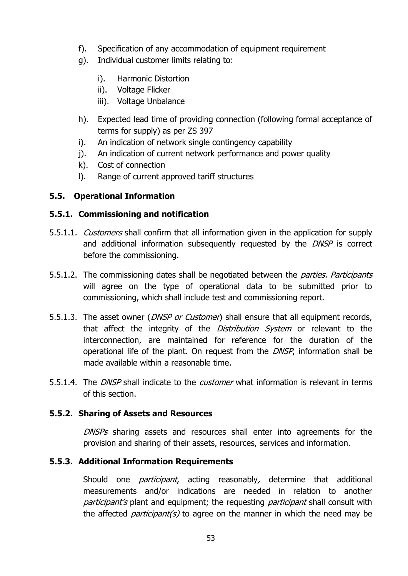- f). Specification of any accommodation of equipment requirement
- g). Individual customer limits relating to:
	- i). Harmonic Distortion
	- ii). Voltage Flicker
	- iii). Voltage Unbalance
- h). Expected lead time of providing connection (following formal acceptance of terms for supply) as per ZS 397
- i). An indication of network single contingency capability
- j). An indication of current network performance and power quality
- k). Cost of connection
- l). Range of current approved tariff structures

# **5.5. Operational Information**

# **5.5.1. Commissioning and notification**

- 5.5.1.1. *Customers* shall confirm that all information given in the application for supply and additional information subsequently requested by the DNSP is correct before the commissioning.
- 5.5.1.2. The commissioning dates shall be negotiated between the *parties. Participants* will agree on the type of operational data to be submitted prior to commissioning, which shall include test and commissioning report.
- 5.5.1.3. The asset owner (*DNSP or Customer*) shall ensure that all equipment records, that affect the integrity of the *Distribution System* or relevant to the interconnection, are maintained for reference for the duration of the operational life of the plant. On request from the DNSP, information shall be made available within a reasonable time.
- 5.5.1.4. The *DNSP* shall indicate to the *customer* what information is relevant in terms of this section.

## **5.5.2. Sharing of Assets and Resources**

DNSPs sharing assets and resources shall enter into agreements for the provision and sharing of their assets, resources, services and information.

# **5.5.3. Additional Information Requirements**

Should one *participant*, acting reasonably, determine that additional measurements and/or indications are needed in relation to another participant's plant and equipment; the requesting participant shall consult with the affected *participant(s)* to agree on the manner in which the need may be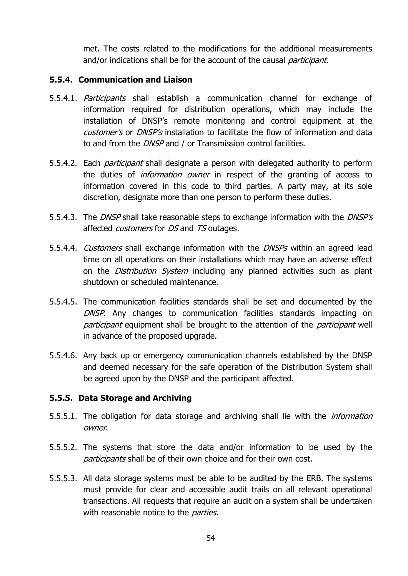met. The costs related to the modifications for the additional measurements and/or indications shall be for the account of the causal *participant*.

#### **5.5.4. Communication and Liaison**

- 5.5.4.1. Participants shall establish a communication channel for exchange of information required for distribution operations, which may include the installation of DNSP's remote monitoring and control equipment at the customer's or DNSP's installation to facilitate the flow of information and data to and from the DNSP and / or Transmission control facilities.
- 5.5.4.2. Each *participant* shall designate a person with delegated authority to perform the duties of *information owner* in respect of the granting of access to information covered in this code to third parties. A party may, at its sole discretion, designate more than one person to perform these duties.
- 5.5.4.3. The *DNSP* shall take reasonable steps to exchange information with the *DNSP's* affected *customers* for *DS* and *TS* outages.
- 5.5.4.4. Customers shall exchange information with the DNSPs within an agreed lead time on all operations on their installations which may have an adverse effect on the *Distribution System* including any planned activities such as plant shutdown or scheduled maintenance.
- 5.5.4.5. The communication facilities standards shall be set and documented by the DNSP. Any changes to communication facilities standards impacting on participant equipment shall be brought to the attention of the *participant* well in advance of the proposed upgrade.
- 5.5.4.6. Any back up or emergency communication channels established by the DNSP and deemed necessary for the safe operation of the Distribution System shall be agreed upon by the DNSP and the participant affected.

#### **5.5.5. Data Storage and Archiving**

- 5.5.5.1. The obligation for data storage and archiving shall lie with the *information* owner.
- 5.5.5.2. The systems that store the data and/or information to be used by the participants shall be of their own choice and for their own cost.
- 5.5.5.3. All data storage systems must be able to be audited by the ERB. The systems must provide for clear and accessible audit trails on all relevant operational transactions. All requests that require an audit on a system shall be undertaken with reasonable notice to the *parties*.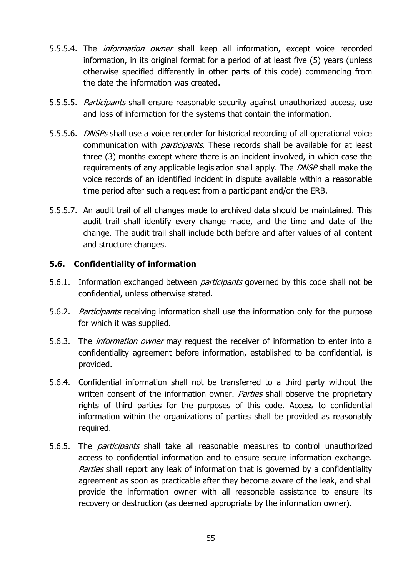- 5.5.5.4. The *information owner* shall keep all information, except voice recorded information, in its original format for a period of at least five (5) years (unless otherwise specified differently in other parts of this code) commencing from the date the information was created.
- 5.5.5.5. Participants shall ensure reasonable security against unauthorized access, use and loss of information for the systems that contain the information.
- 5.5.5.6. *DNSPs* shall use a voice recorder for historical recording of all operational voice communication with *participants*. These records shall be available for at least three (3) months except where there is an incident involved, in which case the requirements of any applicable legislation shall apply. The DNSP shall make the voice records of an identified incident in dispute available within a reasonable time period after such a request from a participant and/or the ERB.
- 5.5.5.7. An audit trail of all changes made to archived data should be maintained. This audit trail shall identify every change made, and the time and date of the change. The audit trail shall include both before and after values of all content and structure changes.

#### **5.6. Confidentiality of information**

- 5.6.1. Information exchanged between *participants* governed by this code shall not be confidential, unless otherwise stated.
- 5.6.2. *Participants* receiving information shall use the information only for the purpose for which it was supplied.
- 5.6.3. The *information owner* may request the receiver of information to enter into a confidentiality agreement before information, established to be confidential, is provided.
- 5.6.4. Confidential information shall not be transferred to a third party without the written consent of the information owner. Parties shall observe the proprietary rights of third parties for the purposes of this code. Access to confidential information within the organizations of parties shall be provided as reasonably required.
- 5.6.5. The *participants* shall take all reasonable measures to control unauthorized access to confidential information and to ensure secure information exchange. Parties shall report any leak of information that is governed by a confidentiality agreement as soon as practicable after they become aware of the leak, and shall provide the information owner with all reasonable assistance to ensure its recovery or destruction (as deemed appropriate by the information owner).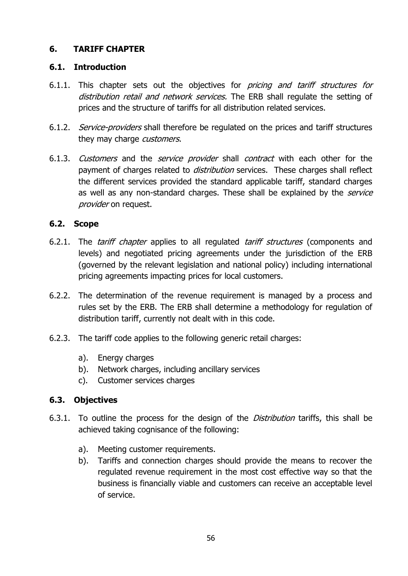### **6. TARIFF CHAPTER**

#### **6.1. Introduction**

- 6.1.1. This chapter sets out the objectives for *pricing and tariff structures for* distribution retail and network services. The ERB shall regulate the setting of prices and the structure of tariffs for all distribution related services.
- 6.1.2. Service-providers shall therefore be regulated on the prices and tariff structures they may charge *customers*.
- 6.1.3. Customers and the service provider shall contract with each other for the payment of charges related to *distribution* services. These charges shall reflect the different services provided the standard applicable tariff, standard charges as well as any non-standard charges. These shall be explained by the service provider on request.

### **6.2. Scope**

- 6.2.1. The *tariff chapter* applies to all regulated *tariff structures* (components and levels) and negotiated pricing agreements under the jurisdiction of the ERB (governed by the relevant legislation and national policy) including international pricing agreements impacting prices for local customers.
- 6.2.2. The determination of the revenue requirement is managed by a process and rules set by the ERB. The ERB shall determine a methodology for regulation of distribution tariff, currently not dealt with in this code.
- 6.2.3. The tariff code applies to the following generic retail charges:
	- a). Energy charges
	- b). Network charges, including ancillary services
	- c). Customer services charges

### **6.3. Objectives**

- 6.3.1. To outline the process for the design of the *Distribution* tariffs, this shall be achieved taking cognisance of the following:
	- a). Meeting customer requirements.
	- b). Tariffs and connection charges should provide the means to recover the regulated revenue requirement in the most cost effective way so that the business is financially viable and customers can receive an acceptable level of service.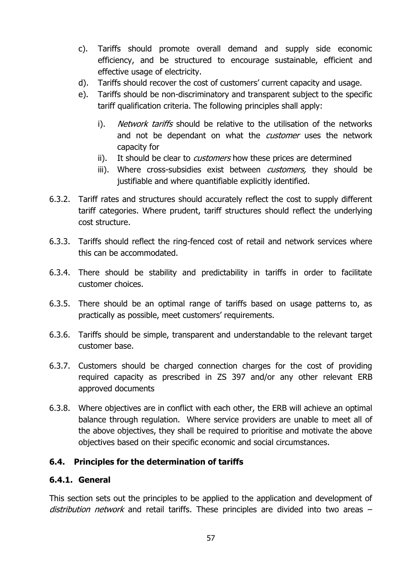- c). Tariffs should promote overall demand and supply side economic efficiency, and be structured to encourage sustainable, efficient and effective usage of electricity.
- d). Tariffs should recover the cost of customers' current capacity and usage.
- e). Tariffs should be non-discriminatory and transparent subject to the specific tariff qualification criteria. The following principles shall apply:
	- i). Network tariffs should be relative to the utilisation of the networks and not be dependant on what the *customer* uses the network capacity for
	- ii). It should be clear to *customers* how these prices are determined
	- iii). Where cross-subsidies exist between *customers*, they should be justifiable and where quantifiable explicitly identified.
- 6.3.2. Tariff rates and structures should accurately reflect the cost to supply different tariff categories. Where prudent, tariff structures should reflect the underlying cost structure.
- 6.3.3. Tariffs should reflect the ring-fenced cost of retail and network services where this can be accommodated.
- 6.3.4. There should be stability and predictability in tariffs in order to facilitate customer choices.
- 6.3.5. There should be an optimal range of tariffs based on usage patterns to, as practically as possible, meet customers' requirements.
- 6.3.6. Tariffs should be simple, transparent and understandable to the relevant target customer base.
- 6.3.7. Customers should be charged connection charges for the cost of providing required capacity as prescribed in ZS 397 and/or any other relevant ERB approved documents
- 6.3.8. Where objectives are in conflict with each other, the ERB will achieve an optimal balance through regulation. Where service providers are unable to meet all of the above objectives, they shall be required to prioritise and motivate the above objectives based on their specific economic and social circumstances.

### **6.4. Principles for the determination of tariffs**

### **6.4.1. General**

This section sets out the principles to be applied to the application and development of distribution network and retail tariffs. These principles are divided into two areas  $-$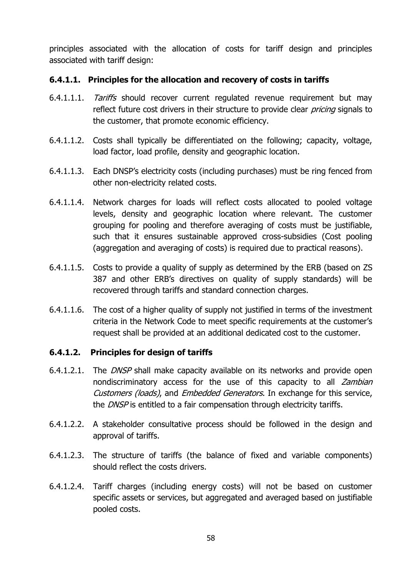principles associated with the allocation of costs for tariff design and principles associated with tariff design:

### **6.4.1.1. Principles for the allocation and recovery of costs in tariffs**

- 6.4.1.1.1. Tariffs should recover current regulated revenue requirement but may reflect future cost drivers in their structure to provide clear *pricing* signals to the customer, that promote economic efficiency.
- 6.4.1.1.2. Costs shall typically be differentiated on the following; capacity, voltage, load factor, load profile, density and geographic location.
- 6.4.1.1.3. Each DNSP's electricity costs (including purchases) must be ring fenced from other non-electricity related costs.
- 6.4.1.1.4. Network charges for loads will reflect costs allocated to pooled voltage levels, density and geographic location where relevant. The customer grouping for pooling and therefore averaging of costs must be justifiable, such that it ensures sustainable approved cross-subsidies (Cost pooling (aggregation and averaging of costs) is required due to practical reasons).
- 6.4.1.1.5. Costs to provide a quality of supply as determined by the ERB (based on ZS 387 and other ERB's directives on quality of supply standards) will be recovered through tariffs and standard connection charges.
- 6.4.1.1.6. The cost of a higher quality of supply not justified in terms of the investment criteria in the Network Code to meet specific requirements at the customer's request shall be provided at an additional dedicated cost to the customer.

### **6.4.1.2. Principles for design of tariffs**

- 6.4.1.2.1. The *DNSP* shall make capacity available on its networks and provide open nondiscriminatory access for the use of this capacity to all Zambian Customers (loads), and Embedded Generators. In exchange for this service, the DNSP is entitled to a fair compensation through electricity tariffs.
- 6.4.1.2.2. A stakeholder consultative process should be followed in the design and approval of tariffs.
- 6.4.1.2.3. The structure of tariffs (the balance of fixed and variable components) should reflect the costs drivers.
- 6.4.1.2.4. Tariff charges (including energy costs) will not be based on customer specific assets or services, but aggregated and averaged based on justifiable pooled costs.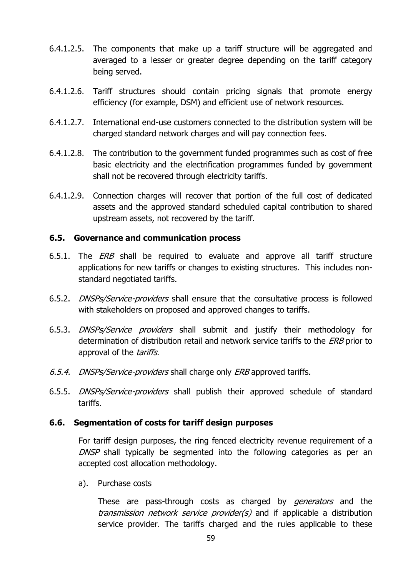- 6.4.1.2.5. The components that make up a tariff structure will be aggregated and averaged to a lesser or greater degree depending on the tariff category being served.
- 6.4.1.2.6. Tariff structures should contain pricing signals that promote energy efficiency (for example, DSM) and efficient use of network resources.
- 6.4.1.2.7. International end-use customers connected to the distribution system will be charged standard network charges and will pay connection fees.
- 6.4.1.2.8. The contribution to the government funded programmes such as cost of free basic electricity and the electrification programmes funded by government shall not be recovered through electricity tariffs.
- 6.4.1.2.9. Connection charges will recover that portion of the full cost of dedicated assets and the approved standard scheduled capital contribution to shared upstream assets, not recovered by the tariff.

#### **6.5. Governance and communication process**

- 6.5.1. The *ERB* shall be required to evaluate and approve all tariff structure applications for new tariffs or changes to existing structures. This includes nonstandard negotiated tariffs.
- 6.5.2. DNSPs/Service-providers shall ensure that the consultative process is followed with stakeholders on proposed and approved changes to tariffs.
- 6.5.3. DNSPs/Service providers shall submit and justify their methodology for determination of distribution retail and network service tariffs to the *ERB* prior to approval of the tariffs.
- 6.5.4. DNSPs/Service-providers shall charge only ERB approved tariffs.
- 6.5.5. DNSPs/Service-providers shall publish their approved schedule of standard tariffs.

#### **6.6. Segmentation of costs for tariff design purposes**

For tariff design purposes, the ring fenced electricity revenue requirement of a DNSP shall typically be segmented into the following categories as per an accepted cost allocation methodology.

a). Purchase costs

These are pass-through costs as charged by *generators* and the transmission network service provider(s) and if applicable a distribution service provider. The tariffs charged and the rules applicable to these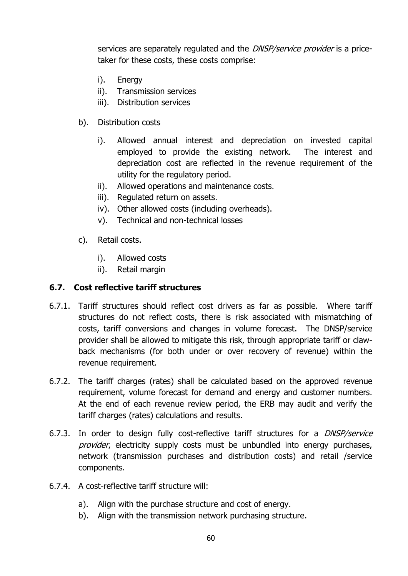services are separately regulated and the *DNSP/service provider* is a pricetaker for these costs, these costs comprise:

- i). Energy
- ii). Transmission services
- iii). Distribution services
- b). Distribution costs
	- i). Allowed annual interest and depreciation on invested capital employed to provide the existing network. The interest and depreciation cost are reflected in the revenue requirement of the utility for the regulatory period.
	- ii). Allowed operations and maintenance costs.
	- iii). Regulated return on assets.
	- iv). Other allowed costs (including overheads).
	- v). Technical and non-technical losses
- c). Retail costs.
	- i). Allowed costs
	- ii). Retail margin

# **6.7. Cost reflective tariff structures**

- 6.7.1. Tariff structures should reflect cost drivers as far as possible. Where tariff structures do not reflect costs, there is risk associated with mismatching of costs, tariff conversions and changes in volume forecast. The DNSP/service provider shall be allowed to mitigate this risk, through appropriate tariff or clawback mechanisms (for both under or over recovery of revenue) within the revenue requirement.
- 6.7.2. The tariff charges (rates) shall be calculated based on the approved revenue requirement, volume forecast for demand and energy and customer numbers. At the end of each revenue review period, the ERB may audit and verify the tariff charges (rates) calculations and results.
- 6.7.3. In order to design fully cost-reflective tariff structures for a DNSP/service provider, electricity supply costs must be unbundled into energy purchases, network (transmission purchases and distribution costs) and retail /service components.
- 6.7.4. A cost-reflective tariff structure will:
	- a). Align with the purchase structure and cost of energy.
	- b). Align with the transmission network purchasing structure.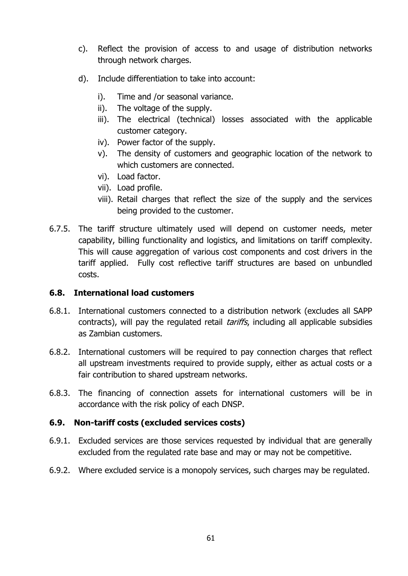- c). Reflect the provision of access to and usage of distribution networks through network charges.
- d). Include differentiation to take into account:
	- i). Time and /or seasonal variance.
	- ii). The voltage of the supply.
	- iii). The electrical (technical) losses associated with the applicable customer category.
	- iv). Power factor of the supply.
	- v). The density of customers and geographic location of the network to which customers are connected.
	- vi). Load factor.
	- vii). Load profile.
	- viii). Retail charges that reflect the size of the supply and the services being provided to the customer.
- 6.7.5. The tariff structure ultimately used will depend on customer needs, meter capability, billing functionality and logistics, and limitations on tariff complexity. This will cause aggregation of various cost components and cost drivers in the tariff applied. Fully cost reflective tariff structures are based on unbundled costs.

### **6.8. International load customers**

- 6.8.1. International customers connected to a distribution network (excludes all SAPP contracts), will pay the regulated retail *tariffs*, including all applicable subsidies as Zambian customers.
- 6.8.2. International customers will be required to pay connection charges that reflect all upstream investments required to provide supply, either as actual costs or a fair contribution to shared upstream networks.
- 6.8.3. The financing of connection assets for international customers will be in accordance with the risk policy of each DNSP.

### **6.9. Non-tariff costs (excluded services costs)**

- 6.9.1. Excluded services are those services requested by individual that are generally excluded from the regulated rate base and may or may not be competitive.
- 6.9.2. Where excluded service is a monopoly services, such charges may be regulated.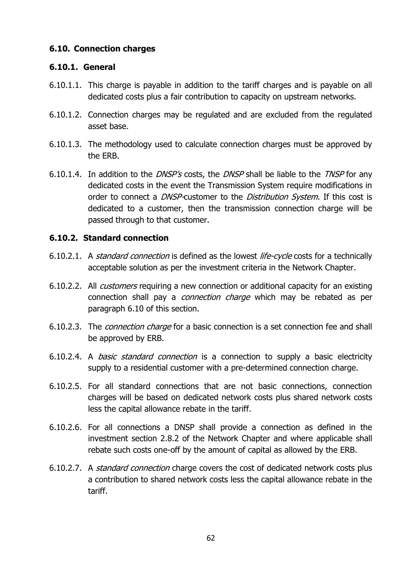### **6.10. Connection charges**

#### **6.10.1. General**

- 6.10.1.1. This charge is payable in addition to the tariff charges and is payable on all dedicated costs plus a fair contribution to capacity on upstream networks.
- 6.10.1.2. Connection charges may be regulated and are excluded from the regulated asset base.
- 6.10.1.3. The methodology used to calculate connection charges must be approved by the ERB.
- 6.10.1.4. In addition to the *DNSP's* costs, the *DNSP* shall be liable to the *TNSP* for any dedicated costs in the event the Transmission System require modifications in order to connect a *DNSP*-customer to the *Distribution System*. If this cost is dedicated to a customer, then the transmission connection charge will be passed through to that customer.

### **6.10.2. Standard connection**

- 6.10.2.1. A *standard connection* is defined as the lowest *life-cycle* costs for a technically acceptable solution as per the investment criteria in the Network Chapter.
- 6.10.2.2. All customers requiring a new connection or additional capacity for an existing connection shall pay a *connection charge* which may be rebated as per paragraph 6.10 of this section.
- 6.10.2.3. The *connection charge* for a basic connection is a set connection fee and shall be approved by ERB.
- 6.10.2.4. A basic standard connection is a connection to supply a basic electricity supply to a residential customer with a pre-determined connection charge.
- 6.10.2.5. For all standard connections that are not basic connections, connection charges will be based on dedicated network costs plus shared network costs less the capital allowance rebate in the tariff.
- 6.10.2.6. For all connections a DNSP shall provide a connection as defined in the investment section 2.8.2 of the Network Chapter and where applicable shall rebate such costs one-off by the amount of capital as allowed by the ERB.
- 6.10.2.7. A standard connection charge covers the cost of dedicated network costs plus a contribution to shared network costs less the capital allowance rebate in the tariff.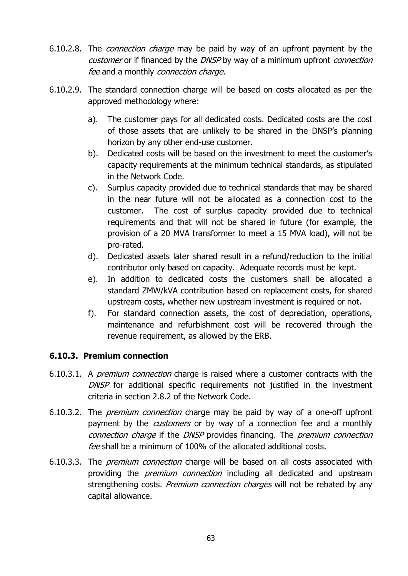- 6.10.2.8. The connection charge may be paid by way of an upfront payment by the customer or if financed by the DNSP by way of a minimum upfront connection fee and a monthly connection charge.
- 6.10.2.9. The standard connection charge will be based on costs allocated as per the approved methodology where:
	- a). The customer pays for all dedicated costs. Dedicated costs are the cost of those assets that are unlikely to be shared in the DNSP's planning horizon by any other end-use customer.
	- b). Dedicated costs will be based on the investment to meet the customer's capacity requirements at the minimum technical standards, as stipulated in the Network Code.
	- c). Surplus capacity provided due to technical standards that may be shared in the near future will not be allocated as a connection cost to the customer. The cost of surplus capacity provided due to technical requirements and that will not be shared in future (for example, the provision of a 20 MVA transformer to meet a 15 MVA load), will not be pro-rated.
	- d). Dedicated assets later shared result in a refund/reduction to the initial contributor only based on capacity. Adequate records must be kept.
	- e). In addition to dedicated costs the customers shall be allocated a standard ZMW/kVA contribution based on replacement costs, for shared upstream costs, whether new upstream investment is required or not.
	- f). For standard connection assets, the cost of depreciation, operations, maintenance and refurbishment cost will be recovered through the revenue requirement, as allowed by the ERB.

### **6.10.3. Premium connection**

- 6.10.3.1. A premium connection charge is raised where a customer contracts with the DNSP for additional specific requirements not justified in the investment criteria in section 2.8.2 of the Network Code.
- 6.10.3.2. The premium connection charge may be paid by way of a one-off upfront payment by the *customers* or by way of a connection fee and a monthly connection charge if the DNSP provides financing. The premium connection fee shall be a minimum of 100% of the allocated additional costs.
- 6.10.3.3. The premium connection charge will be based on all costs associated with providing the *premium connection* including all dedicated and upstream strengthening costs. *Premium connection charges* will not be rebated by any capital allowance.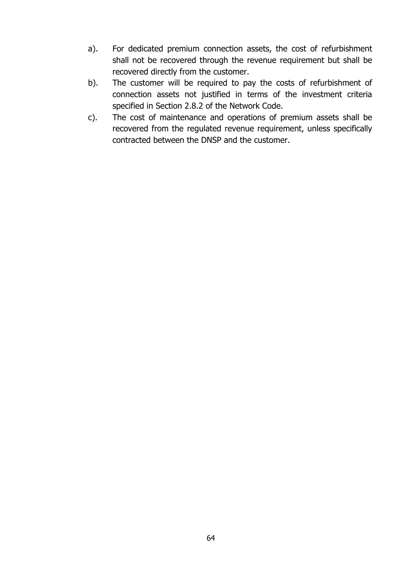- a). For dedicated premium connection assets, the cost of refurbishment shall not be recovered through the revenue requirement but shall be recovered directly from the customer.
- b). The customer will be required to pay the costs of refurbishment of connection assets not justified in terms of the investment criteria specified in Section 2.8.2 of the Network Code.
- c). The cost of maintenance and operations of premium assets shall be recovered from the regulated revenue requirement, unless specifically contracted between the DNSP and the customer.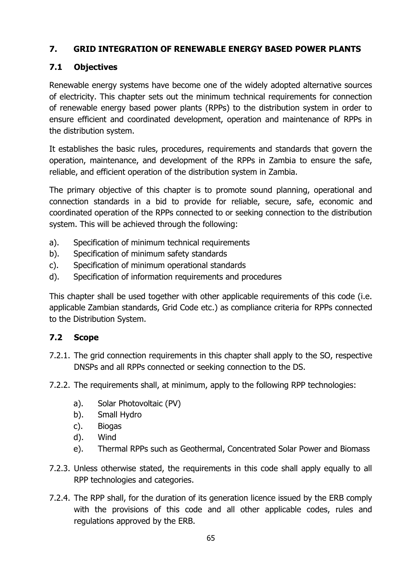# **7. GRID INTEGRATION OF RENEWABLE ENERGY BASED POWER PLANTS**

# **7.1 Objectives**

Renewable energy systems have become one of the widely adopted alternative sources of electricity. This chapter sets out the minimum technical requirements for connection of renewable energy based power plants (RPPs) to the distribution system in order to ensure efficient and coordinated development, operation and maintenance of RPPs in the distribution system.

It establishes the basic rules, procedures, requirements and standards that govern the operation, maintenance, and development of the RPPs in Zambia to ensure the safe, reliable, and efficient operation of the distribution system in Zambia.

The primary objective of this chapter is to promote sound planning, operational and connection standards in a bid to provide for reliable, secure, safe, economic and coordinated operation of the RPPs connected to or seeking connection to the distribution system. This will be achieved through the following:

- a). Specification of minimum technical requirements
- b). Specification of minimum safety standards
- c). Specification of minimum operational standards
- d). Specification of information requirements and procedures

This chapter shall be used together with other applicable requirements of this code (i.e. applicable Zambian standards, Grid Code etc.) as compliance criteria for RPPs connected to the Distribution System.

# **7.2 Scope**

- 7.2.1. The grid connection requirements in this chapter shall apply to the SO, respective DNSPs and all RPPs connected or seeking connection to the DS.
- 7.2.2. The requirements shall, at minimum, apply to the following RPP technologies:
	- a). Solar Photovoltaic (PV)
	- b). Small Hydro
	- c). Biogas
	- d). Wind
	- e). Thermal RPPs such as Geothermal, Concentrated Solar Power and Biomass
- 7.2.3. Unless otherwise stated, the requirements in this code shall apply equally to all RPP technologies and categories.
- 7.2.4. The RPP shall, for the duration of its generation licence issued by the ERB comply with the provisions of this code and all other applicable codes, rules and regulations approved by the ERB.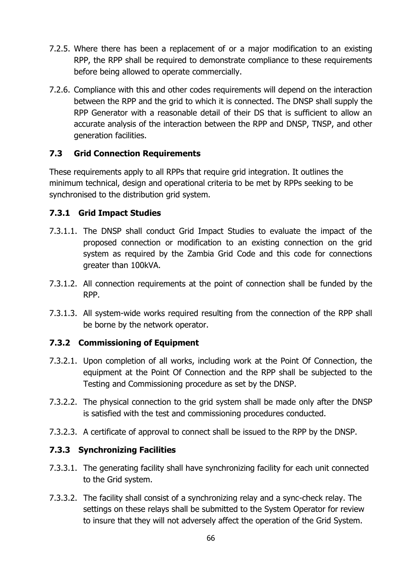- 7.2.5. Where there has been a replacement of or a major modification to an existing RPP, the RPP shall be required to demonstrate compliance to these requirements before being allowed to operate commercially.
- 7.2.6. Compliance with this and other codes requirements will depend on the interaction between the RPP and the grid to which it is connected. The DNSP shall supply the RPP Generator with a reasonable detail of their DS that is sufficient to allow an accurate analysis of the interaction between the RPP and DNSP, TNSP, and other generation facilities.

# **7.3 Grid Connection Requirements**

These requirements apply to all RPPs that require grid integration. It outlines the minimum technical, design and operational criteria to be met by RPPs seeking to be synchronised to the distribution grid system.

### **7.3.1 Grid Impact Studies**

- 7.3.1.1. The DNSP shall conduct Grid Impact Studies to evaluate the impact of the proposed connection or modification to an existing connection on the grid system as required by the Zambia Grid Code and this code for connections greater than 100kVA.
- 7.3.1.2. All connection requirements at the point of connection shall be funded by the RPP.
- 7.3.1.3. All system-wide works required resulting from the connection of the RPP shall be borne by the network operator.

### **7.3.2 Commissioning of Equipment**

- 7.3.2.1. Upon completion of all works, including work at the Point Of Connection, the equipment at the Point Of Connection and the RPP shall be subjected to the Testing and Commissioning procedure as set by the DNSP.
- 7.3.2.2. The physical connection to the grid system shall be made only after the DNSP is satisfied with the test and commissioning procedures conducted.
- 7.3.2.3. A certificate of approval to connect shall be issued to the RPP by the DNSP.

# **7.3.3 Synchronizing Facilities**

- 7.3.3.1. The generating facility shall have synchronizing facility for each unit connected to the Grid system.
- 7.3.3.2. The facility shall consist of a synchronizing relay and a sync-check relay. The settings on these relays shall be submitted to the System Operator for review to insure that they will not adversely affect the operation of the Grid System.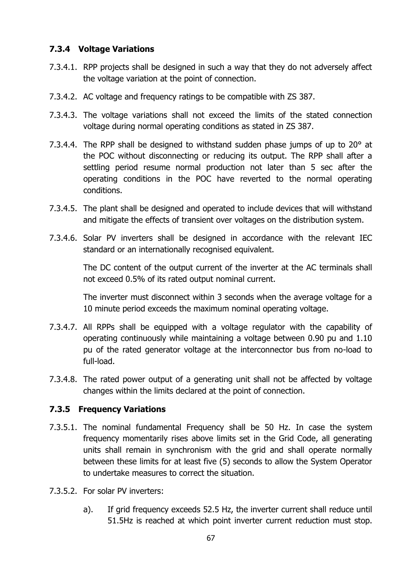### **7.3.4 Voltage Variations**

- 7.3.4.1. RPP projects shall be designed in such a way that they do not adversely affect the voltage variation at the point of connection.
- 7.3.4.2. AC voltage and frequency ratings to be compatible with ZS 387.
- 7.3.4.3. The voltage variations shall not exceed the limits of the stated connection voltage during normal operating conditions as stated in ZS 387.
- 7.3.4.4. The RPP shall be designed to withstand sudden phase jumps of up to  $20^{\circ}$  at the POC without disconnecting or reducing its output. The RPP shall after a settling period resume normal production not later than 5 sec after the operating conditions in the POC have reverted to the normal operating conditions.
- 7.3.4.5. The plant shall be designed and operated to include devices that will withstand and mitigate the effects of transient over voltages on the distribution system.
- 7.3.4.6. Solar PV inverters shall be designed in accordance with the relevant IEC standard or an internationally recognised equivalent.

The DC content of the output current of the inverter at the AC terminals shall not exceed 0.5% of its rated output nominal current.

The inverter must disconnect within 3 seconds when the average voltage for a 10 minute period exceeds the maximum nominal operating voltage.

- 7.3.4.7. All RPPs shall be equipped with a voltage regulator with the capability of operating continuously while maintaining a voltage between 0.90 pu and 1.10 pu of the rated generator voltage at the interconnector bus from no-load to full-load.
- 7.3.4.8. The rated power output of a generating unit shall not be affected by voltage changes within the limits declared at the point of connection.

### **7.3.5 Frequency Variations**

- 7.3.5.1. The nominal fundamental Frequency shall be 50 Hz. In case the system frequency momentarily rises above limits set in the Grid Code, all generating units shall remain in synchronism with the grid and shall operate normally between these limits for at least five (5) seconds to allow the System Operator to undertake measures to correct the situation.
- 7.3.5.2. For solar PV inverters:
	- a). If grid frequency exceeds 52.5 Hz, the inverter current shall reduce until 51.5Hz is reached at which point inverter current reduction must stop.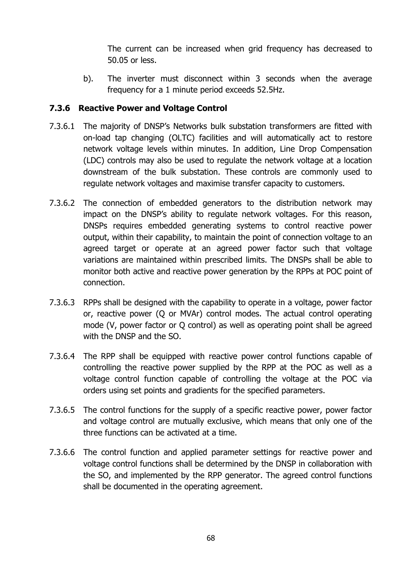The current can be increased when grid frequency has decreased to 50.05 or less.

b). The inverter must disconnect within 3 seconds when the average frequency for a 1 minute period exceeds 52.5Hz.

### **7.3.6 Reactive Power and Voltage Control**

- 7.3.6.1 The majority of DNSP's Networks bulk substation transformers are fitted with on-load tap changing (OLTC) facilities and will automatically act to restore network voltage levels within minutes. In addition, Line Drop Compensation (LDC) controls may also be used to regulate the network voltage at a location downstream of the bulk substation. These controls are commonly used to regulate network voltages and maximise transfer capacity to customers.
- 7.3.6.2 The connection of embedded generators to the distribution network may impact on the DNSP's ability to regulate network voltages. For this reason, DNSPs requires embedded generating systems to control reactive power output, within their capability, to maintain the point of connection voltage to an agreed target or operate at an agreed power factor such that voltage variations are maintained within prescribed limits. The DNSPs shall be able to monitor both active and reactive power generation by the RPPs at POC point of connection.
- 7.3.6.3 RPPs shall be designed with the capability to operate in a voltage, power factor or, reactive power (Q or MVAr) control modes. The actual control operating mode (V, power factor or Q control) as well as operating point shall be agreed with the DNSP and the SO.
- 7.3.6.4 The RPP shall be equipped with reactive power control functions capable of controlling the reactive power supplied by the RPP at the POC as well as a voltage control function capable of controlling the voltage at the POC via orders using set points and gradients for the specified parameters.
- 7.3.6.5 The control functions for the supply of a specific reactive power, power factor and voltage control are mutually exclusive, which means that only one of the three functions can be activated at a time.
- 7.3.6.6 The control function and applied parameter settings for reactive power and voltage control functions shall be determined by the DNSP in collaboration with the SO, and implemented by the RPP generator. The agreed control functions shall be documented in the operating agreement.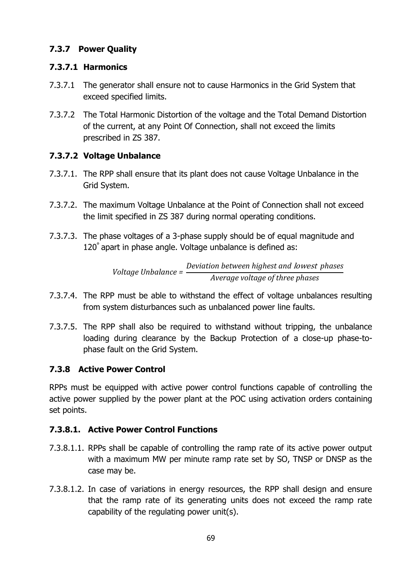# **7.3.7 Power Quality**

# **7.3.7.1 Harmonics**

- 7.3.7.1 The generator shall ensure not to cause Harmonics in the Grid System that exceed specified limits.
- 7.3.7.2 The Total Harmonic Distortion of the voltage and the Total Demand Distortion of the current, at any Point Of Connection, shall not exceed the limits prescribed in ZS 387.

# **7.3.7.2 Voltage Unbalance**

- 7.3.7.1. The RPP shall ensure that its plant does not cause Voltage Unbalance in the Grid System.
- 7.3.7.2. The maximum Voltage Unbalance at the Point of Connection shall not exceed the limit specified in ZS 387 during normal operating conditions.
- 7.3.7.3. The phase voltages of a 3-phase supply should be of equal magnitude and 120° apart in phase angle. Voltage unbalance is defined as:

*Voltage Unbalance = Deviation between highest and* lowest *phases Average voltage of three phases*

- 7.3.7.4. The RPP must be able to withstand the effect of voltage unbalances resulting from system disturbances such as unbalanced power line faults.
- 7.3.7.5. The RPP shall also be required to withstand without tripping, the unbalance loading during clearance by the Backup Protection of a close-up phase-tophase fault on the Grid System.

# **7.3.8 Active Power Control**

RPPs must be equipped with active power control functions capable of controlling the active power supplied by the power plant at the POC using activation orders containing set points.

# **7.3.8.1. Active Power Control Functions**

- 7.3.8.1.1. RPPs shall be capable of controlling the ramp rate of its active power output with a maximum MW per minute ramp rate set by SO, TNSP or DNSP as the case may be.
- 7.3.8.1.2. In case of variations in energy resources, the RPP shall design and ensure that the ramp rate of its generating units does not exceed the ramp rate capability of the regulating power unit(s).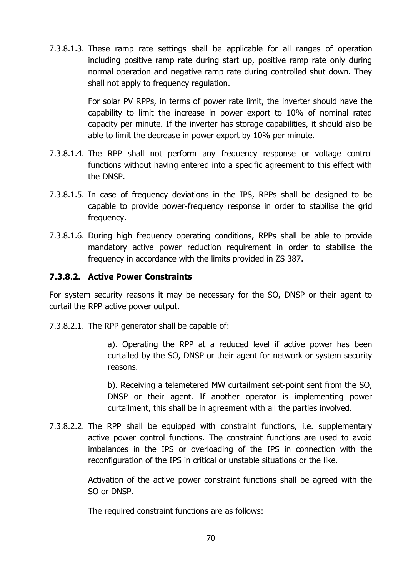7.3.8.1.3. These ramp rate settings shall be applicable for all ranges of operation including positive ramp rate during start up, positive ramp rate only during normal operation and negative ramp rate during controlled shut down. They shall not apply to frequency regulation.

> For solar PV RPPs, in terms of power rate limit, the inverter should have the capability to limit the increase in power export to 10% of nominal rated capacity per minute. If the inverter has storage capabilities, it should also be able to limit the decrease in power export by 10% per minute.

- 7.3.8.1.4. The RPP shall not perform any frequency response or voltage control functions without having entered into a specific agreement to this effect with the DNSP.
- 7.3.8.1.5. In case of frequency deviations in the IPS, RPPs shall be designed to be capable to provide power-frequency response in order to stabilise the grid frequency.
- 7.3.8.1.6. During high frequency operating conditions, RPPs shall be able to provide mandatory active power reduction requirement in order to stabilise the frequency in accordance with the limits provided in ZS 387.

### **7.3.8.2. Active Power Constraints**

For system security reasons it may be necessary for the SO, DNSP or their agent to curtail the RPP active power output.

7.3.8.2.1. The RPP generator shall be capable of:

a). Operating the RPP at a reduced level if active power has been curtailed by the SO, DNSP or their agent for network or system security reasons.

b). Receiving a telemetered MW curtailment set-point sent from the SO, DNSP or their agent. If another operator is implementing power curtailment, this shall be in agreement with all the parties involved.

7.3.8.2.2. The RPP shall be equipped with constraint functions, i.e. supplementary active power control functions. The constraint functions are used to avoid imbalances in the IPS or overloading of the IPS in connection with the reconfiguration of the IPS in critical or unstable situations or the like.

> Activation of the active power constraint functions shall be agreed with the SO or DNSP.

The required constraint functions are as follows: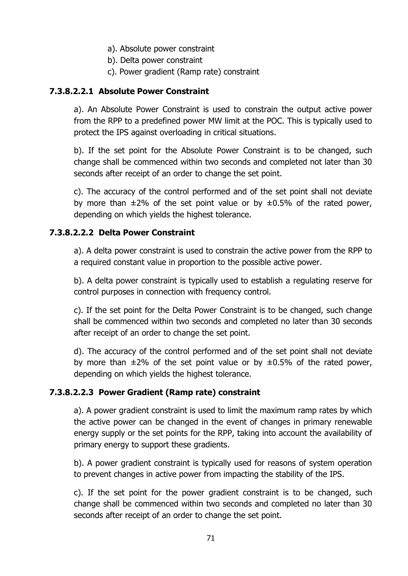- a). Absolute power constraint
- b). Delta power constraint
- c). Power gradient (Ramp rate) constraint

### **7.3.8.2.2.1 Absolute Power Constraint**

a). An Absolute Power Constraint is used to constrain the output active power from the RPP to a predefined power MW limit at the POC. This is typically used to protect the IPS against overloading in critical situations.

b). If the set point for the Absolute Power Constraint is to be changed, such change shall be commenced within two seconds and completed not later than 30 seconds after receipt of an order to change the set point.

c). The accuracy of the control performed and of the set point shall not deviate by more than  $\pm 2\%$  of the set point value or by  $\pm 0.5\%$  of the rated power, depending on which yields the highest tolerance.

# **7.3.8.2.2.2 Delta Power Constraint**

a). A delta power constraint is used to constrain the active power from the RPP to a required constant value in proportion to the possible active power.

b). A delta power constraint is typically used to establish a regulating reserve for control purposes in connection with frequency control.

c). If the set point for the Delta Power Constraint is to be changed, such change shall be commenced within two seconds and completed no later than 30 seconds after receipt of an order to change the set point.

d). The accuracy of the control performed and of the set point shall not deviate by more than  $\pm 2\%$  of the set point value or by  $\pm 0.5\%$  of the rated power, depending on which yields the highest tolerance.

# **7.3.8.2.2.3 Power Gradient (Ramp rate) constraint**

a). A power gradient constraint is used to limit the maximum ramp rates by which the active power can be changed in the event of changes in primary renewable energy supply or the set points for the RPP, taking into account the availability of primary energy to support these gradients.

b). A power gradient constraint is typically used for reasons of system operation to prevent changes in active power from impacting the stability of the IPS.

c). If the set point for the power gradient constraint is to be changed, such change shall be commenced within two seconds and completed no later than 30 seconds after receipt of an order to change the set point.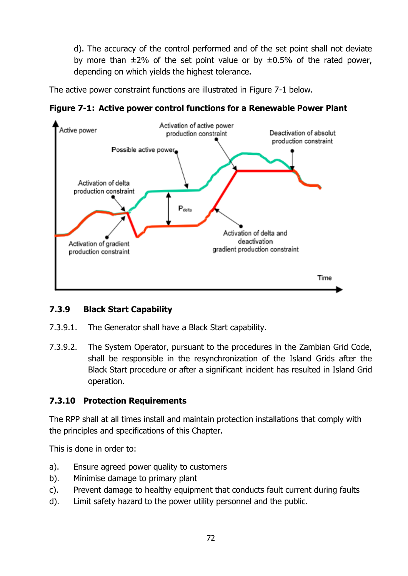d). The accuracy of the control performed and of the set point shall not deviate by more than  $\pm 2\%$  of the set point value or by  $\pm 0.5\%$  of the rated power, depending on which yields the highest tolerance.

The active power constraint functions are illustrated in Figure 7-1 below.



**Figure 7-1: Active power control functions for a Renewable Power Plant**

# **7.3.9 Black Start Capability**

- 7.3.9.1. The Generator shall have a Black Start capability.
- 7.3.9.2. The System Operator, pursuant to the procedures in the Zambian Grid Code, shall be responsible in the resynchronization of the Island Grids after the Black Start procedure or after a significant incident has resulted in Island Grid operation.

# **7.3.10 Protection Requirements**

The RPP shall at all times install and maintain protection installations that comply with the principles and specifications of this Chapter.

This is done in order to:

- a). Ensure agreed power quality to customers
- b). Minimise damage to primary plant
- c). Prevent damage to healthy equipment that conducts fault current during faults
- d). Limit safety hazard to the power utility personnel and the public.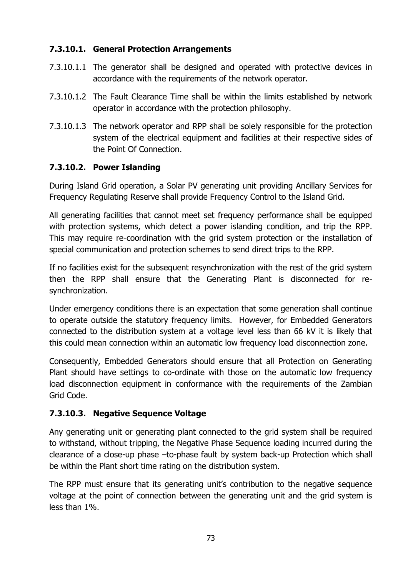# **7.3.10.1. General Protection Arrangements**

- 7.3.10.1.1 The generator shall be designed and operated with protective devices in accordance with the requirements of the network operator.
- 7.3.10.1.2 The Fault Clearance Time shall be within the limits established by network operator in accordance with the protection philosophy.
- 7.3.10.1.3 The network operator and RPP shall be solely responsible for the protection system of the electrical equipment and facilities at their respective sides of the Point Of Connection.

# **7.3.10.2. Power Islanding**

During Island Grid operation, a Solar PV generating unit providing Ancillary Services for Frequency Regulating Reserve shall provide Frequency Control to the Island Grid.

All generating facilities that cannot meet set frequency performance shall be equipped with protection systems, which detect a power islanding condition, and trip the RPP. This may require re-coordination with the grid system protection or the installation of special communication and protection schemes to send direct trips to the RPP.

If no facilities exist for the subsequent resynchronization with the rest of the grid system then the RPP shall ensure that the Generating Plant is disconnected for resynchronization.

Under emergency conditions there is an expectation that some generation shall continue to operate outside the statutory frequency limits. However, for Embedded Generators connected to the distribution system at a voltage level less than 66 kV it is likely that this could mean connection within an automatic low frequency load disconnection zone.

Consequently, Embedded Generators should ensure that all Protection on Generating Plant should have settings to co-ordinate with those on the automatic low frequency load disconnection equipment in conformance with the requirements of the Zambian Grid Code.

# **7.3.10.3. Negative Sequence Voltage**

Any generating unit or generating plant connected to the grid system shall be required to withstand, without tripping, the Negative Phase Sequence loading incurred during the clearance of a close-up phase –to-phase fault by system back-up Protection which shall be within the Plant short time rating on the distribution system.

The RPP must ensure that its generating unit's contribution to the negative sequence voltage at the point of connection between the generating unit and the grid system is less than 1%.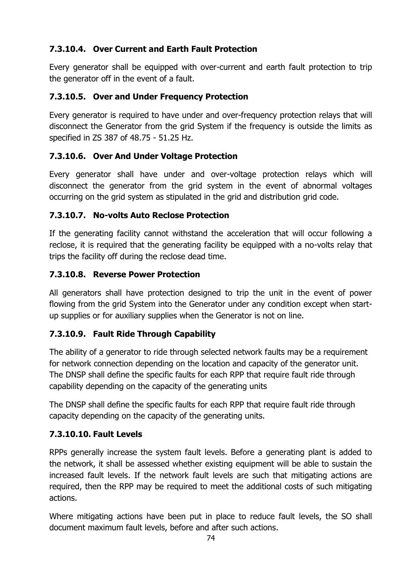# **7.3.10.4. Over Current and Earth Fault Protection**

Every generator shall be equipped with over-current and earth fault protection to trip the generator off in the event of a fault.

# **7.3.10.5. Over and Under Frequency Protection**

Every generator is required to have under and over-frequency protection relays that will disconnect the Generator from the grid System if the frequency is outside the limits as specified in ZS 387 of 48.75 - 51.25 Hz.

# **7.3.10.6. Over And Under Voltage Protection**

Every generator shall have under and over-voltage protection relays which will disconnect the generator from the grid system in the event of abnormal voltages occurring on the grid system as stipulated in the grid and distribution grid code.

# **7.3.10.7. No-volts Auto Reclose Protection**

If the generating facility cannot withstand the acceleration that will occur following a reclose, it is required that the generating facility be equipped with a no-volts relay that trips the facility off during the reclose dead time.

# **7.3.10.8. Reverse Power Protection**

All generators shall have protection designed to trip the unit in the event of power flowing from the grid System into the Generator under any condition except when startup supplies or for auxiliary supplies when the Generator is not on line.

# **7.3.10.9. Fault Ride Through Capability**

The ability of a generator to ride through selected network faults may be a requirement for network connection depending on the location and capacity of the generator unit. The DNSP shall define the specific faults for each RPP that require fault ride through capability depending on the capacity of the generating units

The DNSP shall define the specific faults for each RPP that require fault ride through capacity depending on the capacity of the generating units.

# **7.3.10.10. Fault Levels**

RPPs generally increase the system fault levels. Before a generating plant is added to the network, it shall be assessed whether existing equipment will be able to sustain the increased fault levels. If the network fault levels are such that mitigating actions are required, then the RPP may be required to meet the additional costs of such mitigating actions.

Where mitigating actions have been put in place to reduce fault levels, the SO shall document maximum fault levels, before and after such actions.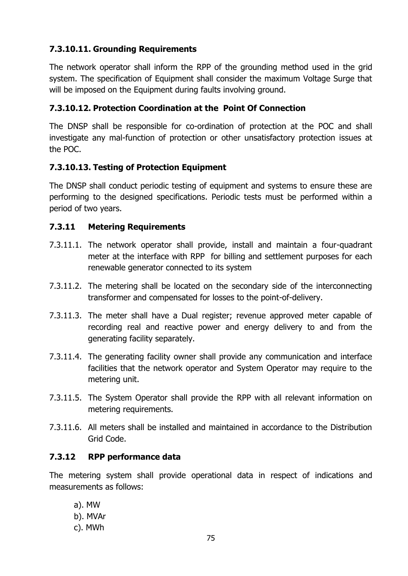# **7.3.10.11. Grounding Requirements**

The network operator shall inform the RPP of the grounding method used in the grid system. The specification of Equipment shall consider the maximum Voltage Surge that will be imposed on the Equipment during faults involving ground.

# **7.3.10.12. Protection Coordination at the Point Of Connection**

The DNSP shall be responsible for co-ordination of protection at the POC and shall investigate any mal-function of protection or other unsatisfactory protection issues at the POC.

# **7.3.10.13. Testing of Protection Equipment**

The DNSP shall conduct periodic testing of equipment and systems to ensure these are performing to the designed specifications. Periodic tests must be performed within a period of two years.

# **7.3.11 Metering Requirements**

- 7.3.11.1. The network operator shall provide, install and maintain a four-quadrant meter at the interface with RPP for billing and settlement purposes for each renewable generator connected to its system
- 7.3.11.2. The metering shall be located on the secondary side of the interconnecting transformer and compensated for losses to the point-of-delivery.
- 7.3.11.3. The meter shall have a Dual register; revenue approved meter capable of recording real and reactive power and energy delivery to and from the generating facility separately.
- 7.3.11.4. The generating facility owner shall provide any communication and interface facilities that the network operator and System Operator may require to the metering unit.
- 7.3.11.5. The System Operator shall provide the RPP with all relevant information on metering requirements.
- 7.3.11.6. All meters shall be installed and maintained in accordance to the Distribution Grid Code.

# **7.3.12 RPP performance data**

The metering system shall provide operational data in respect of indications and measurements as follows:

a). MW b). MVAr c). MWh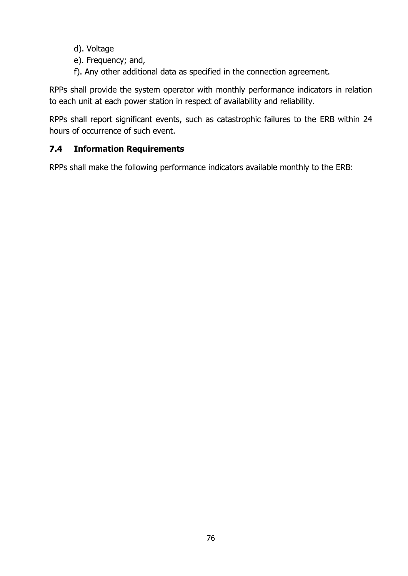- d). Voltage
- e). Frequency; and,
- f). Any other additional data as specified in the connection agreement.

RPPs shall provide the system operator with monthly performance indicators in relation to each unit at each power station in respect of availability and reliability.

RPPs shall report significant events, such as catastrophic failures to the ERB within 24 hours of occurrence of such event.

# **7.4 Information Requirements**

RPPs shall make the following performance indicators available monthly to the ERB: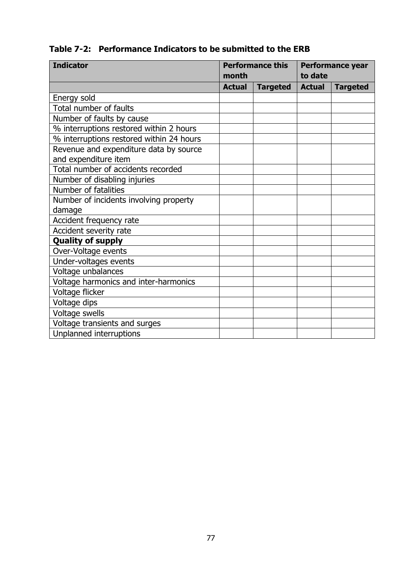# **Table 7-2: Performance Indicators to be submitted to the ERB**

| <b>Indicator</b><br><b>Performance this</b> |               |                 | <b>Performance year</b> |                 |
|---------------------------------------------|---------------|-----------------|-------------------------|-----------------|
|                                             | month         |                 | to date                 |                 |
|                                             | <b>Actual</b> | <b>Targeted</b> | <b>Actual</b>           | <b>Targeted</b> |
| Energy sold                                 |               |                 |                         |                 |
| Total number of faults                      |               |                 |                         |                 |
| Number of faults by cause                   |               |                 |                         |                 |
| % interruptions restored within 2 hours     |               |                 |                         |                 |
| % interruptions restored within 24 hours    |               |                 |                         |                 |
| Revenue and expenditure data by source      |               |                 |                         |                 |
| and expenditure item                        |               |                 |                         |                 |
| Total number of accidents recorded          |               |                 |                         |                 |
| Number of disabling injuries                |               |                 |                         |                 |
| Number of fatalities                        |               |                 |                         |                 |
| Number of incidents involving property      |               |                 |                         |                 |
| damage                                      |               |                 |                         |                 |
| Accident frequency rate                     |               |                 |                         |                 |
| Accident severity rate                      |               |                 |                         |                 |
| <b>Quality of supply</b>                    |               |                 |                         |                 |
| Over-Voltage events                         |               |                 |                         |                 |
| Under-voltages events                       |               |                 |                         |                 |
| Voltage unbalances                          |               |                 |                         |                 |
| Voltage harmonics and inter-harmonics       |               |                 |                         |                 |
| Voltage flicker                             |               |                 |                         |                 |
| Voltage dips                                |               |                 |                         |                 |
| Voltage swells                              |               |                 |                         |                 |
| Voltage transients and surges               |               |                 |                         |                 |
| Unplanned interruptions                     |               |                 |                         |                 |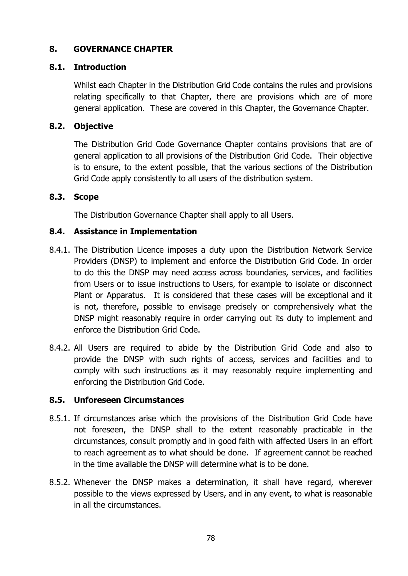### **8. GOVERNANCE CHAPTER**

### **8.1. Introduction**

Whilst each Chapter in the Distribution Grid Code contains the rules and provisions relating specifically to that Chapter, there are provisions which are of more general application. These are covered in this Chapter, the Governance Chapter.

### **8.2. Objective**

The Distribution Grid Code Governance Chapter contains provisions that are of general application to all provisions of the Distribution Grid Code. Their objective is to ensure, to the extent possible, that the various sections of the Distribution Grid Code apply consistently to all users of the distribution system.

### **8.3. Scope**

The Distribution Governance Chapter shall apply to all Users.

### **8.4. Assistance in Implementation**

- 8.4.1. The Distribution Licence imposes a duty upon the Distribution Network Service Providers (DNSP) to implement and enforce the Distribution Grid Code. In order to do this the DNSP may need access across boundaries, services, and facilities from Users or to issue instructions to Users, for example to isolate or disconnect Plant or Apparatus. It is considered that these cases will be exceptional and it is not, therefore, possible to envisage precisely or comprehensively what the DNSP might reasonably require in order carrying out its duty to implement and enforce the Distribution Grid Code.
- 8.4.2. All Users are required to abide by the Distribution Grid Code and also to provide the DNSP with such rights of access, services and facilities and to comply with such instructions as it may reasonably require implementing and enforcing the Distribution Grid Code.

### **8.5. Unforeseen Circumstances**

- 8.5.1. If circumstances arise which the provisions of the Distribution Grid Code have not foreseen, the DNSP shall to the extent reasonably practicable in the circumstances, consult promptly and in good faith with affected Users in an effort to reach agreement as to what should be done. If agreement cannot be reached in the time available the DNSP will determine what is to be done.
- 8.5.2. Whenever the DNSP makes a determination, it shall have regard, wherever possible to the views expressed by Users, and in any event, to what is reasonable in all the circumstances.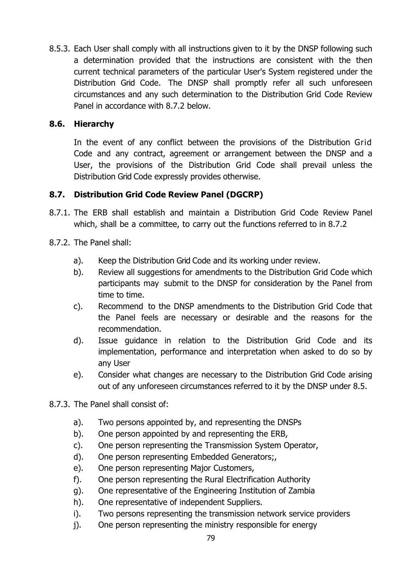8.5.3. Each User shall comply with all instructions given to it by the DNSP following such a determination provided that the instructions are consistent with the then current technical parameters of the particular User's System registered under the Distribution Grid Code. The DNSP shall promptly refer all such unforeseen circumstances and any such determination to the Distribution Grid Code Review Panel in accordance with 8.7.2 below.

# **8.6. Hierarchy**

In the event of any conflict between the provisions of the Distribution Grid Code and any contract, agreement or arrangement between the DNSP and a User, the provisions of the Distribution Grid Code shall prevail unless the Distribution Grid Code expressly provides otherwise.

# **8.7. Distribution Grid Code Review Panel (DGCRP)**

- 8.7.1. The ERB shall establish and maintain a Distribution Grid Code Review Panel which, shall be a committee, to carry out the functions referred to in 8.7.2
- 8.7.2. The Panel shall:
	- a). Keep the Distribution Grid Code and its working under review.
	- b). Review all suggestions for amendments to the Distribution Grid Code which participants may submit to the DNSP for consideration by the Panel from time to time.
	- c). Recommend to the DNSP amendments to the Distribution Grid Code that the Panel feels are necessary or desirable and the reasons for the recommendation.
	- d). Issue guidance in relation to the Distribution Grid Code and its implementation, performance and interpretation when asked to do so by any User
	- e). Consider what changes are necessary to the Distribution Grid Code arising out of any unforeseen circumstances referred to it by the DNSP under 8.5.
- 8.7.3. The Panel shall consist of:
	- a). Two persons appointed by, and representing the DNSPs
	- b). One person appointed by and representing the ERB,
	- c). One person representing the Transmission System Operator,
	- d). One person representing Embedded Generators;,
	- e). One person representing Major Customers,
	- f). One person representing the Rural Electrification Authority
	- g). One representative of the Engineering Institution of Zambia
	- h). One representative of independent Suppliers.
	- i). Two persons representing the transmission network service providers
	- j). One person representing the ministry responsible for energy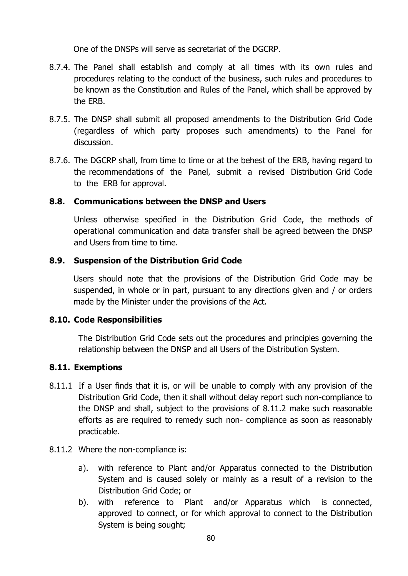One of the DNSPs will serve as secretariat of the DGCRP.

- 8.7.4. The Panel shall establish and comply at all times with its own rules and procedures relating to the conduct of the business, such rules and procedures to be known as the Constitution and Rules of the Panel, which shall be approved by the ERB.
- 8.7.5. The DNSP shall submit all proposed amendments to the Distribution Grid Code (regardless of which party proposes such amendments) to the Panel for discussion.
- 8.7.6. The DGCRP shall, from time to time or at the behest of the ERB, having regard to the recommendations of the Panel, submit a revised Distribution Grid Code to the ERB for approval.

### **8.8. Communications between the DNSP and Users**

Unless otherwise specified in the Distribution Grid Code, the methods of operational communication and data transfer shall be agreed between the DNSP and Users from time to time.

#### **8.9. Suspension of the Distribution Grid Code**

Users should note that the provisions of the Distribution Grid Code may be suspended, in whole or in part, pursuant to any directions given and / or orders made by the Minister under the provisions of the Act.

#### **8.10. Code Responsibilities**

The Distribution Grid Code sets out the procedures and principles governing the relationship between the DNSP and all Users of the Distribution System.

### **8.11. Exemptions**

- 8.11.1 If a User finds that it is, or will be unable to comply with any provision of the Distribution Grid Code, then it shall without delay report such non-compliance to the DNSP and shall, subject to the provisions of 8.11.2 make such reasonable efforts as are required to remedy such non- compliance as soon as reasonably practicable.
- 8.11.2 Where the non-compliance is:
	- a). with reference to Plant and/or Apparatus connected to the Distribution System and is caused solely or mainly as a result of a revision to the Distribution Grid Code; or
	- b). with reference to Plant and/or Apparatus which is connected, approved to connect, or for which approval to connect to the Distribution System is being sought;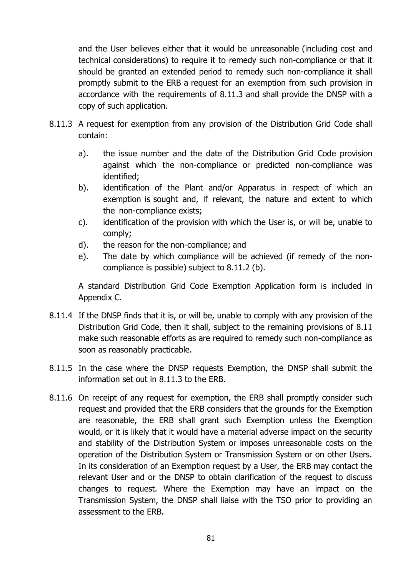and the User believes either that it would be unreasonable (including cost and technical considerations) to require it to remedy such non-compliance or that it should be granted an extended period to remedy such non-compliance it shall promptly submit to the ERB a request for an exemption from such provision in accordance with the requirements of 8.11.3 and shall provide the DNSP with a copy of such application.

- 8.11.3 A request for exemption from any provision of the Distribution Grid Code shall contain:
	- a). the issue number and the date of the Distribution Grid Code provision against which the non-compliance or predicted non-compliance was identified;
	- b). identification of the Plant and/or Apparatus in respect of which an exemption is sought and, if relevant, the nature and extent to which the non-compliance exists;
	- c). identification of the provision with which the User is, or will be, unable to comply;
	- d). the reason for the non-compliance; and
	- e). The date by which compliance will be achieved (if remedy of the noncompliance is possible) subject to 8.11.2 (b).

A standard Distribution Grid Code Exemption Application form is included in Appendix C.

- 8.11.4 If the DNSP finds that it is, or will be, unable to comply with any provision of the Distribution Grid Code, then it shall, subject to the remaining provisions of 8.11 make such reasonable efforts as are required to remedy such non-compliance as soon as reasonably practicable.
- 8.11.5 In the case where the DNSP requests Exemption, the DNSP shall submit the information set out in 8.11.3 to the ERB.
- 8.11.6 On receipt of any request for exemption, the ERB shall promptly consider such request and provided that the ERB considers that the grounds for the Exemption are reasonable, the ERB shall grant such Exemption unless the Exemption would, or it is likely that it would have a material adverse impact on the security and stability of the Distribution System or imposes unreasonable costs on the operation of the Distribution System or Transmission System or on other Users. In its consideration of an Exemption request by a User, the ERB may contact the relevant User and or the DNSP to obtain clarification of the request to discuss changes to request. Where the Exemption may have an impact on the Transmission System, the DNSP shall liaise with the TSO prior to providing an assessment to the ERB.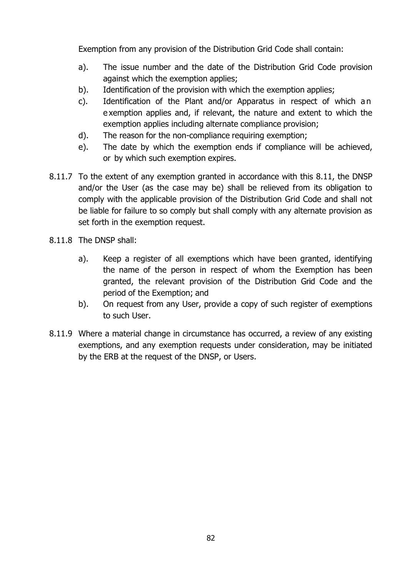Exemption from any provision of the Distribution Grid Code shall contain:

- a). The issue number and the date of the Distribution Grid Code provision against which the exemption applies;
- b). Identification of the provision with which the exemption applies;
- c). Identification of the Plant and/or Apparatus in respect of which a n e xemption applies and, if relevant, the nature and extent to which the exemption applies including alternate compliance provision;
- d). The reason for the non-compliance requiring exemption;
- e). The date by which the exemption ends if compliance will be achieved, or by which such exemption expires.
- 8.11.7 To the extent of any exemption granted in accordance with this 8.11, the DNSP and/or the User (as the case may be) shall be relieved from its obligation to comply with the applicable provision of the Distribution Grid Code and shall not be liable for failure to so comply but shall comply with any alternate provision as set forth in the exemption request.
- 8.11.8 The DNSP shall:
	- a). Keep a register of all exemptions which have been granted, identifying the name of the person in respect of whom the Exemption has been granted, the relevant provision of the Distribution Grid Code and the period of the Exemption; and
	- b). On request from any User, provide a copy of such register of exemptions to such User.
- 8.11.9 Where a material change in circumstance has occurred, a review of any existing exemptions, and any exemption requests under consideration, may be initiated by the ERB at the request of the DNSP, or Users.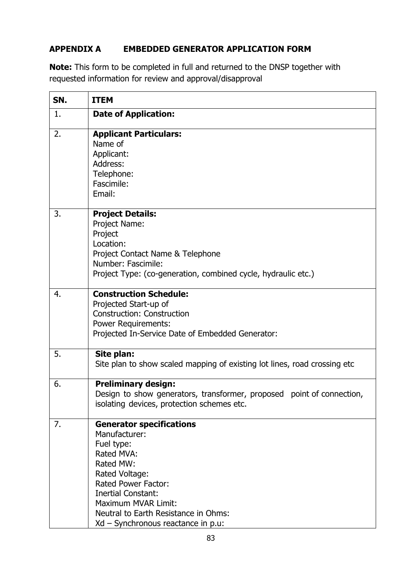# **APPENDIX A EMBEDDED GENERATOR APPLICATION FORM**

**Note:** This form to be completed in full and returned to the DNSP together with requested information for review and approval/disapproval

| SN. | <b>ITEM</b>                                                                                                                                                                                                                                                                 |
|-----|-----------------------------------------------------------------------------------------------------------------------------------------------------------------------------------------------------------------------------------------------------------------------------|
| 1.  | <b>Date of Application:</b>                                                                                                                                                                                                                                                 |
| 2.  | <b>Applicant Particulars:</b><br>Name of<br>Applicant:<br>Address:<br>Telephone:<br>Fascimile:<br>Email:                                                                                                                                                                    |
| 3.  | <b>Project Details:</b><br>Project Name:<br>Project<br>Location:<br>Project Contact Name & Telephone<br>Number: Fascimile:<br>Project Type: (co-generation, combined cycle, hydraulic etc.)                                                                                 |
| 4.  | <b>Construction Schedule:</b><br>Projected Start-up of<br><b>Construction: Construction</b><br><b>Power Requirements:</b><br>Projected In-Service Date of Embedded Generator:                                                                                               |
| 5.  | Site plan:<br>Site plan to show scaled mapping of existing lot lines, road crossing etc                                                                                                                                                                                     |
| 6.  | <b>Preliminary design:</b><br>Design to show generators, transformer, proposed point of connection,<br>isolating devices, protection schemes etc.                                                                                                                           |
| 7.  | <b>Generator specifications</b><br>Manufacturer:<br>Fuel type:<br>Rated MVA:<br>Rated MW:<br>Rated Voltage:<br><b>Rated Power Factor:</b><br><b>Inertial Constant:</b><br>Maximum MVAR Limit:<br>Neutral to Earth Resistance in Ohms:<br>Xd - Synchronous reactance in p.u: |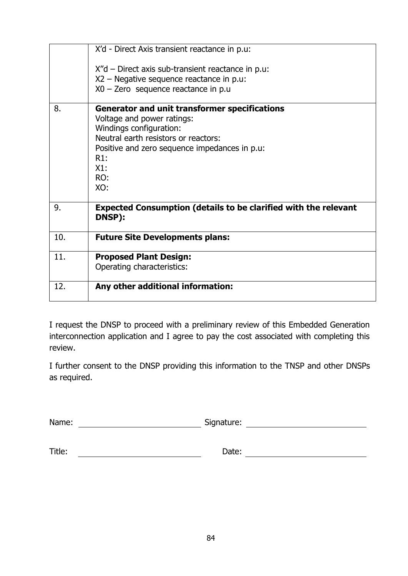|     | X'd - Direct Axis transient reactance in p.u:<br>$X''$ d – Direct axis sub-transient reactance in p.u:<br>X2 – Negative sequence reactance in p.u:<br>$X0 -$ Zero sequence reactance in p.u                                        |
|-----|------------------------------------------------------------------------------------------------------------------------------------------------------------------------------------------------------------------------------------|
|     |                                                                                                                                                                                                                                    |
| 8.  | <b>Generator and unit transformer specifications</b><br>Voltage and power ratings:<br>Windings configuration:<br>Neutral earth resistors or reactors:<br>Positive and zero sequence impedances in p.u:<br>R1:<br>X1:<br>RO:<br>XO: |
| 9.  | <b>Expected Consumption (details to be clarified with the relevant</b><br>DNSP):                                                                                                                                                   |
| 10. | <b>Future Site Developments plans:</b>                                                                                                                                                                                             |
| 11. | <b>Proposed Plant Design:</b><br>Operating characteristics:                                                                                                                                                                        |
| 12. | Any other additional information:                                                                                                                                                                                                  |

I request the DNSP to proceed with a preliminary review of this Embedded Generation interconnection application and I agree to pay the cost associated with completing this review.

I further consent to the DNSP providing this information to the TNSP and other DNSPs as required.

Name: Signature: Signature:

| Title: |
|--------|
|--------|

Title: Date: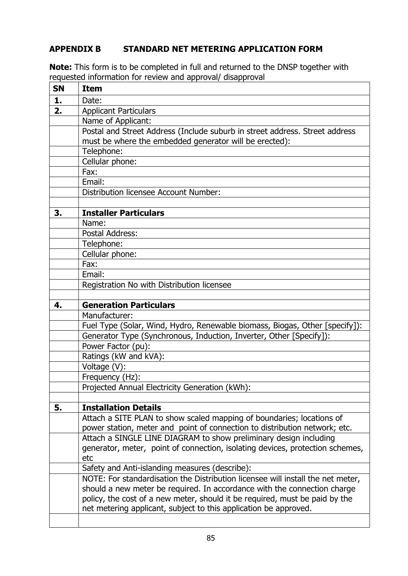### **APPENDIX B STANDARD NET METERING APPLICATION FORM**

**Note:** This form is to be completed in full and returned to the DNSP together with requested information for review and approval/ disapproval

| <b>SN</b> | <b>Item</b>                                                                     |
|-----------|---------------------------------------------------------------------------------|
| 1.        | Date:                                                                           |
| 2.        | <b>Applicant Particulars</b>                                                    |
|           | Name of Applicant:                                                              |
|           | Postal and Street Address (Include suburb in street address. Street address     |
|           | must be where the embedded generator will be erected):                          |
|           | Telephone:                                                                      |
|           | Cellular phone:                                                                 |
|           | Fax:                                                                            |
|           | Email:                                                                          |
|           | Distribution licensee Account Number:                                           |
|           |                                                                                 |
| 3.        | <b>Installer Particulars</b>                                                    |
|           | Name:                                                                           |
|           | <b>Postal Address:</b>                                                          |
|           | Telephone:                                                                      |
|           | Cellular phone:                                                                 |
|           | Fax:                                                                            |
|           | Email:                                                                          |
|           | Registration No with Distribution licensee                                      |
|           |                                                                                 |
| 4.        | <b>Generation Particulars</b>                                                   |
|           | Manufacturer:                                                                   |
|           | Fuel Type (Solar, Wind, Hydro, Renewable biomass, Biogas, Other [specify]):     |
|           | Generator Type (Synchronous, Induction, Inverter, Other [Specify]):             |
|           | Power Factor (pu):                                                              |
|           | Ratings (kW and kVA):                                                           |
|           | Voltage (V):                                                                    |
|           | Frequency (Hz):                                                                 |
|           | Projected Annual Electricity Generation (kWh):                                  |
|           |                                                                                 |
| 5.        | <b>Installation Details</b>                                                     |
|           | Attach a SITE PLAN to show scaled mapping of boundaries; locations of           |
|           | power station, meter and point of connection to distribution network; etc.      |
|           | Attach a SINGLE LINE DIAGRAM to show preliminary design including               |
|           | generator, meter, point of connection, isolating devices, protection schemes,   |
|           | etc                                                                             |
|           | Safety and Anti-islanding measures (describe):                                  |
|           | NOTE: For standardisation the Distribution licensee will install the net meter, |
|           | should a new meter be required. In accordance with the connection charge        |
|           | policy, the cost of a new meter, should it be required, must be paid by the     |
|           | net metering applicant, subject to this application be approved.                |
|           |                                                                                 |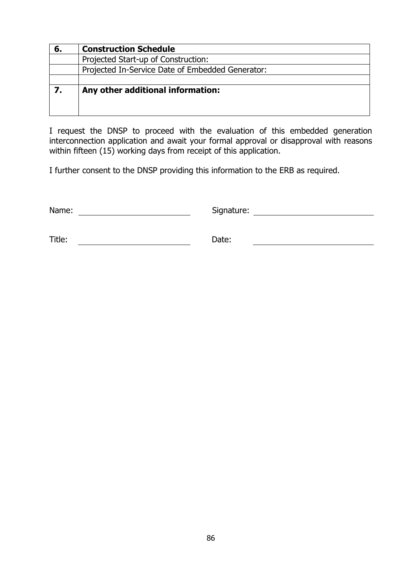| 6. | <b>Construction Schedule</b>                     |
|----|--------------------------------------------------|
|    | Projected Start-up of Construction:              |
|    | Projected In-Service Date of Embedded Generator: |
|    |                                                  |
|    | Any other additional information:                |
|    |                                                  |
|    |                                                  |

I request the DNSP to proceed with the evaluation of this embedded generation interconnection application and await your formal approval or disapproval with reasons within fifteen (15) working days from receipt of this application.

I further consent to the DNSP providing this information to the ERB as required.

Name: Signature: Signature:

Title: Date: